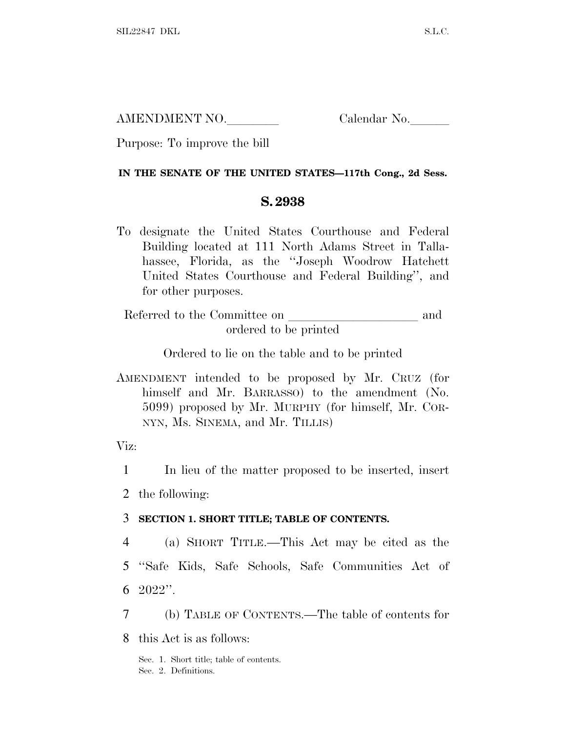AMENDMENT NO. Calendar No.

Purpose: To improve the bill

## **IN THE SENATE OF THE UNITED STATES—117th Cong., 2d Sess.**

## **S. 2938**

To designate the United States Courthouse and Federal Building located at 111 North Adams Street in Tallahassee, Florida, as the ''Joseph Woodrow Hatchett United States Courthouse and Federal Building'', and for other purposes.

Referred to the Committee on and ordered to be printed

Ordered to lie on the table and to be printed

AMENDMENT intended to be proposed by Mr. CRUZ (for himself and Mr. BARRASSO) to the amendment (No. 5099) proposed by Mr. MURPHY (for himself, Mr. COR-NYN, Ms. SINEMA, and Mr. TILLIS)

Viz:

1 In lieu of the matter proposed to be inserted, insert

2 the following:

## 3 **SECTION 1. SHORT TITLE; TABLE OF CONTENTS.**

4 (a) SHORT TITLE.—This Act may be cited as the 5 ''Safe Kids, Safe Schools, Safe Communities Act of 6 2022''.

7 (b) TABLE OF CONTENTS.—The table of contents for

8 this Act is as follows:

Sec. 1. Short title; table of contents. Sec. 2. Definitions.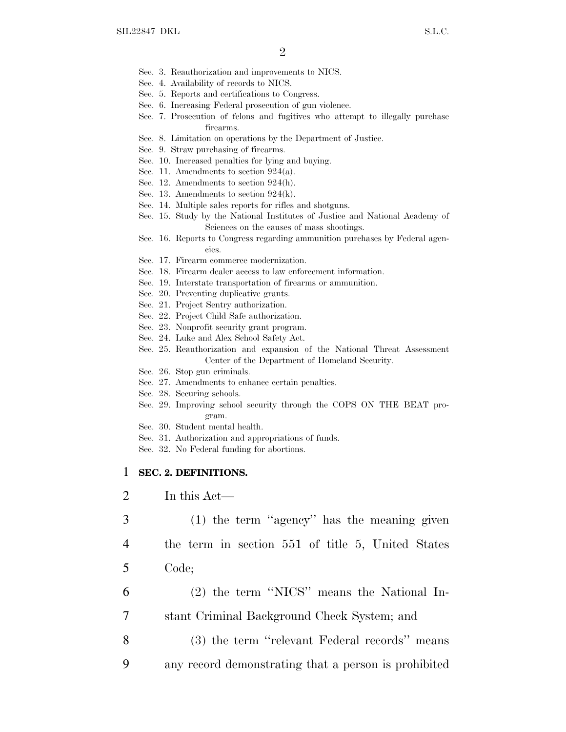- Sec. 3. Reauthorization and improvements to NICS.
- Sec. 4. Availability of records to NICS.
- Sec. 5. Reports and certifications to Congress.
- Sec. 6. Increasing Federal prosecution of gun violence.
- Sec. 7. Prosecution of felons and fugitives who attempt to illegally purchase firearms.
- Sec. 8. Limitation on operations by the Department of Justice.
- Sec. 9. Straw purchasing of firearms.
- Sec. 10. Increased penalties for lying and buying.
- Sec. 11. Amendments to section 924(a).
- Sec. 12. Amendments to section 924(h).
- Sec. 13. Amendments to section 924(k).
- Sec. 14. Multiple sales reports for rifles and shotguns.
- Sec. 15. Study by the National Institutes of Justice and National Academy of Sciences on the causes of mass shootings.
- Sec. 16. Reports to Congress regarding ammunition purchases by Federal agencies.
- Sec. 17. Firearm commerce modernization.
- Sec. 18. Firearm dealer access to law enforcement information.
- Sec. 19. Interstate transportation of firearms or ammunition.
- Sec. 20. Preventing duplicative grants.
- Sec. 21. Project Sentry authorization.
- Sec. 22. Project Child Safe authorization.
- Sec. 23. Nonprofit security grant program.
- Sec. 24. Luke and Alex School Safety Act.
- Sec. 25. Reauthorization and expansion of the National Threat Assessment Center of the Department of Homeland Security.
- Sec. 26. Stop gun criminals.
- Sec. 27. Amendments to enhance certain penalties.
- Sec. 28. Securing schools.
- Sec. 29. Improving school security through the COPS ON THE BEAT program.
- Sec. 30. Student mental health.
- Sec. 31. Authorization and appropriations of funds.
- Sec. 32. No Federal funding for abortions.

#### 1 **SEC. 2. DEFINITIONS.**

- 2 In this Act—
- 3 (1) the term ''agency'' has the meaning given
- 4 the term in section 551 of title 5, United States
- 5 Code;
- 6 (2) the term ''NICS'' means the National In-7 stant Criminal Background Check System; and
- 8 (3) the term ''relevant Federal records'' means
- 9 any record demonstrating that a person is prohibited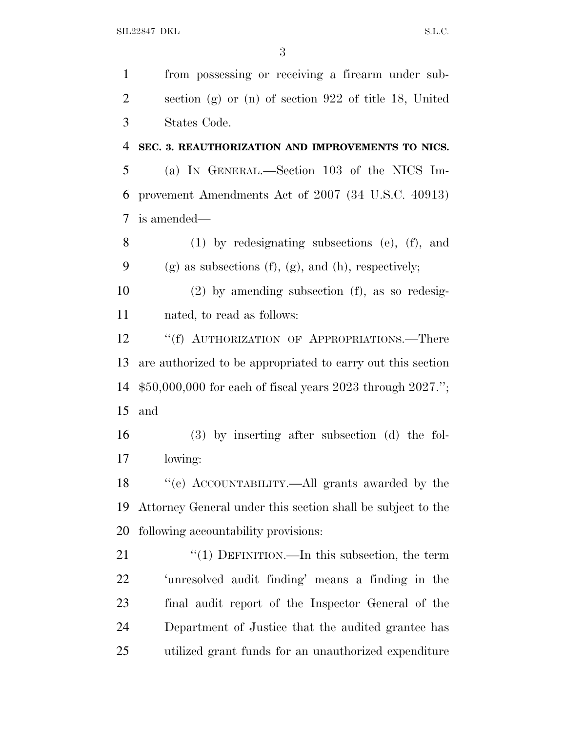from possessing or receiving a firearm under sub- section (g) or (n) of section 922 of title 18, United States Code.

 **SEC. 3. REAUTHORIZATION AND IMPROVEMENTS TO NICS.** (a) I<sup>N</sup> GENERAL.—Section 103 of the NICS Im-provement Amendments Act of 2007 (34 U.S.C. 40913)

is amended—

 (1) by redesignating subsections (e), (f), and 9 (g) as subsections (f), (g), and (h), respectively;

 (2) by amending subsection (f), as so redesig-nated, to read as follows:

12 ""(f) AUTHORIZATION OF APPROPRIATIONS.—There are authorized to be appropriated to carry out this section \$50,000,000 for each of fiscal years 2023 through 2027.''; and

 (3) by inserting after subsection (d) the fol-lowing:

 ''(e) ACCOUNTABILITY.—All grants awarded by the Attorney General under this section shall be subject to the following accountability provisions:

21 "(1) DEFINITION.—In this subsection, the term 'unresolved audit finding' means a finding in the final audit report of the Inspector General of the Department of Justice that the audited grantee has utilized grant funds for an unauthorized expenditure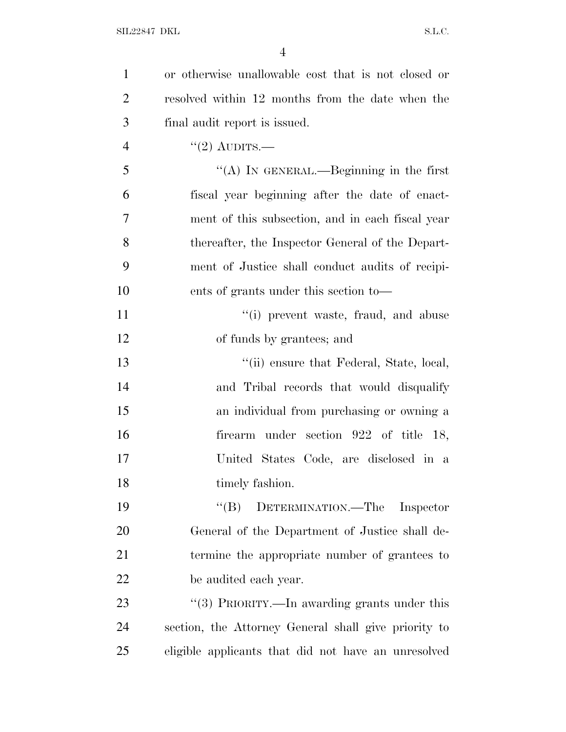| $\mathbf{1}$   | or otherwise unallowable cost that is not closed or  |
|----------------|------------------------------------------------------|
| $\overline{2}$ | resolved within 12 months from the date when the     |
| 3              | final audit report is issued.                        |
| $\overline{4}$ | $"(2)$ AUDITS.—                                      |
| 5              | "(A) IN GENERAL.—Beginning in the first              |
| 6              | fiscal year beginning after the date of enact-       |
| 7              | ment of this subsection, and in each fiscal year     |
| 8              | thereafter, the Inspector General of the Depart-     |
| 9              | ment of Justice shall conduct audits of recipi-      |
| 10             | ents of grants under this section to—                |
| 11             | "(i) prevent waste, fraud, and abuse                 |
| 12             | of funds by grantees; and                            |
| 13             | "(ii) ensure that Federal, State, local,             |
| 14             | and Tribal records that would disqualify             |
| 15             | an individual from purchasing or owning a            |
| 16             | firearm under section 922 of title 18,               |
| 17             | United States Code, are disclosed in a               |
| 18             | timely fashion.                                      |
| 19             | "(B) DETERMINATION.—The<br>Inspector                 |
| 20             | General of the Department of Justice shall de-       |
| 21             | termine the appropriate number of grantees to        |
| 22             | be audited each year.                                |
| 23             | "(3) PRIORITY.—In awarding grants under this         |
| 24             | section, the Attorney General shall give priority to |
| 25             | eligible applicants that did not have an unresolved  |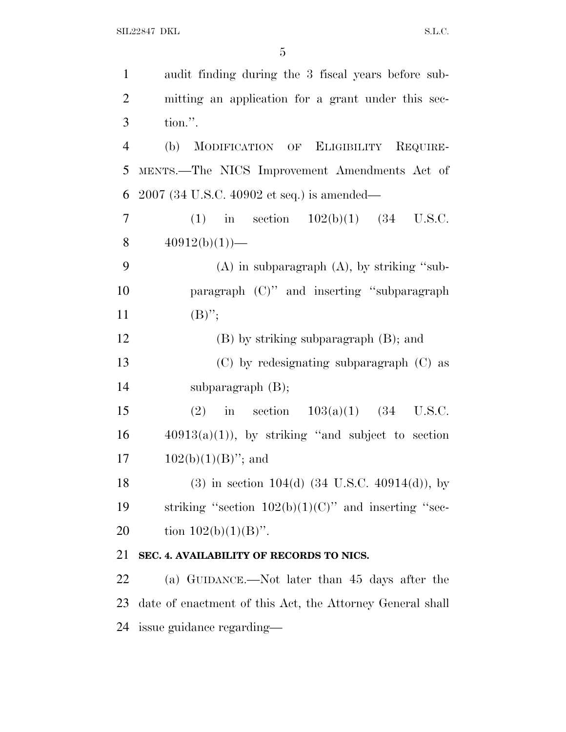| $\mathbf{1}$   | audit finding during the 3 fiscal years before sub-          |
|----------------|--------------------------------------------------------------|
| $\overline{2}$ | mitting an application for a grant under this sec-           |
| 3              | tion.".                                                      |
| $\overline{4}$ | MODIFICATION OF ELIGIBILITY REQUIRE-<br>(b)                  |
| 5              | MENTS.-The NICS Improvement Amendments Act of                |
| 6              | 2007 (34 U.S.C. 40902 et seq.) is amended—                   |
| 7              | (1) in section $102(b)(1)$ (34 U.S.C.                        |
| 8              | $40912(b)(1)$ —                                              |
| 9              | $(A)$ in subparagraph $(A)$ , by striking "sub-              |
| 10             | paragraph $(C)$ " and inserting "subparagraph"               |
| 11             | $(B)$ ";                                                     |
| 12             | $(B)$ by striking subparagraph $(B)$ ; and                   |
| 13             | $(C)$ by redesignating subparagraph $(C)$ as                 |
| 14             | subparagraph $(B)$ ;                                         |
| 15             | (2) in section $103(a)(1)$ (34 U.S.C.                        |
| 16             | $40913(a)(1)$ , by striking "and subject to section          |
| 17             | $102(b)(1)(B)$ "; and                                        |
| 18             | $(3)$ in section 104(d) $(34 \text{ U.S.C. } 40914(d))$ , by |
| 19             | striking "section $102(b)(1)(C)$ " and inserting "sec-       |
| 20             | tion $102(b)(1)(B)$ ".                                       |
| 21             | SEC. 4. AVAILABILITY OF RECORDS TO NICS.                     |
| 22             | (a) GUIDANCE.—Not later than 45 days after the               |

 date of enactment of this Act, the Attorney General shall issue guidance regarding—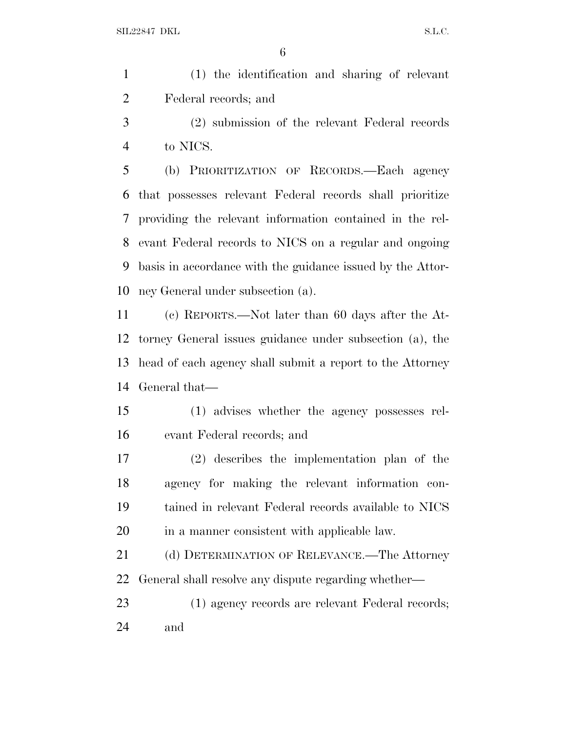| (1) the identification and sharing of relevant |
|------------------------------------------------|
| Federal records; and                           |

 (2) submission of the relevant Federal records to NICS.

 (b) PRIORITIZATION OF RECORDS.—Each agency that possesses relevant Federal records shall prioritize providing the relevant information contained in the rel- evant Federal records to NICS on a regular and ongoing basis in accordance with the guidance issued by the Attor-ney General under subsection (a).

 (c) REPORTS.—Not later than 60 days after the At- torney General issues guidance under subsection (a), the head of each agency shall submit a report to the Attorney General that—

 (1) advises whether the agency possesses rel-evant Federal records; and

 (2) describes the implementation plan of the agency for making the relevant information con- tained in relevant Federal records available to NICS in a manner consistent with applicable law.

21 (d) DETERMINATION OF RELEVANCE.—The Attorney General shall resolve any dispute regarding whether—

 (1) agency records are relevant Federal records; and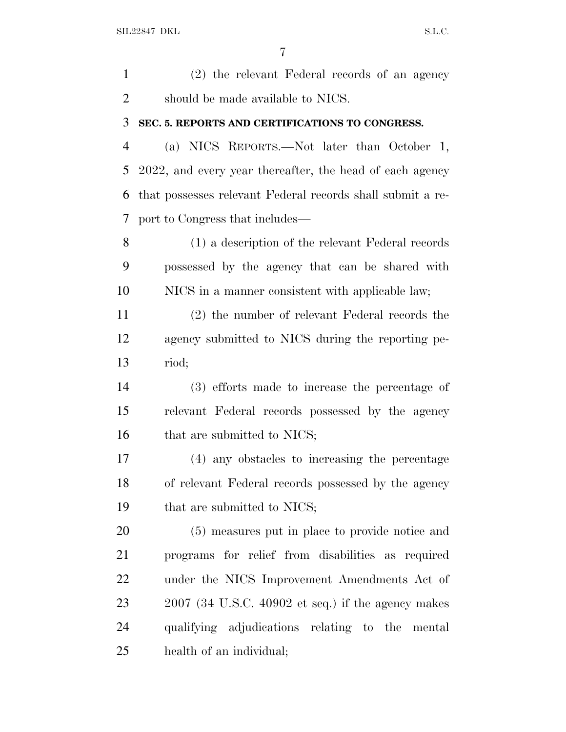(2) the relevant Federal records of an agency should be made available to NICS. **SEC. 5. REPORTS AND CERTIFICATIONS TO CONGRESS.**

 (a) NICS REPORTS.—Not later than October 1, 2022, and every year thereafter, the head of each agency that possesses relevant Federal records shall submit a re-port to Congress that includes—

 (1) a description of the relevant Federal records possessed by the agency that can be shared with NICS in a manner consistent with applicable law;

 (2) the number of relevant Federal records the agency submitted to NICS during the reporting pe-riod;

 (3) efforts made to increase the percentage of relevant Federal records possessed by the agency 16 that are submitted to NICS;

 (4) any obstacles to increasing the percentage of relevant Federal records possessed by the agency 19 that are submitted to NICS;

 (5) measures put in place to provide notice and programs for relief from disabilities as required under the NICS Improvement Amendments Act of 2007 (34 U.S.C. 40902 et seq.) if the agency makes qualifying adjudications relating to the mental health of an individual;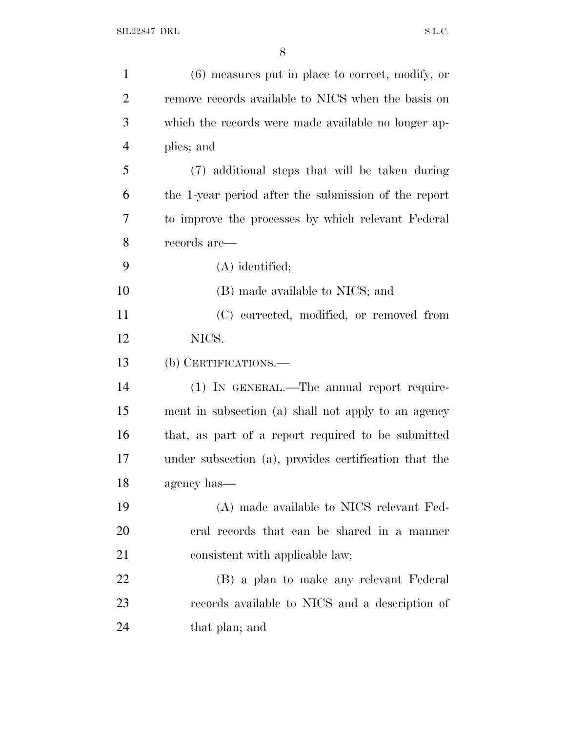| $\mathbf{1}$   | $(6)$ measures put in place to correct, modify, or    |
|----------------|-------------------------------------------------------|
| $\overline{2}$ | remove records available to NICS when the basis on    |
| 3              | which the records were made available no longer ap-   |
| $\overline{4}$ | plies; and                                            |
| 5              | (7) additional steps that will be taken during        |
| 6              | the 1-year period after the submission of the report  |
| 7              | to improve the processes by which relevant Federal    |
| 8              | records are—                                          |
| 9              | $(A)$ identified;                                     |
| 10             | (B) made available to NICS; and                       |
| 11             | (C) corrected, modified, or removed from              |
| 12             | NICS.                                                 |
| 13             | (b) CERTIFICATIONS.—                                  |
| 14             | (1) IN GENERAL.—The annual report require-            |
| 15             | ment in subsection (a) shall not apply to an agency   |
| 16             | that, as part of a report required to be submitted    |
| 17             | under subsection (a), provides certification that the |
| 18             | agency has—                                           |
| 19             | (A) made available to NICS relevant Fed-              |
| 20             | eral records that can be shared in a manner           |
| 21             | consistent with applicable law;                       |
| 22             | (B) a plan to make any relevant Federal               |
| 23             | records available to NICS and a description of        |
| 24             | that plan; and                                        |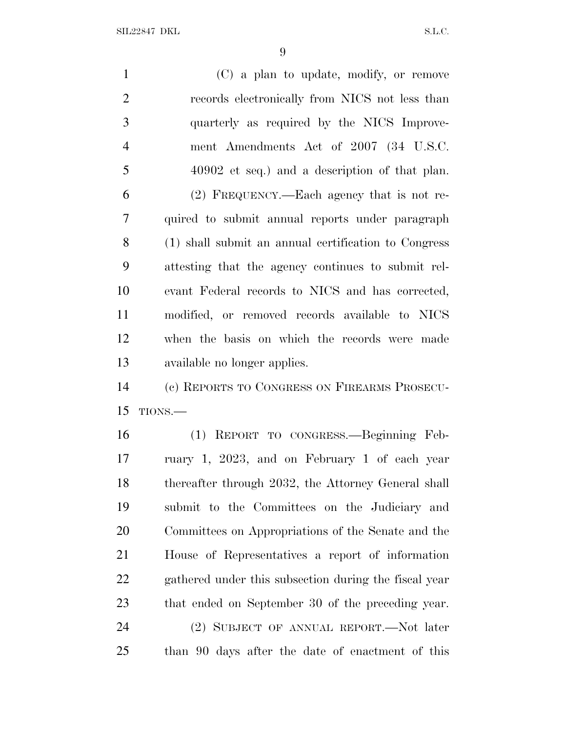SIL22847 DKL S.L.C.

 (C) a plan to update, modify, or remove records electronically from NICS not less than quarterly as required by the NICS Improve- ment Amendments Act of 2007 (34 U.S.C. 40902 et seq.) and a description of that plan. (2) FREQUENCY.—Each agency that is not re- quired to submit annual reports under paragraph (1) shall submit an annual certification to Congress attesting that the agency continues to submit rel- evant Federal records to NICS and has corrected, modified, or removed records available to NICS when the basis on which the records were made available no longer applies. (c) REPORTS TO CONGRESS ON FIREARMS PROSECU- TIONS.— (1) REPORT TO CONGRESS.—Beginning Feb- ruary 1, 2023, and on February 1 of each year thereafter through 2032, the Attorney General shall submit to the Committees on the Judiciary and Committees on Appropriations of the Senate and the House of Representatives a report of information

 gathered under this subsection during the fiscal year that ended on September 30 of the preceding year.

 (2) SUBJECT OF ANNUAL REPORT.—Not later than 90 days after the date of enactment of this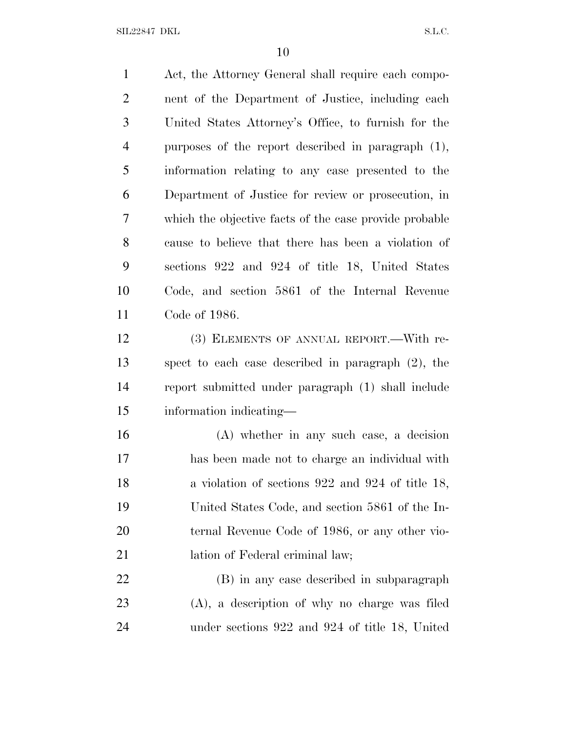SIL22847 DKL S.L.C.

 Act, the Attorney General shall require each compo- nent of the Department of Justice, including each United States Attorney's Office, to furnish for the purposes of the report described in paragraph (1), information relating to any case presented to the Department of Justice for review or prosecution, in which the objective facts of the case provide probable cause to believe that there has been a violation of sections 922 and 924 of title 18, United States Code, and section 5861 of the Internal Revenue Code of 1986. (3) ELEMENTS OF ANNUAL REPORT.—With re- spect to each case described in paragraph (2), the report submitted under paragraph (1) shall include information indicating— (A) whether in any such case, a decision has been made not to charge an individual with 18 a violation of sections 922 and 924 of title 18, United States Code, and section 5861 of the In- ternal Revenue Code of 1986, or any other vio-21 lation of Federal criminal law; (B) in any case described in subparagraph (A), a description of why no charge was filed

under sections 922 and 924 of title 18, United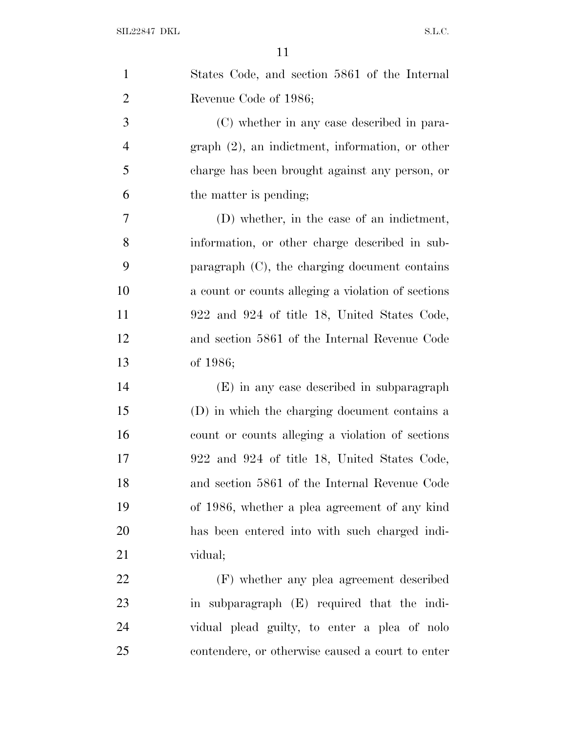| $\mathbf{1}$   | States Code, and section 5861 of the Internal      |
|----------------|----------------------------------------------------|
| $\overline{2}$ | Revenue Code of 1986;                              |
| 3              | (C) whether in any case described in para-         |
| $\overline{4}$ | $graph (2)$ , an indictment, information, or other |
| 5              | charge has been brought against any person, or     |
| 6              | the matter is pending;                             |
| $\tau$         | (D) whether, in the case of an indictment,         |
| 8              | information, or other charge described in sub-     |
| 9              | paragraph $(C)$ , the charging document contains   |
| 10             | a count or counts alleging a violation of sections |
| 11             | 922 and 924 of title 18, United States Code,       |
| 12             | and section 5861 of the Internal Revenue Code      |
| 13             | of $1986;$                                         |
| 14             | (E) in any case described in subparagraph          |
| 15             | (D) in which the charging document contains a      |
| 16             | count or counts alleging a violation of sections   |
| 17             | 922 and 924 of title 18, United States Code,       |
| 18             | and section 5861 of the Internal Revenue Code      |
| 19             | of 1986, whether a plea agreement of any kind      |
| 20             | has been entered into with such charged indi-      |
| 21             | vidual;                                            |
| 22             | (F) whether any plea agreement described           |
| 23             | in subparagraph (E) required that the indi-        |
| 24             | vidual plead guilty, to enter a plea of nolo       |
| 25             | contendere, or otherwise caused a court to enter   |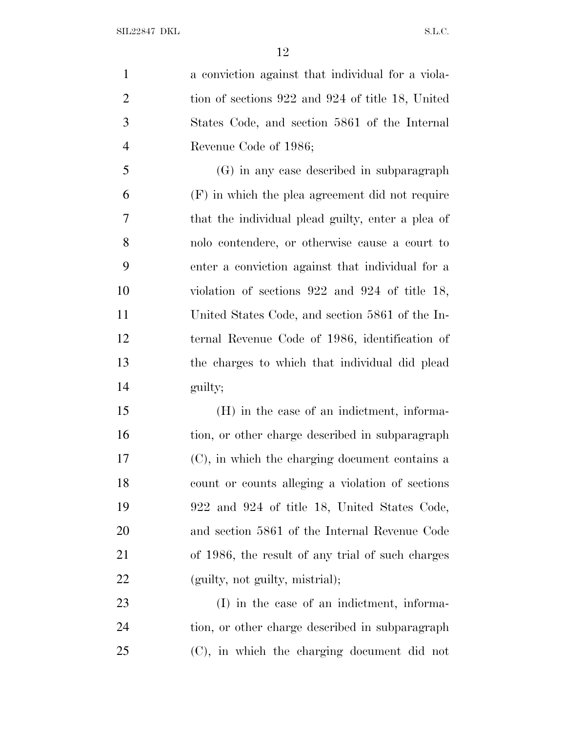a conviction against that individual for a viola-2 tion of sections 922 and 924 of title 18, United States Code, and section 5861 of the Internal Revenue Code of 1986; (G) in any case described in subparagraph (F) in which the plea agreement did not require that the individual plead guilty, enter a plea of nolo contendere, or otherwise cause a court to enter a conviction against that individual for a violation of sections 922 and 924 of title 18, United States Code, and section 5861 of the In- ternal Revenue Code of 1986, identification of the charges to which that individual did plead guilty; (H) in the case of an indictment, informa-16 tion, or other charge described in subparagraph (C), in which the charging document contains a count or counts alleging a violation of sections 922 and 924 of title 18, United States Code, and section 5861 of the Internal Revenue Code of 1986, the result of any trial of such charges (guilty, not guilty, mistrial);

 (I) in the case of an indictment, informa- tion, or other charge described in subparagraph (C), in which the charging document did not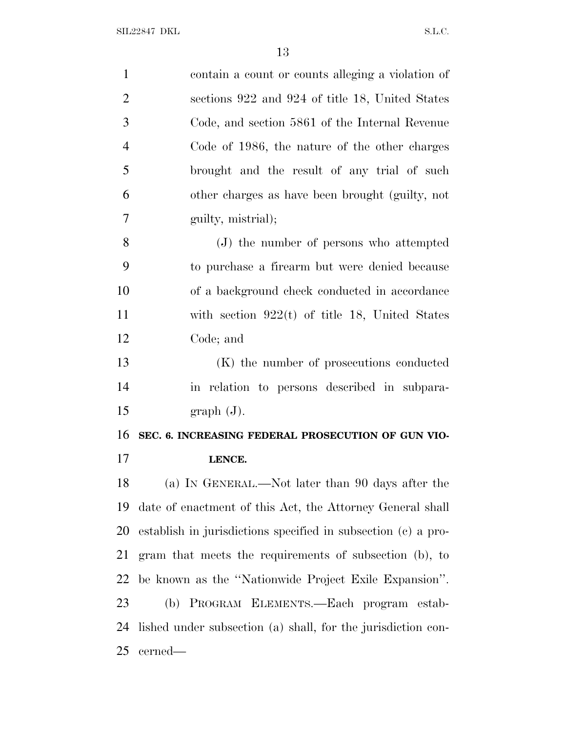| $\mathbf{1}$   | contain a count or counts alleging a violation of             |
|----------------|---------------------------------------------------------------|
| $\overline{2}$ | sections 922 and 924 of title 18, United States               |
| 3              | Code, and section 5861 of the Internal Revenue                |
| 4              | Code of 1986, the nature of the other charges                 |
| 5              | brought and the result of any trial of such                   |
| 6              | other charges as have been brought (guilty, not               |
| 7              | guilty, mistrial);                                            |
| 8              | (J) the number of persons who attempted                       |
| 9              | to purchase a firearm but were denied because                 |
| 10             | of a background check conducted in accordance                 |
| 11             | with section $922(t)$ of title 18, United States              |
| 12             | Code; and                                                     |
| 13             | (K) the number of prosecutions conducted                      |
| 14             | in relation to persons described in subpara-                  |
| 15             | graph(J).                                                     |
| 16             | SEC. 6. INCREASING FEDERAL PROSECUTION OF GUN VIO-            |
| 17             | LENCE.                                                        |
| 18             | (a) IN GENERAL.—Not later than 90 days after the              |
| 19             | date of enactment of this Act, the Attorney General shall     |
| 20             | establish in jurisdictions specified in subsection (c) a pro- |
| 21             | gram that meets the requirements of subsection (b), to        |
| 22             | be known as the "Nationwide Project Exile Expansion".         |
| 23             | (b) PROGRAM ELEMENTS.—Each program estab-                     |
| 24             | lished under subsection (a) shall, for the jurisdiction con-  |
| 25             | cerned—                                                       |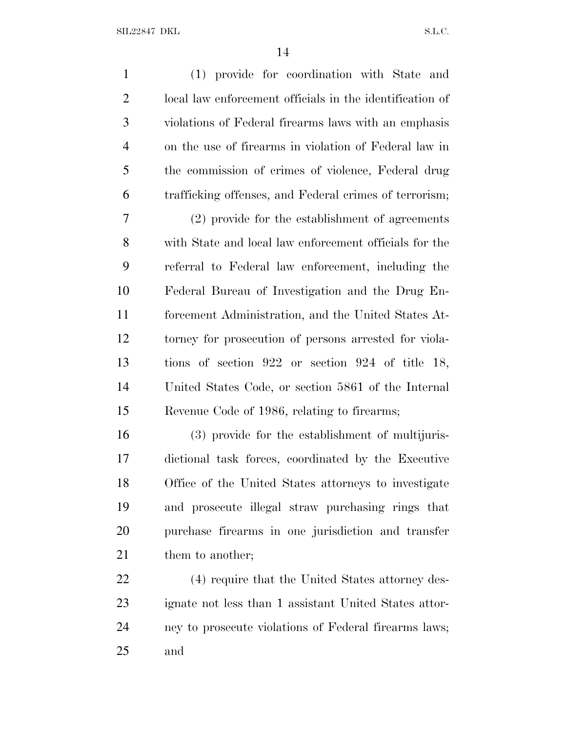(1) provide for coordination with State and local law enforcement officials in the identification of violations of Federal firearms laws with an emphasis on the use of firearms in violation of Federal law in the commission of crimes of violence, Federal drug trafficking offenses, and Federal crimes of terrorism; (2) provide for the establishment of agreements with State and local law enforcement officials for the referral to Federal law enforcement, including the Federal Bureau of Investigation and the Drug En- forcement Administration, and the United States At- torney for prosecution of persons arrested for viola- tions of section 922 or section 924 of title 18, United States Code, or section 5861 of the Internal Revenue Code of 1986, relating to firearms; (3) provide for the establishment of multijuris- dictional task forces, coordinated by the Executive Office of the United States attorneys to investigate

 and prosecute illegal straw purchasing rings that purchase firearms in one jurisdiction and transfer 21 them to another;

 (4) require that the United States attorney des- ignate not less than 1 assistant United States attor- ney to prosecute violations of Federal firearms laws; and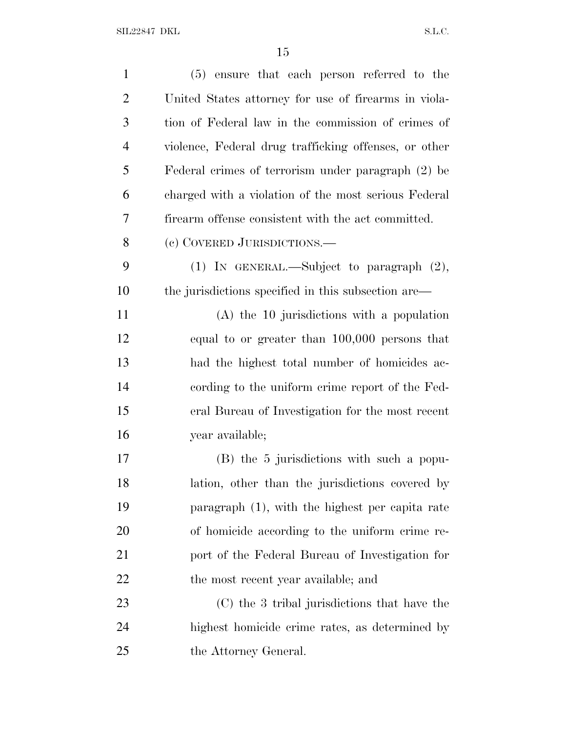| $\mathbf{1}$   | (5) ensure that each person referred to the           |
|----------------|-------------------------------------------------------|
| $\overline{2}$ | United States attorney for use of firearms in viola-  |
| 3              | tion of Federal law in the commission of crimes of    |
| $\overline{4}$ | violence, Federal drug trafficking offenses, or other |
| 5              | Federal crimes of terrorism under paragraph (2) be    |
| 6              | charged with a violation of the most serious Federal  |
| 7              | firearm offense consistent with the act committed.    |
| 8              | (c) COVERED JURISDICTIONS.—                           |
| 9              | (1) IN GENERAL.—Subject to paragraph $(2)$ ,          |
| 10             | the jurisdictions specified in this subsection are—   |
| 11             | $(A)$ the 10 jurisdictions with a population          |
| 12             | equal to or greater than 100,000 persons that         |
| 13             | had the highest total number of homicides ac-         |
| 14             | cording to the uniform crime report of the Fed-       |
| 15             | eral Bureau of Investigation for the most recent      |
| 16             | year available;                                       |
| 17             | (B) the 5 jurisdictions with such a popu-             |
| 18             | lation, other than the jurisdictions covered by       |
| 19             | paragraph (1), with the highest per capita rate       |
| 20             | of homicide according to the uniform crime re-        |
| 21             | port of the Federal Bureau of Investigation for       |
| 22             | the most recent year available; and                   |
| 23             | (C) the 3 tribal jurisdictions that have the          |
| 24             | highest homicide crime rates, as determined by        |
| 25             | the Attorney General.                                 |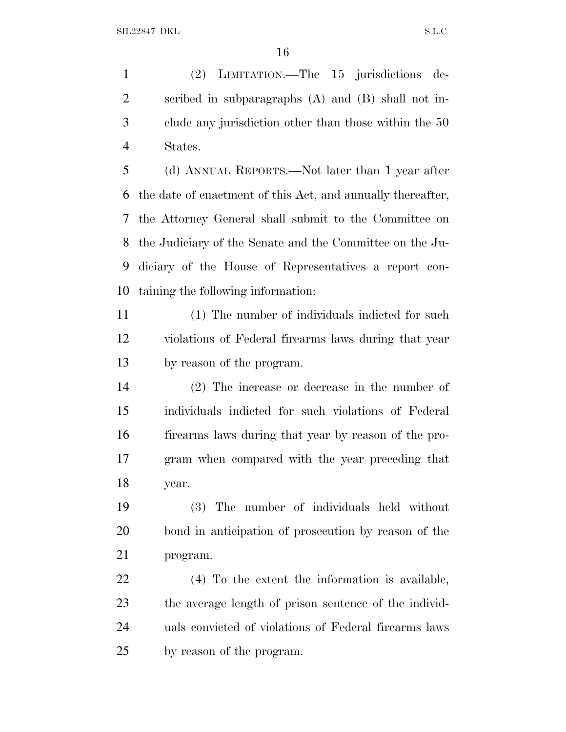(2) LIMITATION.—The 15 jurisdictions de- scribed in subparagraphs (A) and (B) shall not in- clude any jurisdiction other than those within the 50 States.

 (d) ANNUAL REPORTS.—Not later than 1 year after the date of enactment of this Act, and annually thereafter, the Attorney General shall submit to the Committee on the Judiciary of the Senate and the Committee on the Ju- diciary of the House of Representatives a report con-taining the following information:

 (1) The number of individuals indicted for such violations of Federal firearms laws during that year by reason of the program.

 (2) The increase or decrease in the number of individuals indicted for such violations of Federal firearms laws during that year by reason of the pro- gram when compared with the year preceding that year.

 (3) The number of individuals held without bond in anticipation of prosecution by reason of the program.

 (4) To the extent the information is available, the average length of prison sentence of the individ- uals convicted of violations of Federal firearms laws by reason of the program.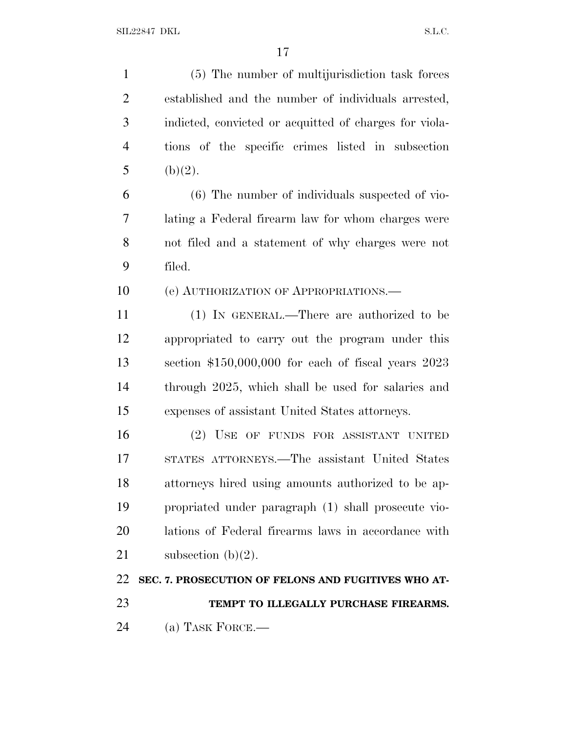(5) The number of multijurisdiction task forces established and the number of individuals arrested, indicted, convicted or acquitted of charges for viola- tions of the specific crimes listed in subsection 5 (b)(2). (6) The number of individuals suspected of vio- lating a Federal firearm law for whom charges were not filed and a statement of why charges were not filed. 10 (e) AUTHORIZATION OF APPROPRIATIONS. (1) IN GENERAL.—There are authorized to be appropriated to carry out the program under this section \$150,000,000 for each of fiscal years 2023 through 2025, which shall be used for salaries and expenses of assistant United States attorneys. (2) USE OF FUNDS FOR ASSISTANT UNITED STATES ATTORNEYS.—The assistant United States attorneys hired using amounts authorized to be ap- propriated under paragraph (1) shall prosecute vio- lations of Federal firearms laws in accordance with 21 subsection  $(b)(2)$ . **SEC. 7. PROSECUTION OF FELONS AND FUGITIVES WHO AT- TEMPT TO ILLEGALLY PURCHASE FIREARMS.** (a) TASK FORCE.—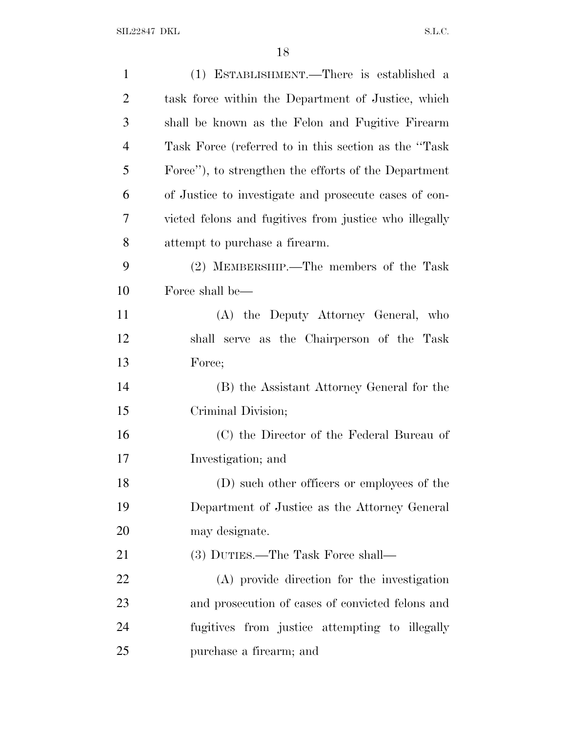| $\mathbf{1}$   | (1) ESTABLISHMENT.—There is established a              |
|----------------|--------------------------------------------------------|
| $\overline{2}$ | task force within the Department of Justice, which     |
| 3              | shall be known as the Felon and Fugitive Firearm       |
| $\overline{4}$ | Task Force (referred to in this section as the "Task"  |
| 5              | Force"), to strengthen the efforts of the Department   |
| 6              | of Justice to investigate and prosecute cases of con-  |
| 7              | victed felons and fugitives from justice who illegally |
| 8              | attempt to purchase a firearm.                         |
| 9              | (2) MEMBERSHIP.—The members of the Task                |
| 10             | Force shall be—                                        |
| 11             | (A) the Deputy Attorney General, who                   |
| 12             | shall serve as the Chairperson of the Task             |
| 13             | Force;                                                 |
| 14             | (B) the Assistant Attorney General for the             |
| 15             | Criminal Division;                                     |
| 16             | (C) the Director of the Federal Bureau of              |
| 17             | Investigation; and                                     |
| 18             | (D) such other officers or employees of the            |
| 19             | Department of Justice as the Attorney General          |
| 20             | may designate.                                         |
| 21             | (3) DUTIES.—The Task Force shall—                      |
| 22             | (A) provide direction for the investigation            |
| 23             | and prosecution of cases of convicted felons and       |
| 24             | fugitives from justice attempting to illegally         |
| 25             | purchase a firearm; and                                |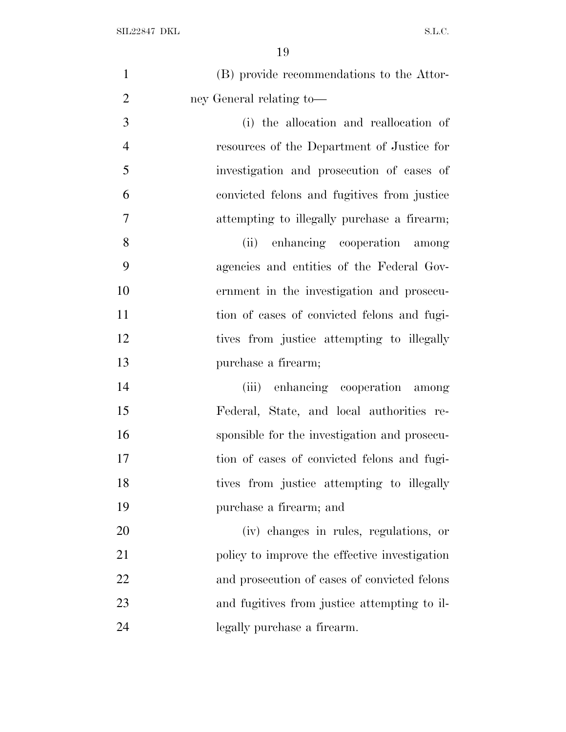| $\mathbf{1}$   | (B) provide recommendations to the Attor-     |
|----------------|-----------------------------------------------|
| $\overline{2}$ | ney General relating to-                      |
| 3              | (i) the allocation and reallocation of        |
| $\overline{4}$ | resources of the Department of Justice for    |
| 5              | investigation and prosecution of cases of     |
| 6              | convicted felons and fugitives from justice   |
| $\tau$         | attempting to illegally purchase a firearm;   |
| 8              | enhancing cooperation among<br>(ii)           |
| 9              | agencies and entities of the Federal Gov-     |
| 10             | ernment in the investigation and prosecu-     |
| 11             | tion of cases of convicted felons and fugi-   |
| 12             | tives from justice attempting to illegally    |
| 13             | purchase a firearm;                           |
| 14             | enhancing cooperation among<br>(iii)          |
| 15             | Federal, State, and local authorities re-     |
| 16             | sponsible for the investigation and prosecu-  |
| 17             | tion of cases of convicted felons and fugi-   |
| 18             | tives from justice attempting to illegally    |
| 19             | purchase a firearm; and                       |
| 20             | (iv) changes in rules, regulations, or        |
| 21             | policy to improve the effective investigation |
| 22             | and prosecution of cases of convicted felons  |
| 23             | and fugitives from justice attempting to il-  |
| 24             | legally purchase a firearm.                   |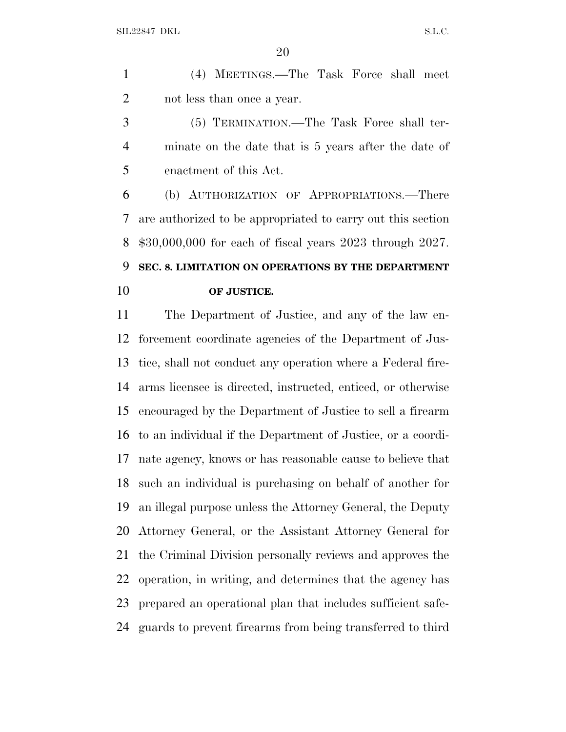(4) MEETINGS.—The Task Force shall meet not less than once a year.

 (5) TERMINATION.—The Task Force shall ter- minate on the date that is 5 years after the date of enactment of this Act.

 (b) AUTHORIZATION OF APPROPRIATIONS.—There are authorized to be appropriated to carry out this section \$30,000,000 for each of fiscal years 2023 through 2027. **SEC. 8. LIMITATION ON OPERATIONS BY THE DEPARTMENT**

**OF JUSTICE.**

# The Department of Justice, and any of the law en- forcement coordinate agencies of the Department of Jus- tice, shall not conduct any operation where a Federal fire- arms licensee is directed, instructed, enticed, or otherwise encouraged by the Department of Justice to sell a firearm to an individual if the Department of Justice, or a coordi- nate agency, knows or has reasonable cause to believe that such an individual is purchasing on behalf of another for an illegal purpose unless the Attorney General, the Deputy Attorney General, or the Assistant Attorney General for the Criminal Division personally reviews and approves the operation, in writing, and determines that the agency has prepared an operational plan that includes sufficient safe-guards to prevent firearms from being transferred to third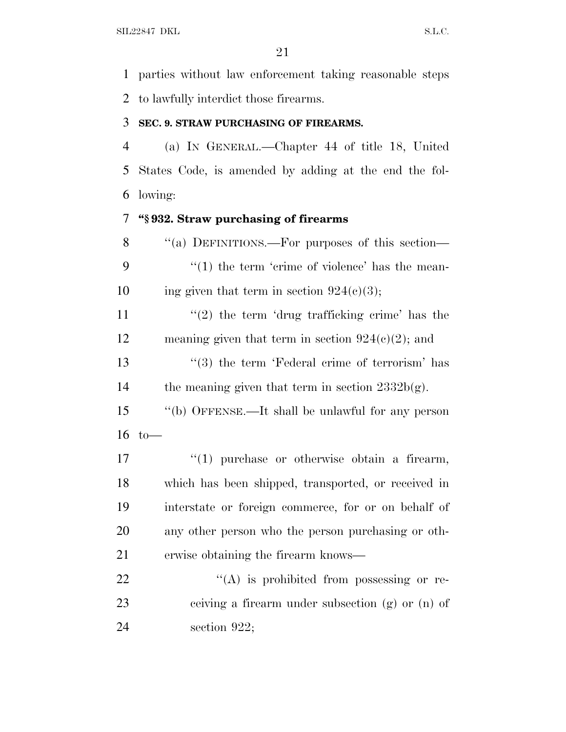parties without law enforcement taking reasonable steps to lawfully interdict those firearms.

#### **SEC. 9. STRAW PURCHASING OF FIREARMS.**

 (a) I<sup>N</sup> GENERAL.—Chapter 44 of title 18, United States Code, is amended by adding at the end the fol-lowing:

## **''§ 932. Straw purchasing of firearms**

8 "(a) DEFINITIONS.—For purposes of this section—  $\frac{1}{2}$  (1) the term 'crime of violence' has the mean-10 ing given that term in section  $924(c)(3)$ ;  $\frac{1}{2}$  the term 'drug trafficking crime' has the 12 meaning given that term in section  $924(c)(2)$ ; and 13 ''(3) the term 'Federal crime of terrorism' has 14 the meaning given that term in section  $2332b(g)$ . ''(b) OFFENSE.—It shall be unlawful for any person to—  $\frac{1}{2}$  (1) purchase or otherwise obtain a firearm, which has been shipped, transported, or received in interstate or foreign commerce, for or on behalf of any other person who the person purchasing or oth- erwise obtaining the firearm knows—  $\langle (A)$  is prohibited from possessing or re- ceiving a firearm under subsection (g) or (n) of section 922;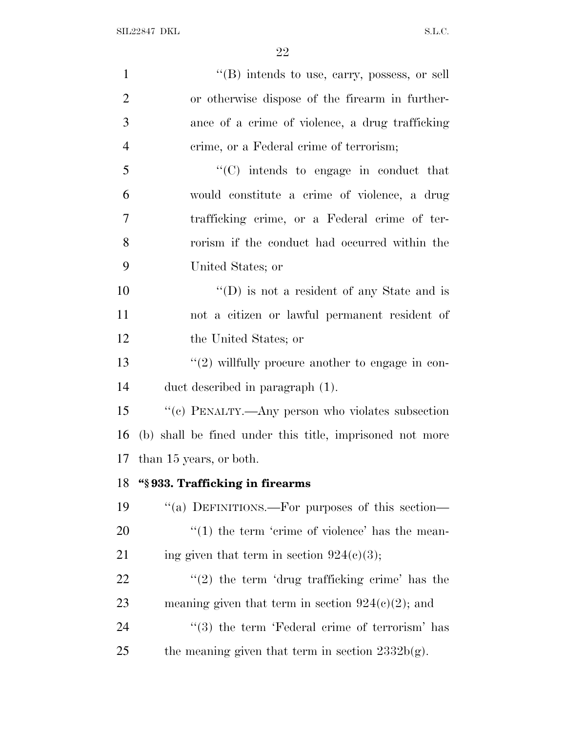| $\lq\lq$ (B) intends to use, carry, possess, or sell           |
|----------------------------------------------------------------|
| or otherwise dispose of the firearm in further-                |
| ance of a crime of violence, a drug trafficking                |
| crime, or a Federal crime of terrorism;                        |
| $\lq\lq$ intends to engage in conduct that                     |
| would constitute a crime of violence, a drug                   |
| trafficking crime, or a Federal crime of ter-                  |
| rorism if the conduct had occurred within the                  |
| United States; or                                              |
| "(D) is not a resident of any State and is                     |
| not a citizen or lawful permanent resident of                  |
| the United States; or                                          |
| $"(2)$ willfully procure another to engage in con-             |
| duct described in paragraph (1).                               |
| "(c) PENALTY.—Any person who violates subsection               |
| (b) shall be fined under this title, imprisoned not more       |
| than 15 years, or both.                                        |
| "§933. Trafficking in firearms                                 |
| "(a) DEFINITIONS.—For purposes of this section—                |
| $\lq(1)$ the term 'crime of violence' has the mean-            |
| ing given that term in section $924(c)(3)$ ;                   |
| $\lq(2)$ the term 'drug trafficking crime' has the             |
| meaning given that term in section $924(c)(2)$ ; and           |
| $\cdot\cdot\cdot(3)$ the term 'Federal crime of terrorism' has |
| the meaning given that term in section $2332b(g)$ .            |
|                                                                |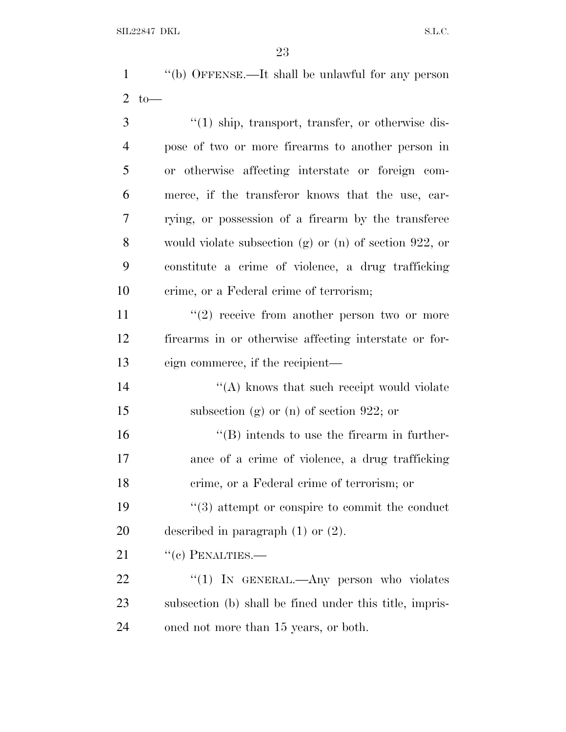''(b) OFFENSE.—It shall be unlawful for any person to—

3 ''(1) ship, transport, transfer, or otherwise dis- pose of two or more firearms to another person in or otherwise affecting interstate or foreign com- merce, if the transferor knows that the use, car- rying, or possession of a firearm by the transferee would violate subsection (g) or (n) of section 922, or constitute a crime of violence, a drug trafficking crime, or a Federal crime of terrorism;  $(2)$  receive from another person two or more firearms in or otherwise affecting interstate or for- eign commerce, if the recipient—  $\mathcal{L}(\mathbf{A})$  knows that such receipt would violate subsection (g) or (n) of section 922; or  $\langle$  (B) intends to use the firearm in further- ance of a crime of violence, a drug trafficking crime, or a Federal crime of terrorism; or 19 ''(3) attempt or conspire to commit the conduct described in paragraph (1) or (2). 21 "(c) PENALTIES.— 22 "(1) In GENERAL.—Any person who violates subsection (b) shall be fined under this title, impris-

oned not more than 15 years, or both.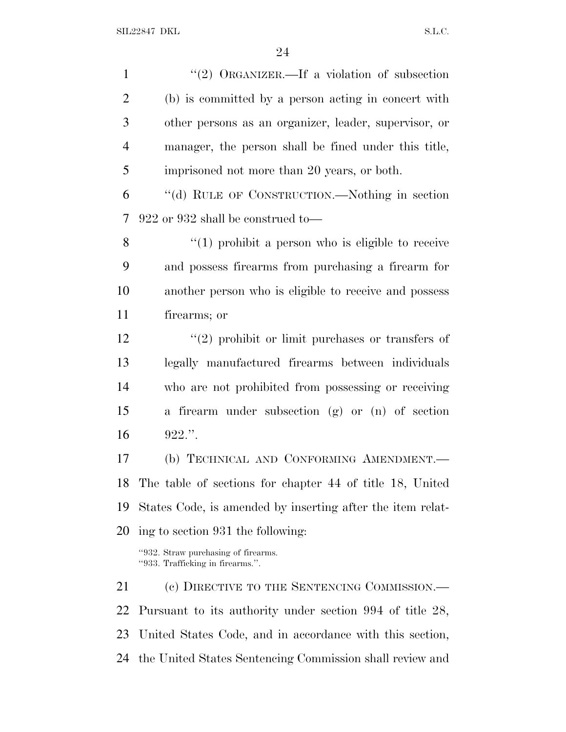| $\mathbf{1}$   | "(2) ORGANIZER.—If a violation of subsection                            |
|----------------|-------------------------------------------------------------------------|
| $\overline{2}$ | (b) is committed by a person acting in concert with                     |
| 3              | other persons as an organizer, leader, supervisor, or                   |
| $\overline{4}$ | manager, the person shall be fined under this title,                    |
| 5              | imprisoned not more than 20 years, or both.                             |
| 6              | "(d) RULE OF CONSTRUCTION.—Nothing in section                           |
| 7              | $922$ or $932$ shall be construed to                                    |
| 8              | $\lq(1)$ prohibit a person who is eligible to receive                   |
| 9              | and possess firearms from purchasing a firearm for                      |
| 10             | another person who is eligible to receive and possess                   |
| 11             | firearms; or                                                            |
| 12             | $(2)$ prohibit or limit purchases or transfers of                       |
| 13             | legally manufactured firearms between individuals                       |
| 14             | who are not prohibited from possessing or receiving                     |
| 15             | a firearm under subsection (g) or (n) of section                        |
| 16             | $922$ .".                                                               |
| 17             | (b) TECHNICAL AND CONFORMING AMENDMENT.                                 |
| 18             | The table of sections for chapter 44 of title 18, United                |
| 19             | States Code, is amended by inserting after the item relat-              |
| 20             | ing to section 931 the following:                                       |
|                | "932. Straw purchasing of firearms.<br>"933. Trafficking in firearms.". |
| 21             | (c) DIRECTIVE TO THE SENTENCING COMMISSION.—                            |
| 22             | Pursuant to its authority under section 994 of title 28,                |
| 23             | United States Code, and in accordance with this section,                |
| 24             | the United States Sentencing Commission shall review and                |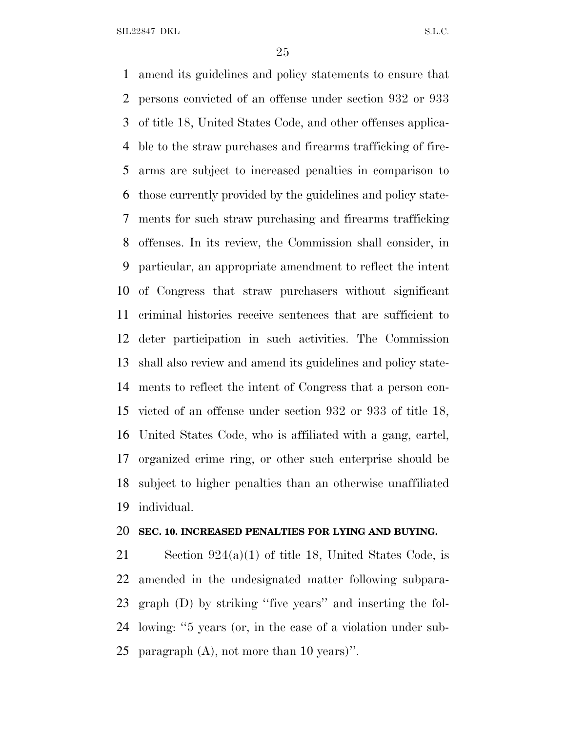SIL22847 DKL S.L.C.

 amend its guidelines and policy statements to ensure that persons convicted of an offense under section 932 or 933 of title 18, United States Code, and other offenses applica- ble to the straw purchases and firearms trafficking of fire- arms are subject to increased penalties in comparison to those currently provided by the guidelines and policy state- ments for such straw purchasing and firearms trafficking offenses. In its review, the Commission shall consider, in particular, an appropriate amendment to reflect the intent of Congress that straw purchasers without significant criminal histories receive sentences that are sufficient to deter participation in such activities. The Commission shall also review and amend its guidelines and policy state- ments to reflect the intent of Congress that a person con- victed of an offense under section 932 or 933 of title 18, United States Code, who is affiliated with a gang, cartel, organized crime ring, or other such enterprise should be subject to higher penalties than an otherwise unaffiliated individual.

#### **SEC. 10. INCREASED PENALTIES FOR LYING AND BUYING.**

 Section 924(a)(1) of title 18, United States Code, is amended in the undesignated matter following subpara- graph (D) by striking ''five years'' and inserting the fol- lowing: ''5 years (or, in the case of a violation under sub-paragraph (A), not more than 10 years)''.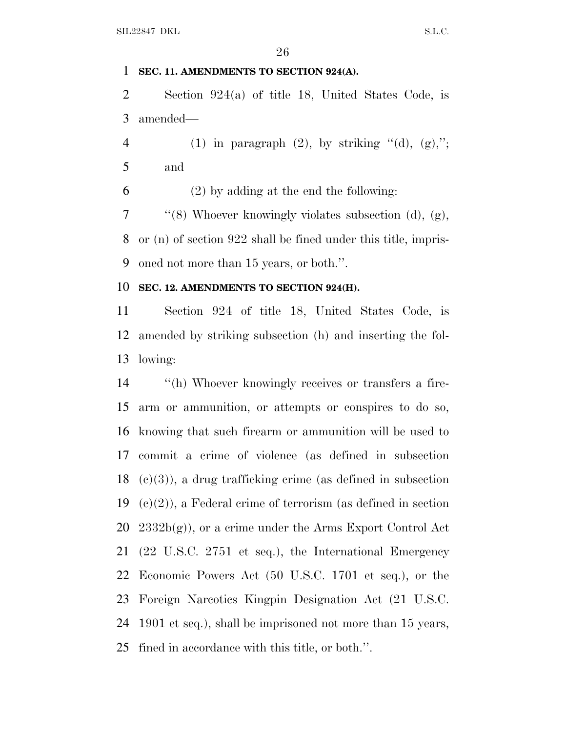### **SEC. 11. AMENDMENTS TO SECTION 924(A).**

 Section 924(a) of title 18, United States Code, is amended—

4 (1) in paragraph  $(2)$ , by striking " $(d)$ ,  $(g)$ ,"; and

(2) by adding at the end the following:

7  $\frac{1}{2}$  (8) Whoever knowingly violates subsection (d), (g), or (n) of section 922 shall be fined under this title, impris-oned not more than 15 years, or both.''.

#### **SEC. 12. AMENDMENTS TO SECTION 924(H).**

 Section 924 of title 18, United States Code, is amended by striking subsection (h) and inserting the fol-lowing:

 ''(h) Whoever knowingly receives or transfers a fire- arm or ammunition, or attempts or conspires to do so, knowing that such firearm or ammunition will be used to commit a crime of violence (as defined in subsection  $(c)(3)$ , a drug trafficking crime (as defined in subsection  $(c)(2)$ , a Federal crime of terrorism (as defined in section  $20\;2332b(g)$ , or a crime under the Arms Export Control Act (22 U.S.C. 2751 et seq.), the International Emergency Economic Powers Act (50 U.S.C. 1701 et seq.), or the Foreign Narcotics Kingpin Designation Act (21 U.S.C. 1901 et seq.), shall be imprisoned not more than 15 years, fined in accordance with this title, or both.''.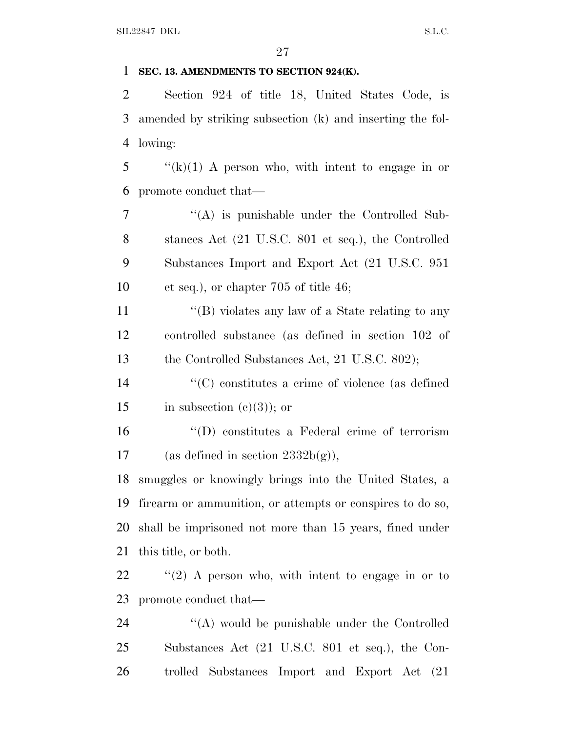### **SEC. 13. AMENDMENTS TO SECTION 924(K).**

 Section 924 of title 18, United States Code, is amended by striking subsection (k) and inserting the fol-lowing:

 "(k)(1) A person who, with intent to engage in or promote conduct that—

7 "(A) is punishable under the Controlled Sub- stances Act (21 U.S.C. 801 et seq.), the Controlled Substances Import and Export Act (21 U.S.C. 951 et seq.), or chapter 705 of title 46;

11 ''(B) violates any law of a State relating to any controlled substance (as defined in section 102 of 13 the Controlled Substances Act, 21 U.S.C. 802);

 ''(C) constitutes a crime of violence (as defined 15 in subsection  $(e)(3)$ ; or

 ''(D) constitutes a Federal crime of terrorism 17 (as defined in section  $2332b(g)$ ),

 smuggles or knowingly brings into the United States, a firearm or ammunition, or attempts or conspires to do so, shall be imprisoned not more than 15 years, fined under this title, or both.

 ''(2) A person who, with intent to engage in or to promote conduct that—

24 "(A) would be punishable under the Controlled Substances Act (21 U.S.C. 801 et seq.), the Con-trolled Substances Import and Export Act (21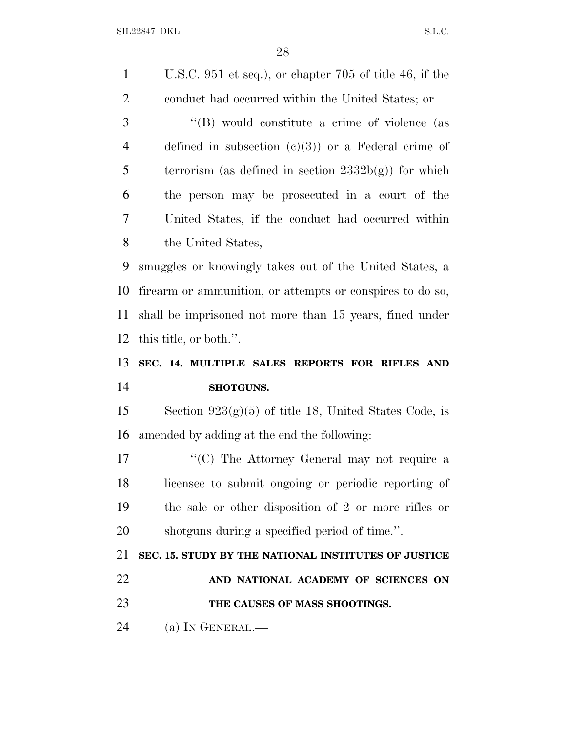SIL22847 DKL S.L.C.

 U.S.C. 951 et seq.), or chapter 705 of title 46, if the conduct had occurred within the United States; or 3 "(B) would constitute a crime of violence (as defined in subsection (c)(3)) or a Federal crime of 5 terrorism (as defined in section  $2332b(g)$ ) for which the person may be prosecuted in a court of the United States, if the conduct had occurred within the United States, smuggles or knowingly takes out of the United States, a firearm or ammunition, or attempts or conspires to do so, shall be imprisoned not more than 15 years, fined under this title, or both.''. **SEC. 14. MULTIPLE SALES REPORTS FOR RIFLES AND SHOTGUNS.** 15 Section  $923(g)(5)$  of title 18, United States Code, is amended by adding at the end the following: 17 ''(C) The Attorney General may not require a licensee to submit ongoing or periodic reporting of the sale or other disposition of 2 or more rifles or shotguns during a specified period of time.''. **SEC. 15. STUDY BY THE NATIONAL INSTITUTES OF JUSTICE AND NATIONAL ACADEMY OF SCIENCES ON THE CAUSES OF MASS SHOOTINGS.** (a) I<sup>N</sup> GENERAL.—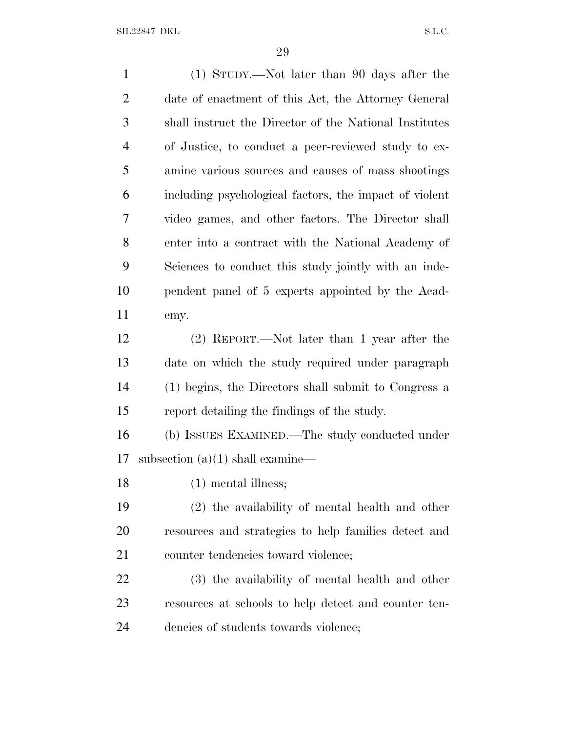SIL22847 DKL S.L.C.

 (1) STUDY.—Not later than 90 days after the date of enactment of this Act, the Attorney General shall instruct the Director of the National Institutes of Justice, to conduct a peer-reviewed study to ex- amine various sources and causes of mass shootings including psychological factors, the impact of violent video games, and other factors. The Director shall enter into a contract with the National Academy of Sciences to conduct this study jointly with an inde- pendent panel of 5 experts appointed by the Acad- emy. (2) REPORT.—Not later than 1 year after the date on which the study required under paragraph (1) begins, the Directors shall submit to Congress a report detailing the findings of the study. (b) ISSUES EXAMINED.—The study conducted under subsection (a)(1) shall examine— (1) mental illness; (2) the availability of mental health and other resources and strategies to help families detect and 21 counter tendencies toward violence; (3) the availability of mental health and other resources at schools to help detect and counter ten-dencies of students towards violence;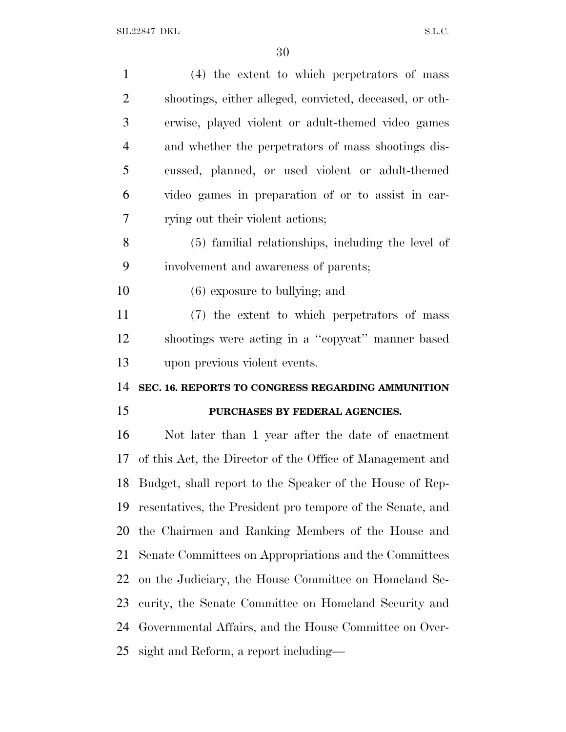| $\mathbf{1}$   | (4) the extent to which perpetrators of mass               |
|----------------|------------------------------------------------------------|
| $\overline{2}$ | shootings, either alleged, convicted, deceased, or oth-    |
| 3              | erwise, played violent or adult-themed video games         |
| $\overline{4}$ | and whether the perpetrators of mass shootings dis-        |
| 5              | cussed, planned, or used violent or adult-themed           |
| 6              | video games in preparation of or to assist in car-         |
| 7              | rying out their violent actions;                           |
| 8              | (5) familial relationships, including the level of         |
| 9              | involvement and awareness of parents;                      |
| 10             | $(6)$ exposure to bullying; and                            |
| 11             | (7) the extent to which perpetrators of mass               |
| 12             | shootings were acting in a "copycat" manner based          |
|                |                                                            |
| 13             | upon previous violent events.                              |
| 14             | SEC. 16. REPORTS TO CONGRESS REGARDING AMMUNITION          |
| 15             | PURCHASES BY FEDERAL AGENCIES.                             |
| 16             | Not later than 1 year after the date of enactment          |
| 17             | of this Act, the Director of the Office of Management and  |
| 18             | Budget, shall report to the Speaker of the House of Rep-   |
| 19             | resentatives, the President pro tempore of the Senate, and |
| 20             | the Chairmen and Ranking Members of the House and          |
| 21             | Senate Committees on Appropriations and the Committees     |
| 22             | on the Judiciary, the House Committee on Homeland Se-      |
| 23             | curity, the Senate Committee on Homeland Security and      |
| 24             | Governmental Affairs, and the House Committee on Over-     |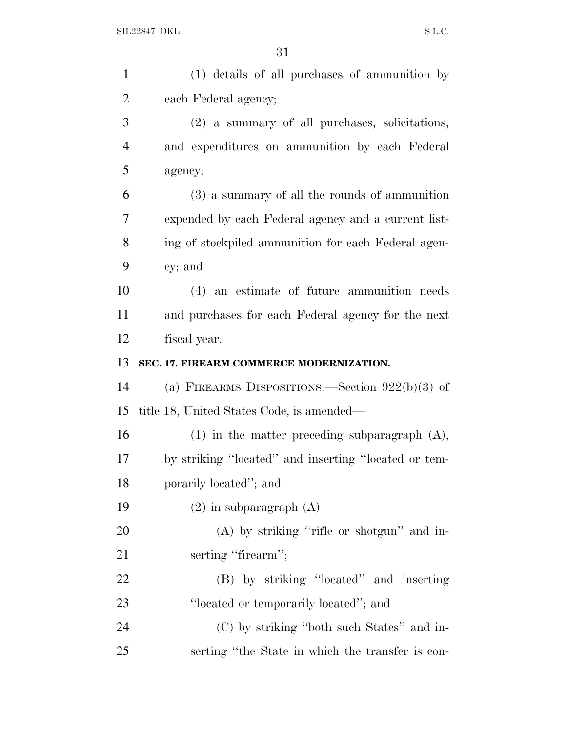| $\mathbf{1}$   | (1) details of all purchases of ammunition by        |
|----------------|------------------------------------------------------|
| $\overline{2}$ | each Federal agency;                                 |
| 3              | (2) a summary of all purchases, solicitations,       |
| $\overline{4}$ | and expenditures on ammunition by each Federal       |
| 5              | agency;                                              |
| 6              | (3) a summary of all the rounds of ammunition        |
| 7              | expended by each Federal agency and a current list-  |
| 8              | ing of stockpiled ammunition for each Federal agen-  |
| 9              | cy; and                                              |
| 10             | (4) an estimate of future ammunition needs           |
| 11             | and purchases for each Federal agency for the next   |
| 12             | fiscal year.                                         |
| 13             | SEC. 17. FIREARM COMMERCE MODERNIZATION.             |
| 14             | (a) FIREARMS DISPOSITIONS.—Section $922(b)(3)$ of    |
| 15             | title 18, United States Code, is amended—            |
| 16             | $(1)$ in the matter preceding subparagraph $(A)$ ,   |
| 17             | by striking "located" and inserting "located or tem- |
| 18             | porarily located"; and                               |
| 19             | $(2)$ in subparagraph $(A)$ —                        |
| 20             | $(A)$ by striking "rifle or shotgun" and in-         |
| 21             | serting "firearm";                                   |
| <u>22</u>      | (B) by striking "located" and inserting              |
| 23             | "located or temporarily located"; and                |
| 24             | (C) by striking "both such States" and in-           |
| 25             | serting "the State in which the transfer is con-     |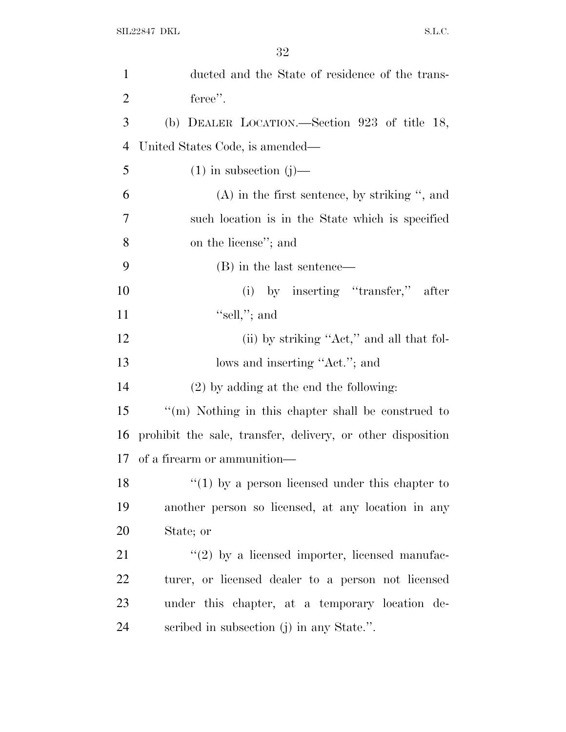| $\mathbf{1}$   | ducted and the State of residence of the trans-             |
|----------------|-------------------------------------------------------------|
| $\overline{2}$ | feree".                                                     |
| 3              | (b) DEALER LOCATION.—Section 923 of title 18,               |
| $\overline{4}$ | United States Code, is amended—                             |
| 5              | $(1)$ in subsection $(j)$ —                                 |
| 6              | $(A)$ in the first sentence, by striking ", and             |
| 7              | such location is in the State which is specified            |
| 8              | on the license"; and                                        |
| 9              | (B) in the last sentence—                                   |
| 10             | (i) by inserting "transfer,"<br>after                       |
| 11             | "sell,"; and                                                |
| 12             | (ii) by striking "Act," and all that fol-                   |
| 13             | lows and inserting "Act."; and                              |
| 14             | $(2)$ by adding at the end the following:                   |
| 15             | "(m) Nothing in this chapter shall be construed to          |
| 16             | prohibit the sale, transfer, delivery, or other disposition |
| 17             | of a firearm or ammunition—                                 |
| 18             | $\lq(1)$ by a person licensed under this chapter to         |
| 19             | another person so licensed, at any location in any          |
| 20             | State; or                                                   |
| 21             | $\lq(2)$ by a licensed importer, licensed manufac-          |
| 22             | turer, or licensed dealer to a person not licensed          |
| 23             | under this chapter, at a temporary location de-             |
| 24             | scribed in subsection (j) in any State.".                   |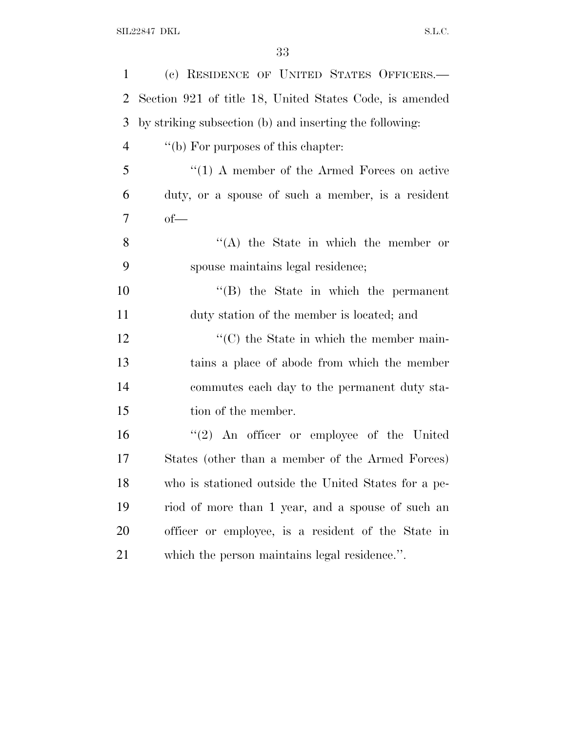| $\mathbf{1}$ | (c) RESIDENCE OF UNITED STATES OFFICERS.-               |
|--------------|---------------------------------------------------------|
| 2            | Section 921 of title 18, United States Code, is amended |
| 3            | by striking subsection (b) and inserting the following: |
| 4            | "(b) For purposes of this chapter:                      |
| 5            | $\lq(1)$ A member of the Armed Forces on active         |
| 6            | duty, or a spouse of such a member, is a resident       |
| 7            | $of-$                                                   |
| 8            | $\lq\lq$ the State in which the member or               |
| 9            | spouse maintains legal residence;                       |
| 10           | $\lq\lq$ the State in which the permanent               |
| 11           | duty station of the member is located; and              |
| 12           | $\cdot$ (C) the State in which the member main-         |
| 13           | tains a place of abode from which the member            |
| 14           | commutes each day to the permanent duty sta-            |
| 15           | tion of the member.                                     |
| 16           | $\lq(2)$ An officer or employee of the United           |
| 17           | States (other than a member of the Armed Forces)        |
| 18           | who is stationed outside the United States for a pe-    |
| 19           | riod of more than 1 year, and a spouse of such an       |
| 20           | officer or employee, is a resident of the State in      |
| 21           | which the person maintains legal residence.".           |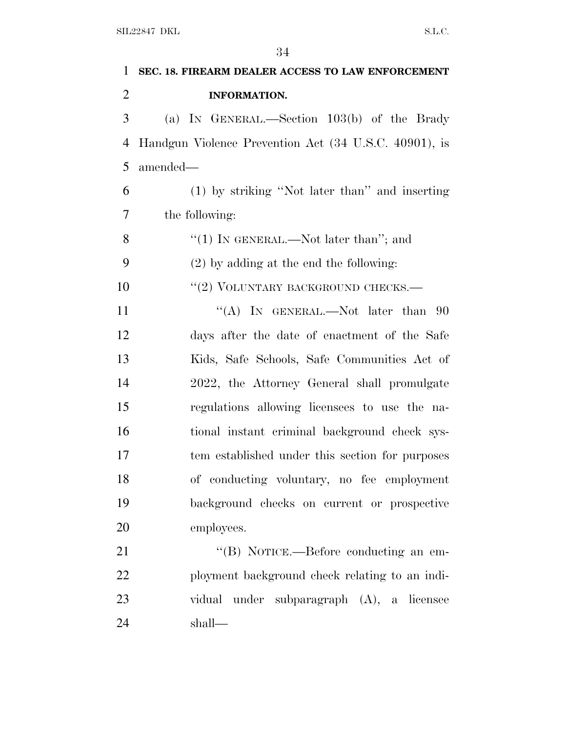| 1              | SEC. 18. FIREARM DEALER ACCESS TO LAW ENFORCEMENT     |
|----------------|-------------------------------------------------------|
| $\overline{2}$ | <b>INFORMATION.</b>                                   |
| 3              | (a) IN GENERAL.—Section 103(b) of the Brady           |
| $\overline{4}$ | Handgun Violence Prevention Act (34 U.S.C. 40901), is |
| 5              | amended—                                              |
| 6              | (1) by striking "Not later than" and inserting        |
| 7              | the following:                                        |
| 8              | "(1) IN GENERAL.—Not later than"; and                 |
| 9              | $(2)$ by adding at the end the following:             |
| 10             | "(2) VOLUNTARY BACKGROUND CHECKS.-                    |
| 11             | "(A) IN GENERAL.—Not later than $90$                  |
| 12             | days after the date of enactment of the Safe          |
| 13             | Kids, Safe Schools, Safe Communities Act of           |
| 14             | 2022, the Attorney General shall promulgate           |
| 15             | regulations allowing licensees to use the na-         |
| 16             | tional instant criminal background check sys-         |
| 17             | tem established under this section for purposes       |
| 18             | of conducting voluntary, no fee employment            |
| 19             | background checks on current or prospective           |
| 20             | employees.                                            |
| 21             | "(B) NOTICE.—Before conducting an em-                 |
| 22             | ployment background check relating to an indi-        |
| 23             | vidual under subparagraph (A), a licensee             |
| 24             | shall—                                                |
|                |                                                       |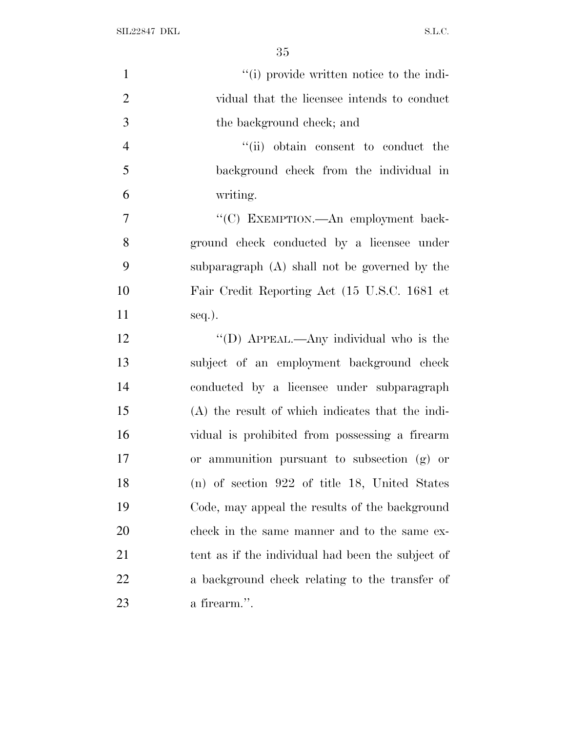SIL22847 DKL  $S.L.C.$ 

| $\mathbf{1}$   | "(i) provide written notice to the indi-          |
|----------------|---------------------------------------------------|
| $\overline{2}$ | vidual that the licensee intends to conduct       |
| 3              | the background check; and                         |
| $\overline{4}$ | "(ii) obtain consent to conduct the               |
| 5              | background check from the individual in           |
| 6              | writing.                                          |
| 7              | "(C) EXEMPTION. An employment back-               |
| 8              | ground check conducted by a licensee under        |
| 9              | subparagraph (A) shall not be governed by the     |
| 10             | Fair Credit Reporting Act (15 U.S.C. 1681 et      |
| 11             | seq.).                                            |
| 12             | "(D) APPEAL.—Any individual who is the            |
| 13             | subject of an employment background check         |
| 14             | conducted by a licensee under subparagraph        |
| 15             | (A) the result of which indicates that the indi-  |
| 16             | vidual is prohibited from possessing a firearm    |
| 17             | or ammunition pursuant to subsection (g) or       |
| 18             | $(n)$ of section 922 of title 18, United States   |
| 19             | Code, may appeal the results of the background    |
| 20             | check in the same manner and to the same ex-      |
| 21             | tent as if the individual had been the subject of |
| 22             | a background check relating to the transfer of    |
| 23             | a firearm.".                                      |
|                |                                                   |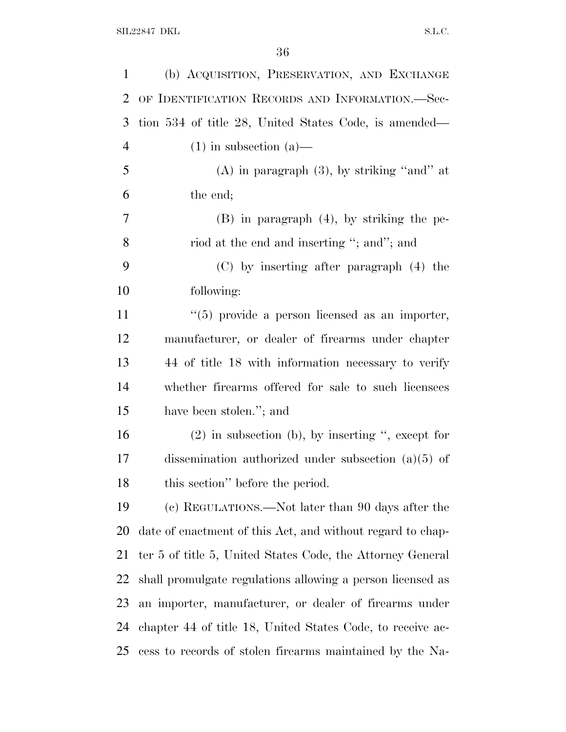| $\mathbf{1}$   | (b) ACQUISITION, PRESERVATION, AND EXCHANGE                |
|----------------|------------------------------------------------------------|
| $\overline{2}$ | OF IDENTIFICATION RECORDS AND INFORMATION.-Sec-            |
| 3              | tion 534 of title 28, United States Code, is amended—      |
| $\overline{4}$ | $(1)$ in subsection $(a)$ —                                |
| 5              | $(A)$ in paragraph $(3)$ , by striking "and" at            |
| 6              | the end;                                                   |
| 7              | $(B)$ in paragraph $(4)$ , by striking the pe-             |
| 8              | riod at the end and inserting "; and"; and                 |
| 9              | (C) by inserting after paragraph (4) the                   |
| 10             | following:                                                 |
| 11             | $(5)$ provide a person licensed as an importer,            |
| 12             | manufacturer, or dealer of firearms under chapter          |
| 13             | 44 of title 18 with information necessary to verify        |
| 14             | whether firearms offered for sale to such licensees        |
| 15             | have been stolen."; and                                    |
| 16             | $(2)$ in subsection (b), by inserting ", except for        |
| 17             | dissemination authorized under subsection $(a)(5)$ of      |
| 18             | this section" before the period.                           |
| 19             | (c) REGULATIONS.—Not later than 90 days after the          |
| 20             | date of enactment of this Act, and without regard to chap- |
| 21             | ter 5 of title 5, United States Code, the Attorney General |
| 22             | shall promulgate regulations allowing a person licensed as |
| 23             | an importer, manufacturer, or dealer of firearms under     |
| 24             | chapter 44 of title 18, United States Code, to receive ac- |
| 25             | cess to records of stolen firearms maintained by the Na-   |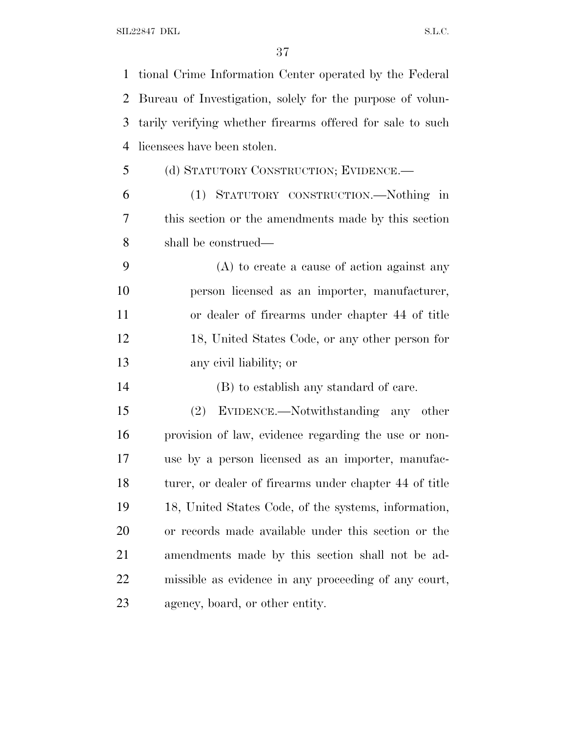| 1  | tional Crime Information Center operated by the Federal    |
|----|------------------------------------------------------------|
| 2  | Bureau of Investigation, solely for the purpose of volun-  |
| 3  | tarily verifying whether firearms offered for sale to such |
| 4  | licensees have been stolen.                                |
| 5  | (d) STATUTORY CONSTRUCTION; EVIDENCE.—                     |
| 6  | (1) STATUTORY CONSTRUCTION.—Nothing in                     |
| 7  | this section or the amendments made by this section        |
| 8  | shall be construed—                                        |
| 9  | $(A)$ to create a cause of action against any              |
| 10 | person licensed as an importer, manufacturer,              |
| 11 | or dealer of firearms under chapter 44 of title            |
| 12 | 18, United States Code, or any other person for            |
| 13 | any civil liability; or                                    |
| 14 | (B) to establish any standard of care.                     |
| 15 | EVIDENCE.—Notwithstanding any other<br>(2)                 |
| 16 | provision of law, evidence regarding the use or non-       |
| 17 | use by a person licensed as an importer, manufac-          |
| 18 | turer, or dealer of firearms under chapter 44 of title     |
| 19 | 18, United States Code, of the systems, information,       |
| 20 | or records made available under this section or the        |
| 21 | amendments made by this section shall not be ad-           |
| 22 | missible as evidence in any proceeding of any court,       |
| 23 | agency, board, or other entity.                            |
|    |                                                            |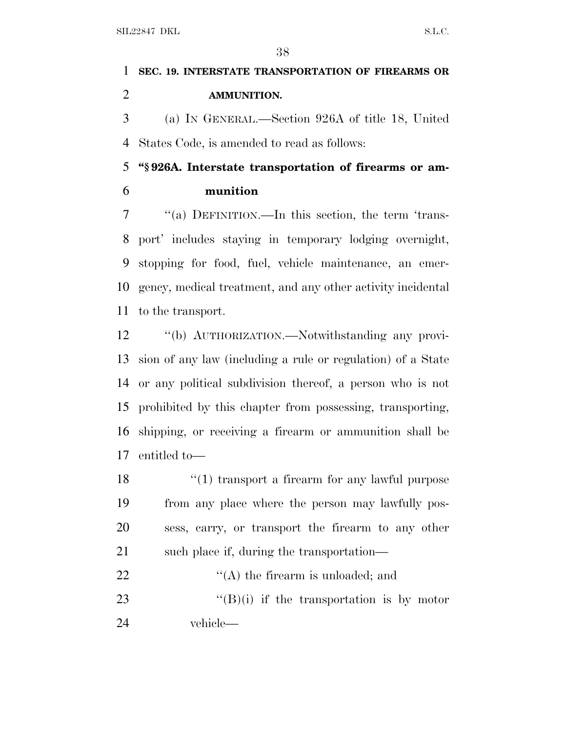## **SEC. 19. INTERSTATE TRANSPORTATION OF FIREARMS OR AMMUNITION.**

 (a) I<sup>N</sup> GENERAL.—Section 926A of title 18, United States Code, is amended to read as follows:

 **''§ 926A. Interstate transportation of firearms or am-munition**

 ''(a) DEFINITION.—In this section, the term 'trans- port' includes staying in temporary lodging overnight, stopping for food, fuel, vehicle maintenance, an emer- gency, medical treatment, and any other activity incidental to the transport.

 ''(b) AUTHORIZATION.—Notwithstanding any provi- sion of any law (including a rule or regulation) of a State or any political subdivision thereof, a person who is not prohibited by this chapter from possessing, transporting, shipping, or receiving a firearm or ammunition shall be entitled to—

18 ''(1) transport a firearm for any lawful purpose from any place where the person may lawfully pos- sess, carry, or transport the firearm to any other 21 such place if, during the transportation—

22  $\langle (A)$  the firearm is unloaded; and 23  $"({\rm B})$ (i) if the transportation is by motor vehicle—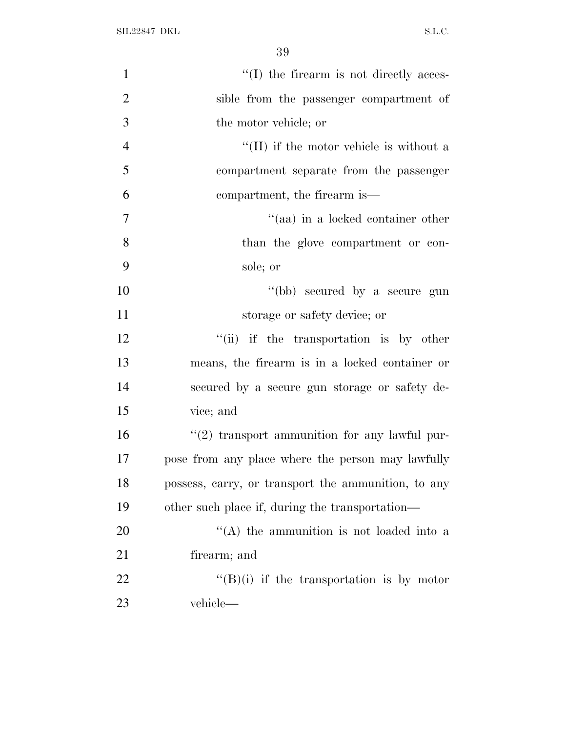| $\mathbf{1}$   | $\lq\lq$ the firearm is not directly acces-         |
|----------------|-----------------------------------------------------|
| $\overline{2}$ | sible from the passenger compartment of             |
| 3              | the motor vehicle; or                               |
| $\overline{4}$ | $\lq\lq$ (II) if the motor vehicle is without a     |
| 5              | compartment separate from the passenger             |
| 6              | compartment, the firearm is—                        |
| 7              | "(aa) in a locked container other                   |
| 8              | than the glove compartment or con-                  |
| 9              | sole; or                                            |
| 10             | "(bb) secured by a secure gun                       |
| 11             | storage or safety device; or                        |
| 12             | "(ii) if the transportation is by other             |
| 13             | means, the firearm is in a locked container or      |
| 14             | secured by a secure gun storage or safety de-       |
| 15             | vice; and                                           |
| 16             | $\lq(2)$ transport ammunition for any lawful pur-   |
| 17             | pose from any place where the person may lawfully   |
| 18             | possess, carry, or transport the ammunition, to any |
| 19             | other such place if, during the transportation—     |
| 20             | $\lq (A)$ the ammunition is not loaded into a       |
| 21             | firearm; and                                        |
| 22             | $\lq\lq (B)(i)$ if the transportation is by motor   |
| 23             | vehicle—                                            |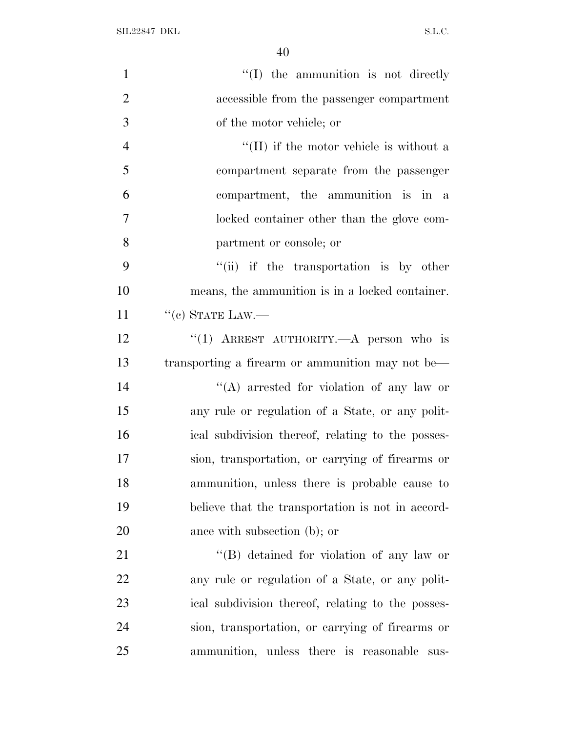SIL22847 DKL  $S.L.C.$ 

| $\mathbf{1}$   | "(I) the ammunition is not directly               |
|----------------|---------------------------------------------------|
| $\overline{2}$ | accessible from the passenger compartment         |
| 3              | of the motor vehicle; or                          |
| $\overline{4}$ | $\lq\lq$ (II) if the motor vehicle is without a   |
| 5              | compartment separate from the passenger           |
| 6              | compartment, the ammunition is in a               |
| $\overline{7}$ | locked container other than the glove com-        |
| 8              | partment or console; or                           |
| 9              | "(ii) if the transportation is by other           |
| 10             | means, the ammunition is in a locked container.   |
| 11             | $``(c)$ STATE LAW.—                               |
| 12             | "(1) ARREST AUTHORITY.—A person who is            |
| 13             | transporting a firearm or ammunition may not be—  |
| 14             | "(A) arrested for violation of any law or         |
| 15             | any rule or regulation of a State, or any polit-  |
| 16             | ical subdivision thereof, relating to the posses- |
| 17             | sion, transportation, or carrying of firearms or  |
| 18             | ammunition, unless there is probable cause to     |
| 19             | believe that the transportation is not in accord- |
| 20             | ance with subsection (b); or                      |
| 21             | "(B) detained for violation of any law or         |
| 22             | any rule or regulation of a State, or any polit-  |
| 23             | ical subdivision thereof, relating to the posses- |
| 24             | sion, transportation, or carrying of firearms or  |
| 25             | ammunition, unless there is reasonable<br>sus-    |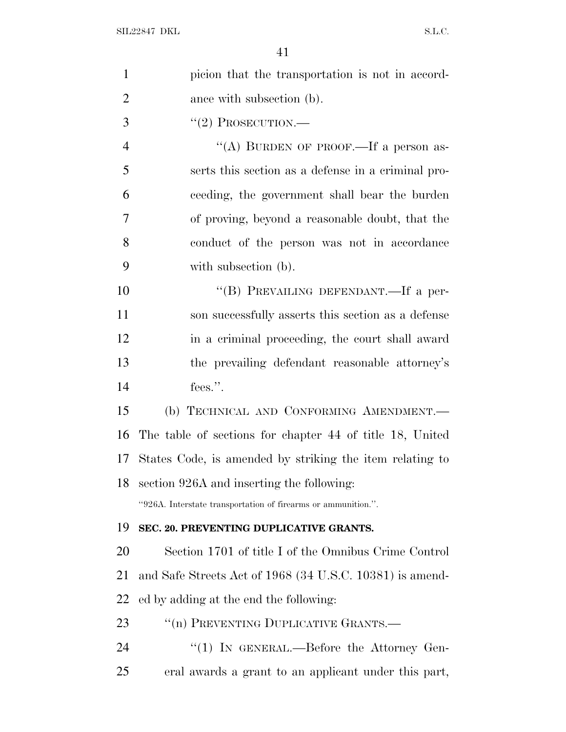| $\mathbf{1}$   | picion that the transportation is not in accord-              |
|----------------|---------------------------------------------------------------|
| $\overline{2}$ | ance with subsection (b).                                     |
| 3              | $``(2)$ PROSECUTION.—                                         |
| $\overline{4}$ | "(A) BURDEN OF PROOF.—If a person as-                         |
| 5              | serts this section as a defense in a criminal pro-            |
| 6              | ceeding, the government shall bear the burden                 |
| 7              | of proving, beyond a reasonable doubt, that the               |
| 8              | conduct of the person was not in accordance                   |
| 9              | with subsection (b).                                          |
| 10             | "(B) PREVAILING DEFENDANT.—If a per-                          |
| 11             | son successfully asserts this section as a defense            |
| 12             | in a criminal proceeding, the court shall award               |
| 13             | the prevailing defendant reasonable attorney's                |
| 14             | fees.".                                                       |
| 15             | (b) TECHNICAL AND CONFORMING AMENDMENT.                       |
| 16             | The table of sections for chapter 44 of title 18, United      |
| 17             | States Code, is amended by striking the item relating to      |
| 18             | section 926A and inserting the following:                     |
|                | "926A. Interstate transportation of firearms or ammunition.". |
| 19             | SEC. 20. PREVENTING DUPLICATIVE GRANTS.                       |
| 20             | Section 1701 of title I of the Omnibus Crime Control          |
| 21             | and Safe Streets Act of 1968 (34 U.S.C. 10381) is amend-      |
| 22             | ed by adding at the end the following:                        |
| 23             | "(n) PREVENTING DUPLICATIVE GRANTS.—                          |
| 24             | "(1) IN GENERAL.—Before the Attorney Gen-                     |
| 25             | eral awards a grant to an applicant under this part,          |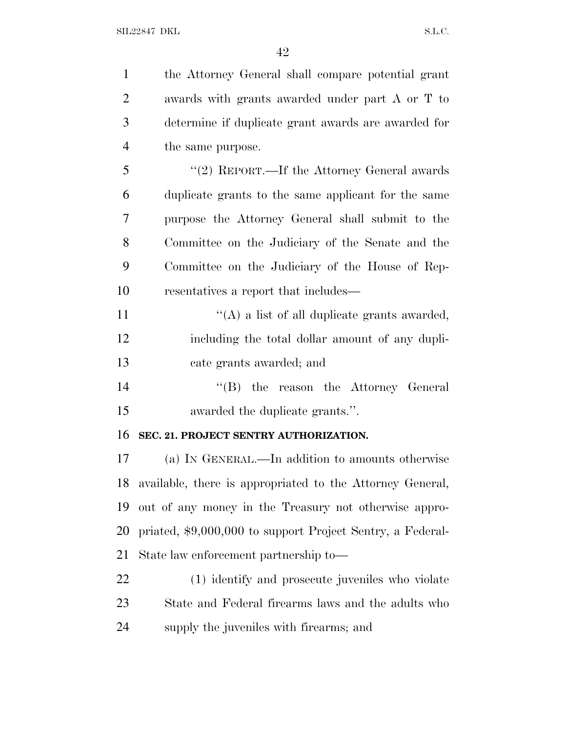| $\mathbf{1}$   | the Attorney General shall compare potential grant         |
|----------------|------------------------------------------------------------|
| $\overline{2}$ | awards with grants awarded under part A or T to            |
| 3              | determine if duplicate grant awards are awarded for        |
| $\overline{4}$ | the same purpose.                                          |
| 5              | "(2) REPORT.—If the Attorney General awards                |
| 6              | duplicate grants to the same applicant for the same        |
| 7              | purpose the Attorney General shall submit to the           |
| 8              | Committee on the Judiciary of the Senate and the           |
| 9              | Committee on the Judiciary of the House of Rep-            |
| 10             | resentatives a report that includes—                       |
| 11             | "(A) a list of all duplicate grants awarded,               |
| 12             | including the total dollar amount of any dupli-            |
| 13             | cate grants awarded; and                                   |
| 14             | "(B) the reason the Attorney General                       |
| 15             | awarded the duplicate grants.".                            |
| 16             | SEC. 21. PROJECT SENTRY AUTHORIZATION.                     |
| 17             | (a) IN GENERAL.—In addition to amounts otherwise           |
| 18             | available, there is appropriated to the Attorney General,  |
| 19             | out of any money in the Treasury not otherwise appro-      |
| 20             | priated, \$9,000,000 to support Project Sentry, a Federal- |
| 21             | State law enforcement partnership to—                      |
| 22             | (1) identify and prosecute juveniles who violate           |
| 23             | State and Federal firearms laws and the adults who         |
| 24             | supply the juveniles with firearms; and                    |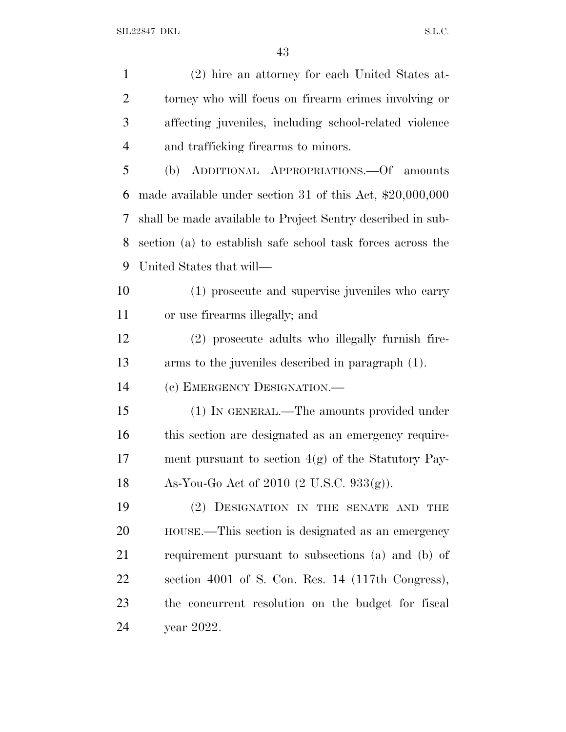| $\mathbf{1}$   | (2) hire an attorney for each United States at-             |
|----------------|-------------------------------------------------------------|
| $\overline{2}$ | torney who will focus on firearm crimes involving or        |
| 3              | affecting juveniles, including school-related violence      |
| $\overline{4}$ | and trafficking firearms to minors.                         |
| 5              | (b) ADDITIONAL APPROPRIATIONS. Of amounts                   |
| 6              | made available under section 31 of this Act, $$20,000,000$  |
| 7              | shall be made available to Project Sentry described in sub- |
| 8              | section (a) to establish safe school task forces across the |
| 9              | United States that will—                                    |
| 10             | (1) prosecute and supervise juveniles who carry             |
| 11             | or use firearms illegally; and                              |
| 12             | (2) prosecute adults who illegally furnish fire-            |
| 13             | arms to the juveniles described in paragraph (1).           |
| 14             | (c) EMERGENCY DESIGNATION.—                                 |
| 15             | (1) IN GENERAL.—The amounts provided under                  |
| 16             | this section are designated as an emergency require-        |
| 17             | ment pursuant to section $4(g)$ of the Statutory Pay-       |
| 18             | As-You-Go Act of 2010 $(2 \text{ U.S.C. } 933(g))$ .        |
| 19             | (2) DESIGNATION IN THE SENATE AND THE                       |
| 20             | HOUSE.—This section is designated as an emergency           |
| 21             | requirement pursuant to subsections (a) and (b) of          |
| 22             | section 4001 of S. Con. Res. 14 (117th Congress),           |
| 23             | the concurrent resolution on the budget for fiscal          |
| 24             | year 2022.                                                  |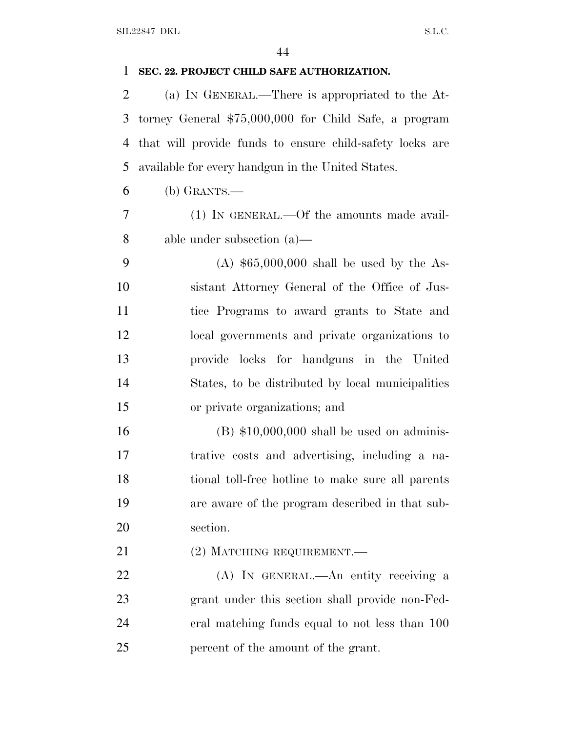## **SEC. 22. PROJECT CHILD SAFE AUTHORIZATION.**

 (a) I<sup>N</sup> GENERAL.—There is appropriated to the At- torney General \$75,000,000 for Child Safe, a program that will provide funds to ensure child-safety locks are available for every handgun in the United States.

- (b) GRANTS.—
- (1) IN GENERAL.—Of the amounts made avail-able under subsection (a)—

 (A) \$65,000,000 shall be used by the As- sistant Attorney General of the Office of Jus- tice Programs to award grants to State and local governments and private organizations to provide locks for handguns in the United States, to be distributed by local municipalities or private organizations; and

 (B) \$10,000,000 shall be used on adminis- trative costs and advertising, including a na- tional toll-free hotline to make sure all parents are aware of the program described in that sub-section.

21 (2) MATCHING REQUIREMENT.

 (A) IN GENERAL.—An entity receiving a grant under this section shall provide non-Fed- eral matching funds equal to not less than 100 percent of the amount of the grant.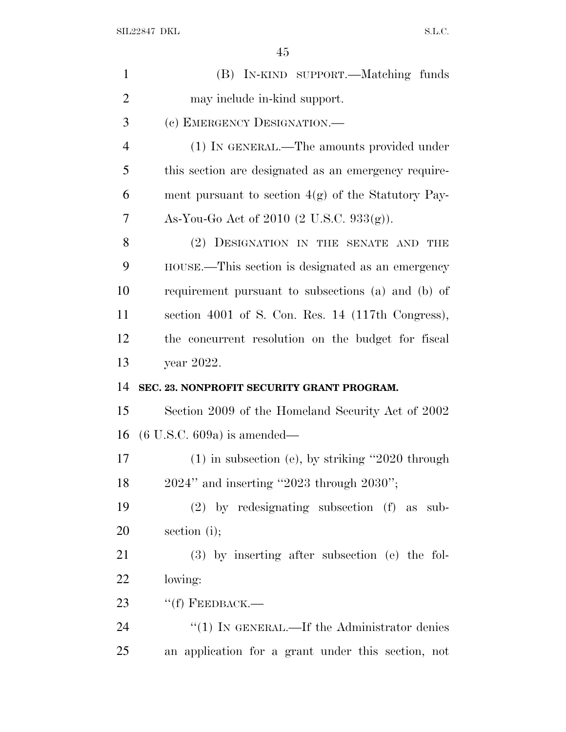| $\mathbf{1}$   | (B) IN-KIND SUPPORT.—Matching funds                   |
|----------------|-------------------------------------------------------|
| $\overline{2}$ | may include in-kind support.                          |
| 3              | (c) EMERGENCY DESIGNATION.—                           |
| $\overline{4}$ | (1) IN GENERAL.—The amounts provided under            |
| 5              | this section are designated as an emergency require-  |
| 6              | ment pursuant to section $4(g)$ of the Statutory Pay- |
| 7              | As-You-Go Act of 2010 $(2 \text{ U.S.C. } 933(g))$ .  |
| 8              | (2) DESIGNATION IN THE SENATE AND<br>THE              |
| 9              | HOUSE.—This section is designated as an emergency     |
| 10             | requirement pursuant to subsections (a) and (b) of    |
| 11             | section 4001 of S. Con. Res. 14 (117th Congress),     |
| 12             | the concurrent resolution on the budget for fiscal    |
| 13             | year 2022.                                            |
| 14             | SEC. 23. NONPROFIT SECURITY GRANT PROGRAM.            |
| 15             | Section 2009 of the Homeland Security Act of 2002     |
| 16             | $(6 \text{ U.S.C. } 609a)$ is amended—                |
| 17             | $(1)$ in subsection (e), by striking "2020 through    |
| 18             | 2024" and inserting "2023 through 2030";              |
| 19             | $(2)$ by redesignating subsection $(f)$ as sub-       |
| 20             | section $(i)$ ;                                       |
| 21             | $(3)$ by inserting after subsection (e) the fol-      |
| 22             | lowing:                                               |
| 23             | $``(f)$ FEEDBACK.—                                    |
| 24             | " $(1)$ IN GENERAL.—If the Administrator denies       |
| 25             | an application for a grant under this section, not    |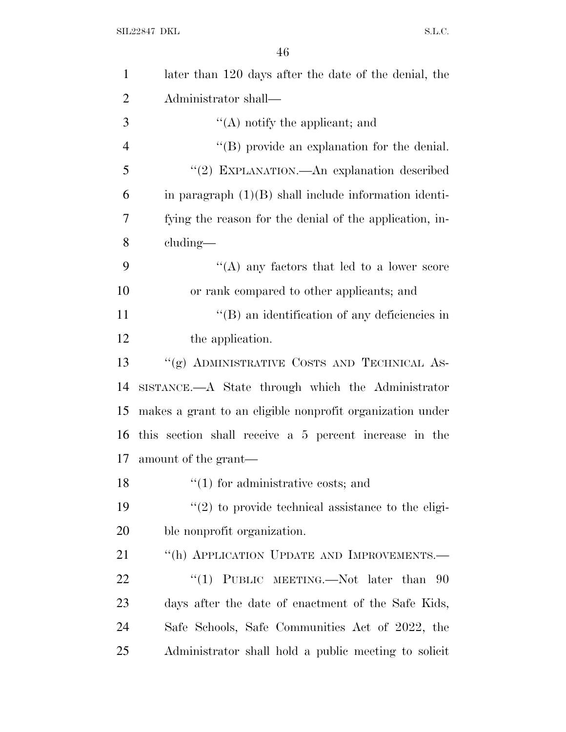| $\mathbf{1}$   | later than 120 days after the date of the denial, the     |
|----------------|-----------------------------------------------------------|
| $\overline{2}$ | Administrator shall—                                      |
| 3              | $\lq\lq$ notify the applicant; and                        |
| $\overline{4}$ | $\lq\lq$ (B) provide an explanation for the denial.       |
| 5              | "(2) EXPLANATION.—An explanation described                |
| 6              | in paragraph $(1)(B)$ shall include information identi-   |
| 7              | fying the reason for the denial of the application, in-   |
| 8              | $cluding$ —                                               |
| 9              | "(A) any factors that led to a lower score                |
| 10             | or rank compared to other applicants; and                 |
| 11             | "(B) an identification of any deficiencies in             |
| 12             | the application.                                          |
| 13             | "(g) ADMINISTRATIVE COSTS AND TECHNICAL AS-               |
| 14             | SISTANCE.—A State through which the Administrator         |
| 15             | makes a grant to an eligible nonprofit organization under |
| 16             | this section shall receive a 5 percent increase in the    |
| 17             | amount of the grant—                                      |
| 18             | $\lq(1)$ for administrative costs; and                    |
| 19             | $\lq(2)$ to provide technical assistance to the eligi-    |
| 20             | ble nonprofit organization.                               |
| 21             | "(h) APPLICATION UPDATE AND IMPROVEMENTS.—                |
| 22             | "(1) PUBLIC MEETING.—Not later than<br>-90                |
| 23             | days after the date of enactment of the Safe Kids,        |
| 24             | Safe Schools, Safe Communities Act of 2022, the           |
| 25             | Administrator shall hold a public meeting to solicit      |
|                |                                                           |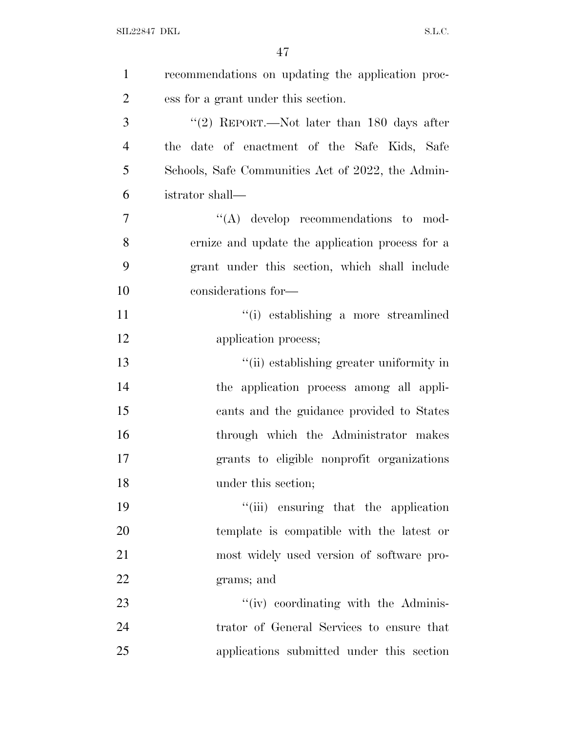| $\mathbf{1}$   | recommendations on updating the application proc- |
|----------------|---------------------------------------------------|
| $\overline{2}$ | ess for a grant under this section.               |
| 3              | "(2) REPORT.—Not later than $180$ days after      |
| $\overline{4}$ | the date of enactment of the Safe Kids, Safe      |
| 5              | Schools, Safe Communities Act of 2022, the Admin- |
| 6              | istrator shall—                                   |
| 7              | $\lq\lq$ develop recommendations to mod-          |
| 8              | ernize and update the application process for a   |
| 9              | grant under this section, which shall include     |
| 10             | considerations for-                               |
| 11             | "(i) establishing a more streamlined              |
| 12             | application process;                              |
| 13             | "(ii) establishing greater uniformity in          |
| 14             | the application process among all appli-          |
| 15             | cants and the guidance provided to States         |
| 16             | through which the Administrator makes             |
| 17             | grants to eligible nonprofit organizations        |
| 18             | under this section;                               |
| 19             | "(iii) ensuring that the application              |
| 20             | template is compatible with the latest or         |
| 21             | most widely used version of software pro-         |
| 22             | grams; and                                        |
| 23             | "(iv) coordinating with the Adminis-              |
| 24             | trator of General Services to ensure that         |
| 25             | applications submitted under this section         |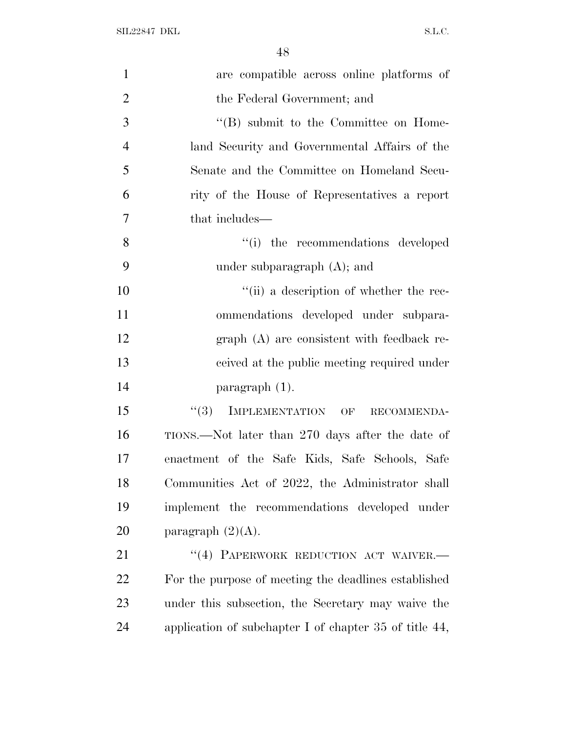| $\mathbf{1}$   | are compatible across online platforms of                   |
|----------------|-------------------------------------------------------------|
| $\overline{2}$ | the Federal Government; and                                 |
| 3              | $\lq\lq (B)$ submit to the Committee on Home-               |
| $\overline{4}$ | land Security and Governmental Affairs of the               |
| 5              | Senate and the Committee on Homeland Secu-                  |
| 6              | rity of the House of Representatives a report               |
| $\tau$         | that includes—                                              |
| 8              | "(i) the recommendations developed                          |
| 9              | under subparagraph $(A)$ ; and                              |
| 10             | "(ii) a description of whether the rec-                     |
| 11             | ommendations developed under subpara-                       |
| 12             | $graph(A)$ are consistent with feedback re-                 |
| 13             | ceived at the public meeting required under                 |
| 14             | $\frac{1}{2}$ paragraph (1).                                |
| 15             | IMPLEMENTATION OF<br>(3)<br>RECOMMENDA-                     |
| 16             | TIONS.—Not later than 270 days after the date of            |
| 17             | enactment of the Safe Kids, Safe Schools, Safe              |
| 18             | Communities Act of 2022, the Administrator shall            |
| 19             | implement the recommendations developed under               |
| 20             | paragraph $(2)(A)$ .                                        |
| 21             | "(4) PAPERWORK REDUCTION ACT WAIVER.-                       |
| 22             | For the purpose of meeting the deadlines established        |
| 23             | under this subsection, the Secretary may waive the          |
| 24             | application of subchapter I of chapter $35$ of title $44$ , |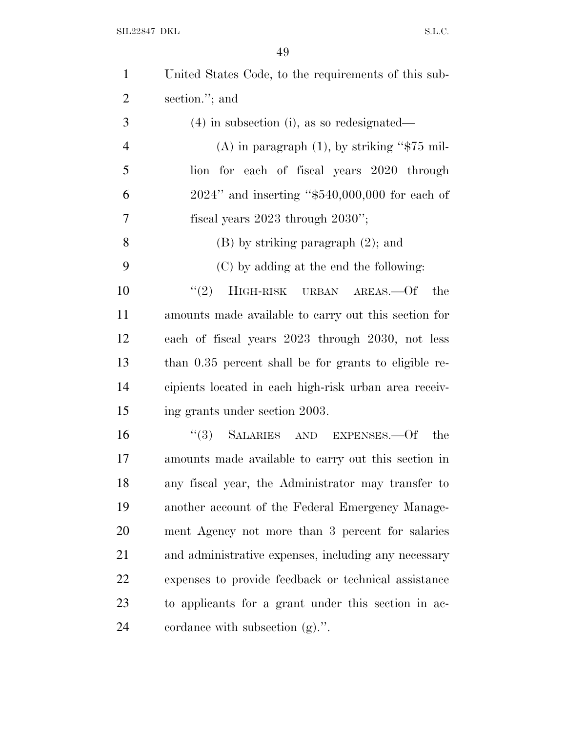SIL22847 DKL  $S.L.C.$ 

| $\mathbf{1}$   | United States Code, to the requirements of this sub-  |
|----------------|-------------------------------------------------------|
| $\overline{2}$ | section."; and                                        |
| 3              | $(4)$ in subsection (i), as so redesignated—          |
| $\overline{4}$ | (A) in paragraph $(1)$ , by striking "\$75 mil-       |
| 5              | lion for each of fiscal years 2020 through            |
| 6              | $2024"$ and inserting "\$540,000,000 for each of      |
| $\overline{7}$ | fiscal years $2023$ through $2030$ ";                 |
| 8              | $(B)$ by striking paragraph $(2)$ ; and               |
| 9              | (C) by adding at the end the following:               |
| 10             | "(2) $H$ IGH-RISK URBAN AREAS.—Of<br>the              |
| 11             | amounts made available to carry out this section for  |
| 12             | each of fiscal years 2023 through 2030, not less      |
| 13             | than 0.35 percent shall be for grants to eligible re- |
| 14             | cipients located in each high-risk urban area receiv- |
| 15             | ing grants under section 2003.                        |
| 16             | "(3) SALARIES AND EXPENSES.—Of the                    |
| 17             | amounts made available to carry out this section in   |
| 18             | any fiscal year, the Administrator may transfer to    |
| 19             | another account of the Federal Emergency Manage-      |
| <b>20</b>      | ment Agency not more than 3 percent for salaries      |
| 21             | and administrative expenses, including any necessary  |
| 22             | expenses to provide feedback or technical assistance  |
| 23             | to applicants for a grant under this section in ac-   |
| 24             | cordance with subsection $(g)$ .".                    |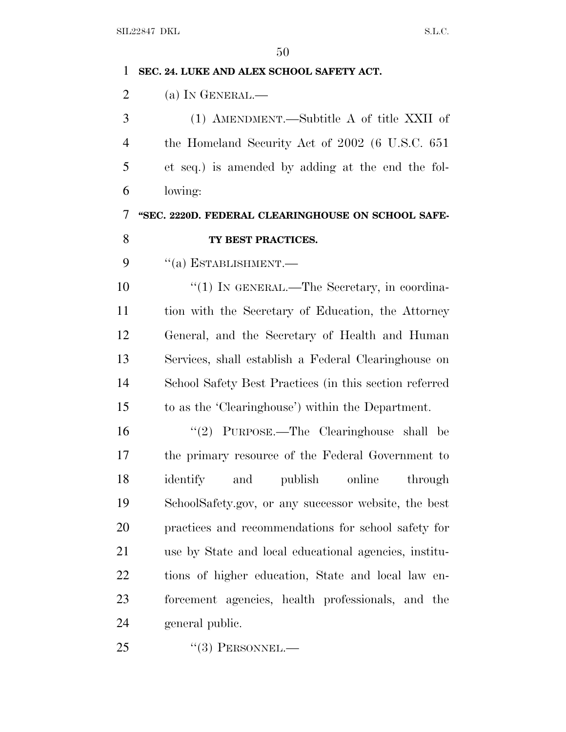| 1              | SEC. 24. LUKE AND ALEX SCHOOL SAFETY ACT.              |
|----------------|--------------------------------------------------------|
| $\overline{2}$ | (a) IN GENERAL.-                                       |
| 3              | (1) AMENDMENT.—Subtitle A of title XXII of             |
| $\overline{4}$ | the Homeland Security Act of 2002 (6 U.S.C. 651)       |
| 5              | et seq.) is amended by adding at the end the fol-      |
| 6              | lowing:                                                |
| 7              | "SEC. 2220D. FEDERAL CLEARINGHOUSE ON SCHOOL SAFE-     |
| 8              | TY BEST PRACTICES.                                     |
| 9              | $``(a)$ ESTABLISHMENT.—                                |
| 10             | "(1) IN GENERAL.—The Secretary, in coordina-           |
| 11             | tion with the Secretary of Education, the Attorney     |
| 12             | General, and the Secretary of Health and Human         |
| 13             | Services, shall establish a Federal Clearinghouse on   |
| 14             | School Safety Best Practices (in this section referred |
| 15             | to as the 'Clearinghouse') within the Department.      |
| 16             | "(2) PURPOSE.—The Clearinghouse shall be               |
| 17             | the primary resource of the Federal Government to      |
| 18             | online<br>identify<br>and<br>publish<br>through        |
| 19             | SchoolSafety.gov, or any successor website, the best   |
| 20             | practices and recommendations for school safety for    |
| 21             | use by State and local educational agencies, institu-  |
| 22             | tions of higher education, State and local law en-     |
| 23             | forcement agencies, health professionals, and the      |
| 24             | general public.                                        |
|                |                                                        |

25 "(3) PERSONNEL.—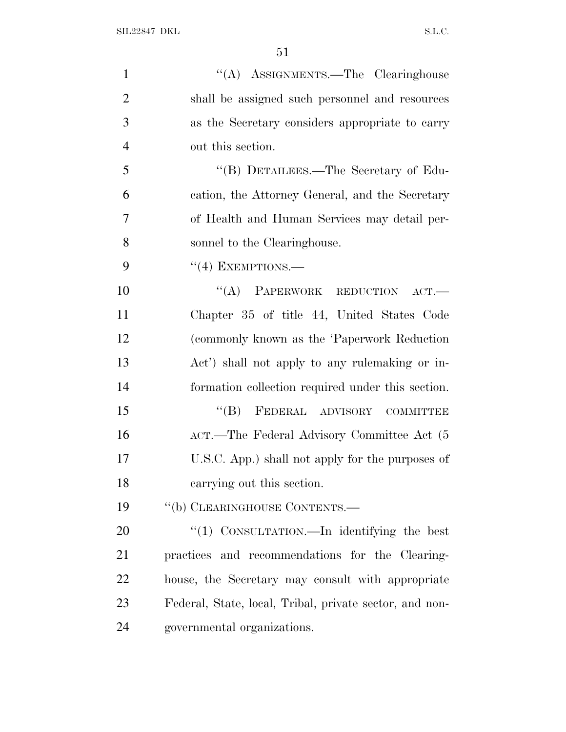| $\mathbf{1}$   | "(A) ASSIGNMENTS.—The Clearinghouse                     |
|----------------|---------------------------------------------------------|
| $\overline{2}$ | shall be assigned such personnel and resources          |
| 3              | as the Secretary considers appropriate to carry         |
| $\overline{4}$ | out this section.                                       |
| 5              | "(B) DETAILEES.—The Secretary of Edu-                   |
| 6              | cation, the Attorney General, and the Secretary         |
| 7              | of Health and Human Services may detail per-            |
| 8              | sonnel to the Clearinghouse.                            |
| 9              | $``(4)$ EXEMPTIONS.—                                    |
| 10             | "(A) PAPERWORK REDUCTION<br>ACT.                        |
| 11             | Chapter 35 of title 44, United States Code              |
| 12             | (commonly known as the 'Paperwork Reduction             |
| 13             | Act') shall not apply to any rule making or in-         |
| 14             | formation collection required under this section.       |
| 15             | FEDERAL ADVISORY COMMITTEE<br>$\lq\lq (B)$              |
| 16             | ACT.—The Federal Advisory Committee Act (5)             |
| 17             | U.S.C. App.) shall not apply for the purposes of        |
| 18             | carrying out this section.                              |
| 19             | "(b) CLEARINGHOUSE CONTENTS.—                           |
| 20             | " $(1)$ CONSULTATION.—In identifying the best           |
| 21             | practices and recommendations for the Clearing-         |
| 22             | house, the Secretary may consult with appropriate       |
| 23             | Federal, State, local, Tribal, private sector, and non- |
| 24             | governmental organizations.                             |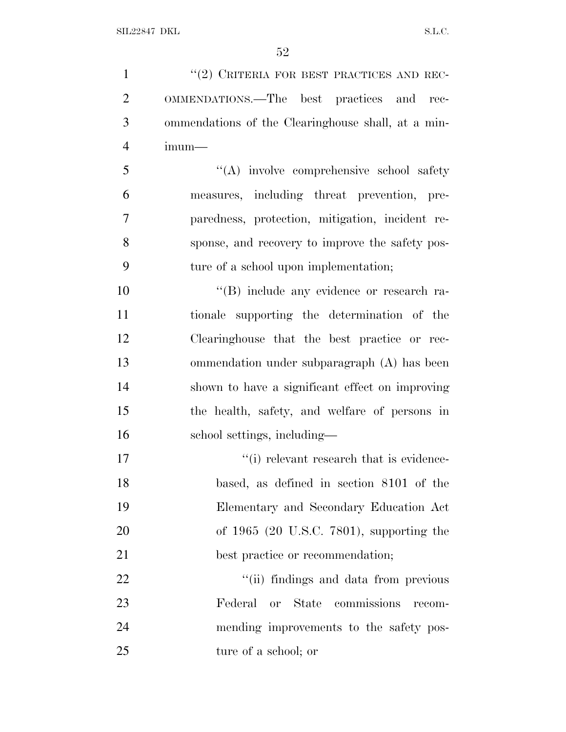1 ''(2) CRITERIA FOR BEST PRACTICES AND REC- OMMENDATIONS.—The best practices and rec- ommendations of the Clearinghouse shall, at a min-imum—

 ''(A) involve comprehensive school safety measures, including threat prevention, pre- paredness, protection, mitigation, incident re- sponse, and recovery to improve the safety pos-ture of a school upon implementation;

 $\langle G \rangle$  include any evidence or research ra- tionale supporting the determination of the Clearinghouse that the best practice or rec- ommendation under subparagraph (A) has been shown to have a significant effect on improving the health, safety, and welfare of persons in school settings, including—

 $\cdot$  (i) relevant research that is evidence- based, as defined in section 8101 of the Elementary and Secondary Education Act of 1965 (20 U.S.C. 7801), supporting the 21 best practice or recommendation;

 $\frac{1}{2}$   $\frac{1}{2}$   $\frac{1}{2}$  findings and data from previous Federal or State commissions recom- mending improvements to the safety pos-ture of a school; or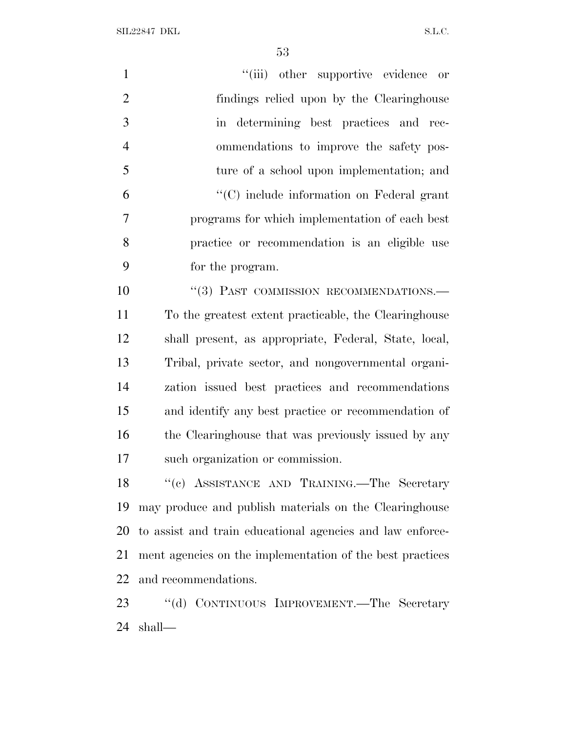SIL22847 DKL S.L.C.

| $\mathbf{1}$   | "(iii) other supportive evidence or                   |
|----------------|-------------------------------------------------------|
| $\overline{2}$ | findings relied upon by the Clearinghouse             |
| 3              | in determining best practices and rec-                |
| $\overline{4}$ | ommendations to improve the safety pos-               |
| 5              | ture of a school upon implementation; and             |
| 6              | $\cdot$ (C) include information on Federal grant      |
| 7              | programs for which implementation of each best        |
| 8              | practice or recommendation is an eligible use         |
| 9              | for the program.                                      |
| 10             | "(3) PAST COMMISSION RECOMMENDATIONS.-                |
| 11             | To the greatest extent practicable, the Clearinghouse |
| 12             | shall present, as appropriate, Federal, State, local, |
| 13             | Tribal, private sector, and nongovernmental organi-   |
| 14             | zation issued best practices and recommendations      |
| 15             | and identify any best practice or recommendation of   |
| 16             | the Clearinghouse that was previously issued by any   |

such organization or commission.

18 "(c) ASSISTANCE AND TRAINING.—The Secretary may produce and publish materials on the Clearinghouse to assist and train educational agencies and law enforce- ment agencies on the implementation of the best practices and recommendations.

 ''(d) CONTINUOUS IMPROVEMENT.—The Secretary shall—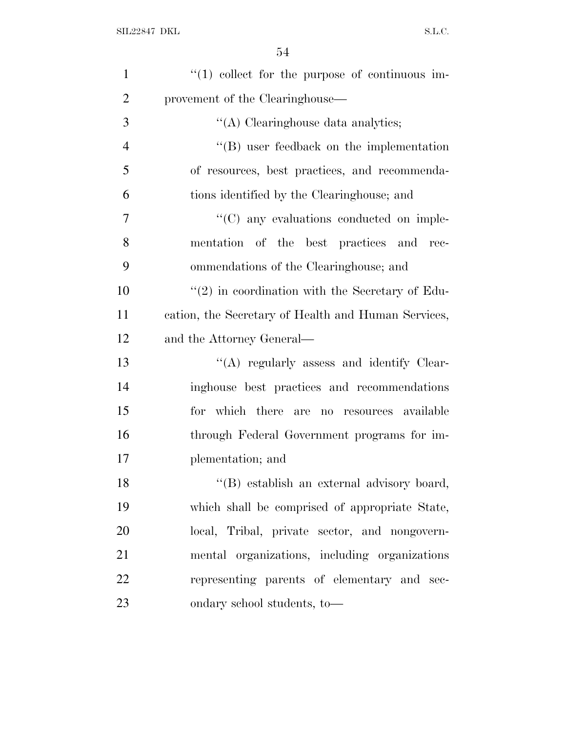| $\mathbf{1}$   | $(1)$ collect for the purpose of continuous im-      |
|----------------|------------------------------------------------------|
| $\overline{2}$ | provement of the Clearinghouse—                      |
| 3              | "(A) Clearinghouse data analytics;                   |
| $\overline{4}$ | $\lq\lq$ user feedback on the implementation         |
| 5              | of resources, best practices, and recommenda-        |
| 6              | tions identified by the Clearinghouse; and           |
| 7              | $\cdot\cdot$ (C) any evaluations conducted on imple- |
| 8              | mentation of the best practices and rec-             |
| 9              | ommendations of the Clearinghouse; and               |
| 10             | $\lq(2)$ in coordination with the Secretary of Edu-  |
| 11             | cation, the Secretary of Health and Human Services,  |
| 12             | and the Attorney General—                            |
| 13             | $\lq\lq$ regularly assess and identify Clear-        |
| 14             | inghouse best practices and recommendations          |
| 15             | for which there are no resources available           |
| 16             | through Federal Government programs for im-          |
| 17             | plementation; and                                    |
| 18             | "(B) establish an external advisory board,           |
| 19             | which shall be comprised of appropriate State,       |
| 20             | local, Tribal, private sector, and nongovern-        |
| 21             | mental organizations, including organizations        |
| 22             | representing parents of elementary and sec-          |
| 23             | ondary school students, to-                          |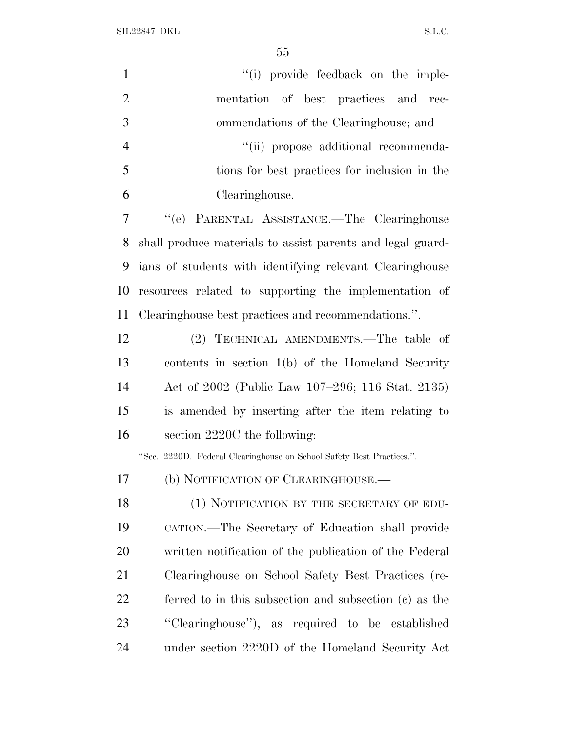SIL22847 DKL  $SL.C.$ 

| $\mathbf{1}$   | "(i) provide feedback on the imple-                                   |
|----------------|-----------------------------------------------------------------------|
| $\overline{2}$ | mentation of best practices and rec-                                  |
| 3              | ommendations of the Clearinghouse; and                                |
| $\overline{4}$ | "(ii) propose additional recommenda-                                  |
| 5              | tions for best practices for inclusion in the                         |
| 6              | Clearinghouse.                                                        |
| $\tau$         | "(e) PARENTAL ASSISTANCE.-The Clearinghouse                           |
| 8              | shall produce materials to assist parents and legal guard-            |
| 9              | ians of students with identifying relevant Clearinghouse              |
| 10             | resources related to supporting the implementation of                 |
| 11             | Clearinghouse best practices and recommendations.".                   |
| 12             | (2) TECHNICAL AMENDMENTS.—The table of                                |
| 13             | contents in section $1(b)$ of the Homeland Security                   |
| 14             | Act of 2002 (Public Law 107–296; 116 Stat. 2135)                      |
| 15             | is amended by inserting after the item relating to                    |
| 16             | section 2220C the following:                                          |
|                | "Sec. 2220D. Federal Clearinghouse on School Safety Best Practices.". |
| 17             | (b) NOTIFICATION OF CLEARINGHOUSE.                                    |
| 18             | (1) NOTIFICATION BY THE SECRETARY OF EDU-                             |
| 19             | CATION.—The Secretary of Education shall provide                      |
| 20             | written notification of the publication of the Federal                |
| 21             | Clearinghouse on School Safety Best Practices (re-                    |
| 22             | ferred to in this subsection and subsection (c) as the                |
| 23             | "Clearinghouse"), as required to be established                       |
| 24             | under section 2220D of the Homeland Security Act                      |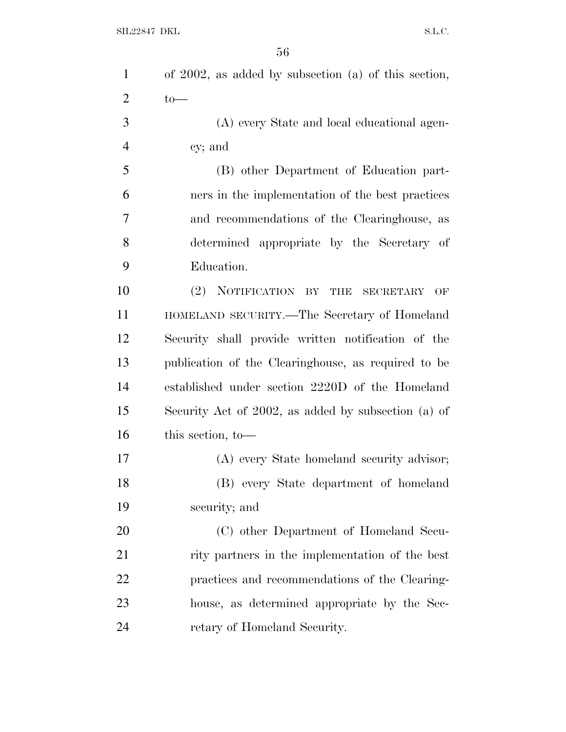| $\mathbf{1}$   | of $2002$ , as added by subsection (a) of this section,        |
|----------------|----------------------------------------------------------------|
| $\overline{c}$ | $to-$                                                          |
| 3              | (A) every State and local educational agen-                    |
| 4              | cy; and                                                        |
| 5              | (B) other Department of Education part-                        |
| 6              | ners in the implementation of the best practices               |
| 7              | and recommendations of the Clearinghouse, as                   |
| 8              | determined appropriate by the Secretary of                     |
| 9              | Education.                                                     |
| 10             | (2)<br>NOTIFICATION BY<br><b>THE</b><br><b>SECRETARY</b><br>OF |
| 11             | HOMELAND SECURITY.-The Secretary of Homeland                   |
| 12             | Security shall provide written notification of the             |
| 13             | publication of the Clearinghouse, as required to be            |
| 14             | established under section 2220D of the Homeland                |
| 15             | Security Act of 2002, as added by subsection (a) of            |
| 16             | this section, to-                                              |
| 17             | (A) every State homeland security advisor;                     |
| 18             | (B) every State department of homeland                         |
| 19             | security; and                                                  |
| 20             | (C) other Department of Homeland Secu-                         |
| 21             | rity partners in the implementation of the best                |
| 22             | practices and recommendations of the Clearing-                 |
| 23             | house, as determined appropriate by the Sec-                   |
| 24             | retary of Homeland Security.                                   |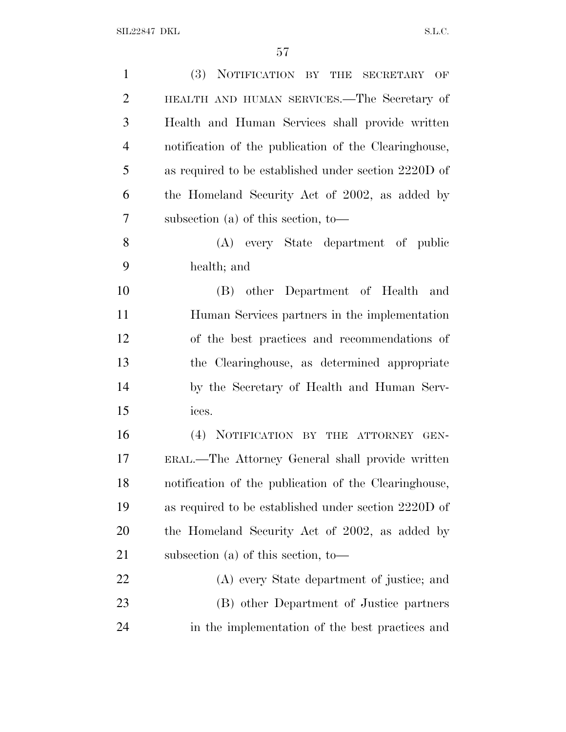| $\mathbf{1}$   | (3) NOTIFICATION BY THE SECRETARY OF                  |
|----------------|-------------------------------------------------------|
| $\overline{2}$ | HEALTH AND HUMAN SERVICES.—The Secretary of           |
| 3              | Health and Human Services shall provide written       |
| $\overline{4}$ | notification of the publication of the Clearinghouse, |
| 5              | as required to be established under section 2220D of  |
| 6              | the Homeland Security Act of 2002, as added by        |
| 7              | subsection (a) of this section, to —                  |
| 8              | (A) every State department of public                  |
| 9              | health; and                                           |
| 10             | (B) other Department of Health and                    |
| 11             | Human Services partners in the implementation         |
| 12             | of the best practices and recommendations of          |
| 13             | the Clearinghouse, as determined appropriate          |
| 14             | by the Secretary of Health and Human Serv-            |
| 15             | ices.                                                 |
| 16             | (4) NOTIFICATION BY THE ATTORNEY GEN-                 |
| 17             | ERAL.—The Attorney General shall provide written      |
| 18             | notification of the publication of the Clearinghouse, |
| 19             | as required to be established under section 2220D of  |
| 20             | the Homeland Security Act of 2002, as added by        |
| 21             | subsection (a) of this section, to —                  |
| 22             | (A) every State department of justice; and            |
| 23             | (B) other Department of Justice partners              |
| 24             | in the implementation of the best practices and       |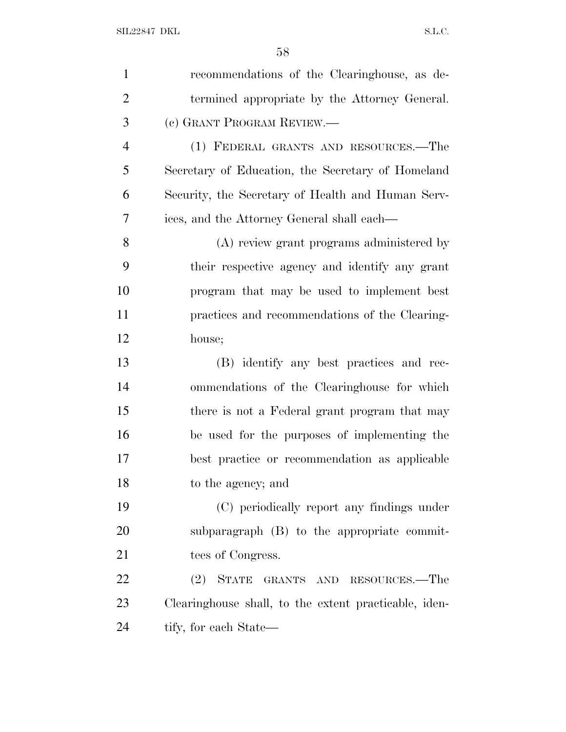| $\mathbf{1}$   | recommendations of the Clearinghouse, as de-          |
|----------------|-------------------------------------------------------|
| $\overline{2}$ | termined appropriate by the Attorney General.         |
| 3              | (c) GRANT PROGRAM REVIEW.—                            |
| $\overline{4}$ | (1) FEDERAL GRANTS AND RESOURCES.—The                 |
| 5              | Secretary of Education, the Secretary of Homeland     |
| 6              | Security, the Secretary of Health and Human Serv-     |
| 7              | ices, and the Attorney General shall each—            |
| 8              | (A) review grant programs administered by             |
| 9              | their respective agency and identify any grant        |
| 10             | program that may be used to implement best            |
| 11             | practices and recommendations of the Clearing-        |
| 12             | house;                                                |
| 13             | (B) identify any best practices and rec-              |
| 14             | ommendations of the Clearinghouse for which           |
| 15             | there is not a Federal grant program that may         |
| 16             | be used for the purposes of implementing the          |
| 17             | best practice or recommendation as applicable         |
| 18             | to the agency; and                                    |
| 19             | (C) periodically report any findings under            |
| 20             | subparagraph (B) to the appropriate commit-           |
| 21             | tees of Congress.                                     |
| 22             | (2)<br><b>STATE</b><br>GRANTS AND RESOURCES.—The      |
| 23             | Clearinghouse shall, to the extent practicable, iden- |
| 24             | tify, for each State—                                 |
|                |                                                       |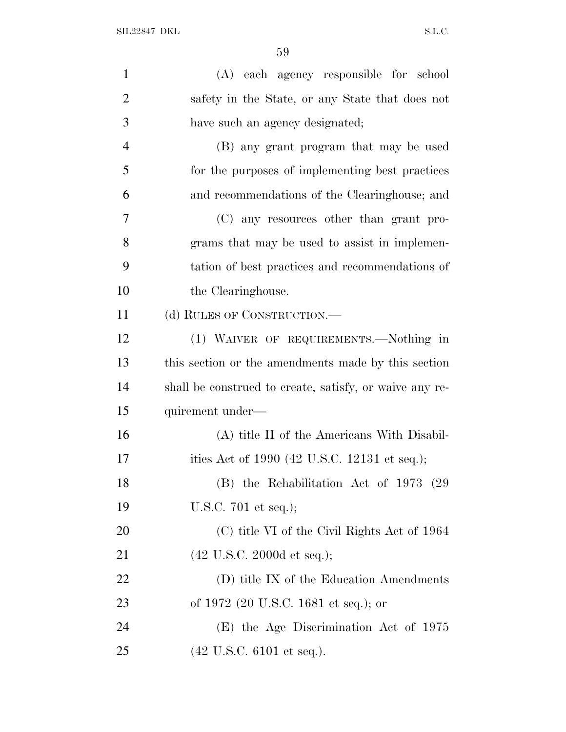| $\mathbf{1}$   | (A) each agency responsible for school                  |
|----------------|---------------------------------------------------------|
| $\overline{2}$ | safety in the State, or any State that does not         |
| 3              | have such an agency designated;                         |
| $\overline{4}$ | (B) any grant program that may be used                  |
| 5              | for the purposes of implementing best practices         |
| 6              | and recommendations of the Clearinghouse; and           |
| 7              | (C) any resources other than grant pro-                 |
| 8              | grams that may be used to assist in implemen-           |
| 9              | tation of best practices and recommendations of         |
| 10             | the Clearinghouse.                                      |
| 11             | (d) RULES OF CONSTRUCTION.—                             |
| 12             | (1) WAIVER OF REQUIREMENTS.—Nothing in                  |
| 13             | this section or the amendments made by this section     |
| 14             | shall be construed to create, satisfy, or waive any re- |
| 15             | quirement under—                                        |
| 16             | (A) title II of the Americans With Disabil-             |
| 17             | ities Act of 1990 (42 U.S.C. 12131 et seq.);            |
| 18             | (B) the Rehabilitation Act of 1973 (29)                 |
| 19             | U.S.C. $701$ et seq.);                                  |
| <b>20</b>      | (C) title VI of the Civil Rights Act of 1964            |
| 21             | $(42 \text{ U.S.C. } 2000d \text{ et seq.});$           |
| <u>22</u>      | (D) title IX of the Education Amendments                |
| 23             | of 1972 (20 U.S.C. 1681 et seq.); or                    |
| 24             | (E) the Age Discrimination Act of 1975                  |
| 25             | $(42 \text{ U.S.C. } 6101 \text{ et seq.}).$            |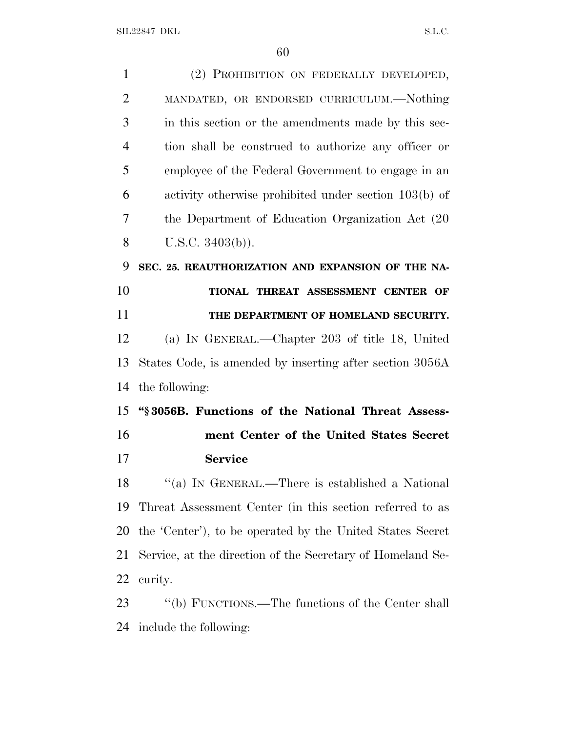SIL22847 DKL  $S.L.C.$ 

| $\mathbf{1}$   | (2) PROHIBITION ON FEDERALLY DEVELOPED,                    |
|----------------|------------------------------------------------------------|
| $\overline{2}$ | MANDATED, OR ENDORSED CURRICULUM.—Nothing                  |
| 3              | in this section or the amendments made by this sec-        |
| $\overline{4}$ | tion shall be construed to authorize any officer or        |
| 5              | employee of the Federal Government to engage in an         |
| 6              | activity otherwise prohibited under section 103(b) of      |
| 7              | the Department of Education Organization Act (20)          |
| 8              | U.S.C. $3403(b)$ ).                                        |
| 9              | SEC. 25. REAUTHORIZATION AND EXPANSION OF THE NA-          |
| 10             | TIONAL THREAT ASSESSMENT CENTER OF                         |
| 11             | THE DEPARTMENT OF HOMELAND SECURITY.                       |
| 12             | (a) IN GENERAL.—Chapter 203 of title 18, United            |
| 13             | States Code, is amended by inserting after section 3056A   |
| 14             | the following:                                             |
| 15             | "\\$3056B. Functions of the National Threat Assess-        |
| 16             | ment Center of the United States Secret                    |
| 17             | <b>Service</b>                                             |
| 18             | "(a) IN GENERAL.—There is established a National           |
| 19             | Threat Assessment Center (in this section referred to as   |
| 20             | the 'Center'), to be operated by the United States Secret  |
| 21             | Service, at the direction of the Secretary of Homeland Se- |
| 22             | curity.                                                    |
| 23             | "(b) FUNCTIONS.—The functions of the Center shall          |
| 24             | include the following:                                     |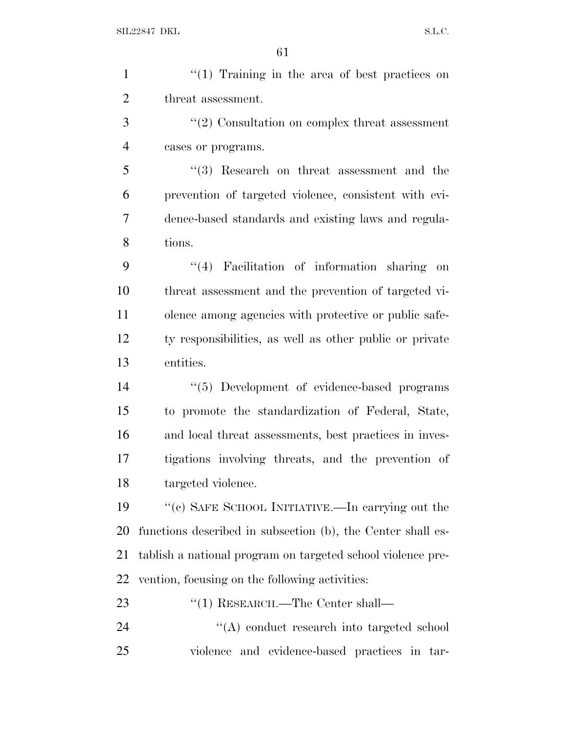| $\mathbf{1}$   | $"(1)$ Training in the area of best practices on            |
|----------------|-------------------------------------------------------------|
| $\overline{2}$ | threat assessment.                                          |
| 3              | $\lq(2)$ Consultation on complex threat assessment          |
| $\overline{4}$ | cases or programs.                                          |
| 5              | $(3)$ Research on threat assessment and the                 |
| 6              | prevention of targeted violence, consistent with evi-       |
| 7              | dence-based standards and existing laws and regula-         |
| 8              | tions.                                                      |
| 9              | $(4)$ Facilitation of information sharing on                |
| 10             | threat assessment and the prevention of targeted vi-        |
| 11             | olence among agencies with protective or public safe-       |
| 12             | ty responsibilities, as well as other public or private     |
| 13             | entities.                                                   |
| 14             | "(5) Development of evidence-based programs                 |
| 15             | to promote the standardization of Federal, State,           |
| 16             | and local threat assessments, best practices in inves-      |
| 17             | tigations involving threats, and the prevention of          |
| 18             | targeted violence.                                          |
| 19             | "(c) SAFE SCHOOL INITIATIVE.—In carrying out the            |
| 20             | functions described in subsection (b), the Center shall es- |
| 21             | tablish a national program on targeted school violence pre- |
| 22             | vention, focusing on the following activities:              |
| 23             | $\cdot$ (1) RESEARCH.—The Center shall—                     |
| 24             | "(A) conduct research into targeted school                  |
| 25             | violence and evidence-based practices in tar-               |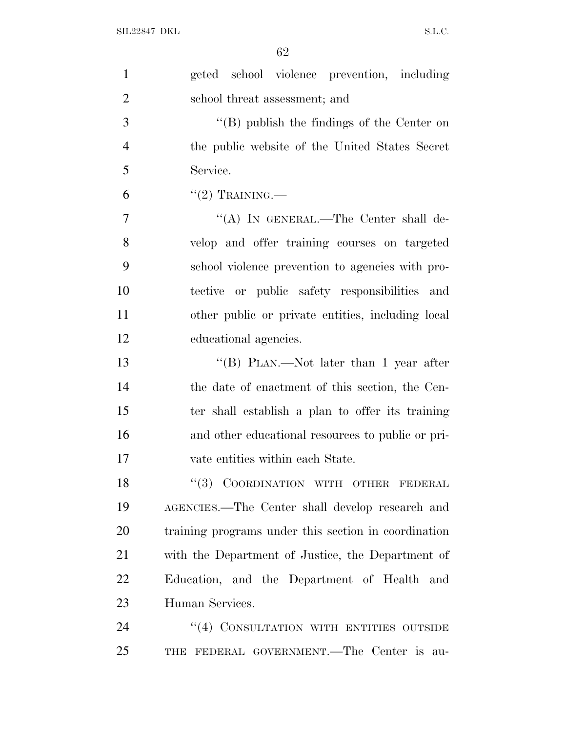| $\mathbf{1}$   | geted school violence prevention, including          |
|----------------|------------------------------------------------------|
| $\overline{2}$ | school threat assessment; and                        |
| 3              | "(B) publish the findings of the Center on           |
| $\overline{4}$ | the public website of the United States Secret       |
| 5              | Service.                                             |
| 6              | $``(2)$ TRAINING.—                                   |
| 7              | "(A) IN GENERAL.—The Center shall de-                |
| 8              | velop and offer training courses on targeted         |
| 9              | school violence prevention to agencies with pro-     |
| 10             | tective or public safety responsibilities<br>and     |
| 11             | other public or private entities, including local    |
| 12             | educational agencies.                                |
| 13             | "(B) PLAN.—Not later than 1 year after               |
| 14             | the date of enactment of this section, the Cen-      |
| 15             | ter shall establish a plan to offer its training     |
| 16             | and other educational resources to public or pri-    |
| 17             | vate entities within each State.                     |
| 18             | "(3) COORDINATION WITH OTHER FEDERAL                 |
| 19             | AGENCIES.—The Center shall develop research and      |
| 20             | training programs under this section in coordination |
| 21             | with the Department of Justice, the Department of    |
| 22             | Education, and the Department of Health and          |
| 23             | Human Services.                                      |
| 24             | "(4) CONSULTATION WITH ENTITIES OUTSIDE              |
| 25             | THE FEDERAL GOVERNMENT.—The Center is au-            |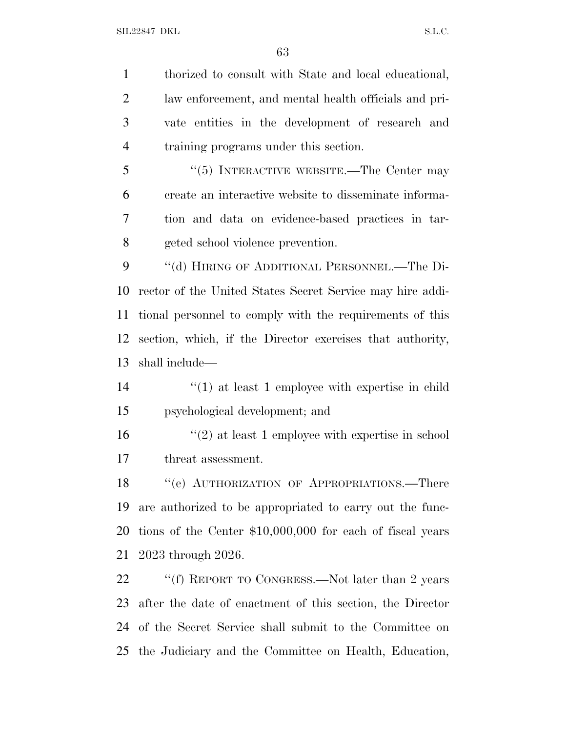thorized to consult with State and local educational, law enforcement, and mental health officials and pri- vate entities in the development of research and training programs under this section. 5 "(5) INTERACTIVE WEBSITE.—The Center may create an interactive website to disseminate informa- tion and data on evidence-based practices in tar-geted school violence prevention.

9 "(d) HIRING OF ADDITIONAL PERSONNEL.—The Di- rector of the United States Secret Service may hire addi- tional personnel to comply with the requirements of this section, which, if the Director exercises that authority, shall include—

 ''(1) at least 1 employee with expertise in child psychological development; and

 ''(2) at least 1 employee with expertise in school threat assessment.

18 "(e) AUTHORIZATION OF APPROPRIATIONS.—There are authorized to be appropriated to carry out the func- tions of the Center \$10,000,000 for each of fiscal years 2023 through 2026.

22 ""(f) REPORT TO CONGRESS.—Not later than 2 years after the date of enactment of this section, the Director of the Secret Service shall submit to the Committee on the Judiciary and the Committee on Health, Education,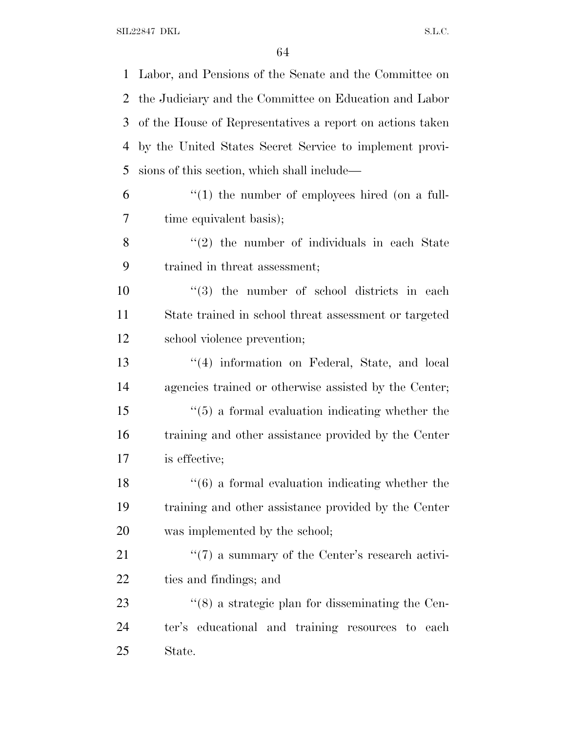Labor, and Pensions of the Senate and the Committee on the Judiciary and the Committee on Education and Labor of the House of Representatives a report on actions taken by the United States Secret Service to implement provi- sions of this section, which shall include— "(1) the number of employees hired (on a full- time equivalent basis);  $\frac{8}{2}$  ''(2) the number of individuals in each State trained in threat assessment;  $\frac{10}{10}$  the number of school districts in each State trained in school threat assessment or targeted school violence prevention; 13 ''(4) information on Federal, State, and local agencies trained or otherwise assisted by the Center; ''(5) a formal evaluation indicating whether the training and other assistance provided by the Center is effective; 18 ''(6) a formal evaluation indicating whether the training and other assistance provided by the Center was implemented by the school; 21 ''(7) a summary of the Center's research activi- ties and findings; and 23 ''(8) a strategic plan for disseminating the Cen- ter's educational and training resources to each State.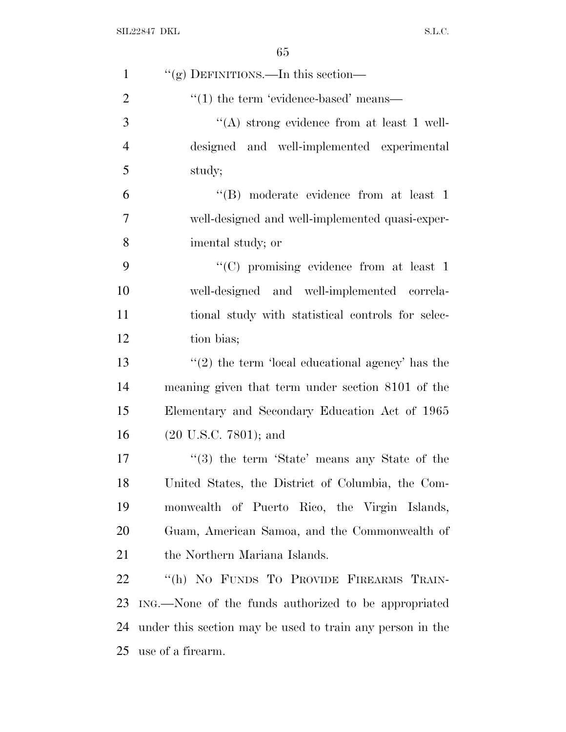| $\mathbf{1}$   | "(g) DEFINITIONS.—In this section—                        |
|----------------|-----------------------------------------------------------|
| $\overline{2}$ | $\cdot\cdot(1)$ the term 'evidence-based' means—          |
| 3              | "(A) strong evidence from at least 1 well-                |
| $\overline{4}$ | designed and well-implemented experimental                |
| 5              | study;                                                    |
| 6              | $\lq\lq$ moderate evidence from at least 1                |
| $\overline{7}$ | well-designed and well-implemented quasi-exper-           |
| 8              | imental study; or                                         |
| 9              | "(C) promising evidence from at least 1                   |
| 10             | well-designed and well-implemented correla-               |
| 11             | tional study with statistical controls for selec-         |
| 12             | tion bias;                                                |
| 13             | $\lq(2)$ the term 'local educational agency' has the      |
| 14             | meaning given that term under section 8101 of the         |
| 15             | Elementary and Secondary Education Act of 1965            |
| 16             | $(20 \text{ U.S.C. } 7801)$ ; and                         |
| 17             | $\cdot$ (3) the term 'State' means any State of the       |
| 18             | United States, the District of Columbia, the Com-         |
| 19             | monwealth of Puerto Rico, the Virgin Islands,             |
| 20             | Guam, American Samoa, and the Commonwealth of             |
| 21             | the Northern Mariana Islands.                             |
| 22             | "(h) NO FUNDS TO PROVIDE FIREARMS TRAIN-                  |
| 23             | ING.—None of the funds authorized to be appropriated      |
| 24             | under this section may be used to train any person in the |
| 25             | use of a firearm.                                         |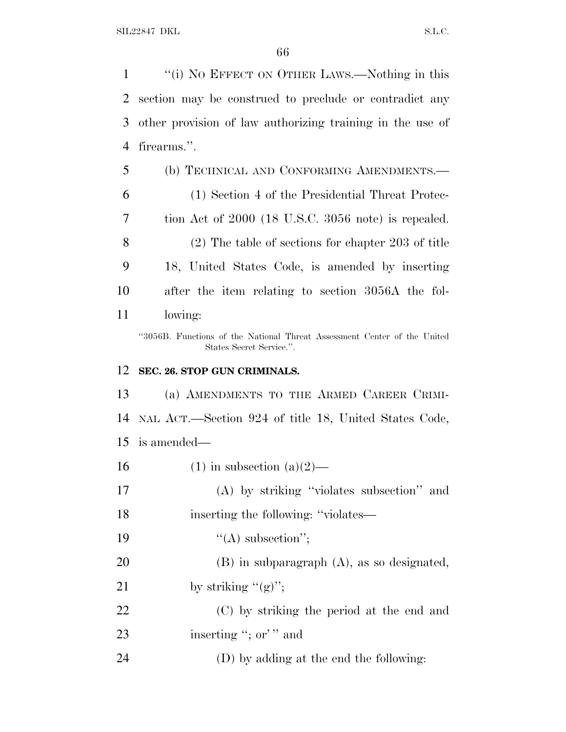''(i) N<sup>O</sup> EFFECT ON OTHER LAWS.—Nothing in this section may be construed to preclude or contradict any other provision of law authorizing training in the use of firearms.''.

 (b) TECHNICAL AND CONFORMING AMENDMENTS.— (1) Section 4 of the Presidential Threat Protec- tion Act of 2000 (18 U.S.C. 3056 note) is repealed. (2) The table of sections for chapter 203 of title 18, United States Code, is amended by inserting after the item relating to section 3056A the fol-lowing:

''3056B. Functions of the National Threat Assessment Center of the United States Secret Service.''.

## **SEC. 26. STOP GUN CRIMINALS.**

 (a) AMENDMENTS TO THE ARMED CAREER CRIMI- NAL ACT.—Section 924 of title 18, United States Code, is amended—

16 (1) in subsection  $(a)(2)$ —

 (A) by striking ''violates subsection'' and 18 inserting the following: "violates—

- 19  $"({\rm A})$  subsection";
- (B) in subparagraph (A), as so designated,
- 21 by striking  $''(g)$ ";
- (C) by striking the period at the end and 23 inserting "; or'" and
- (D) by adding at the end the following: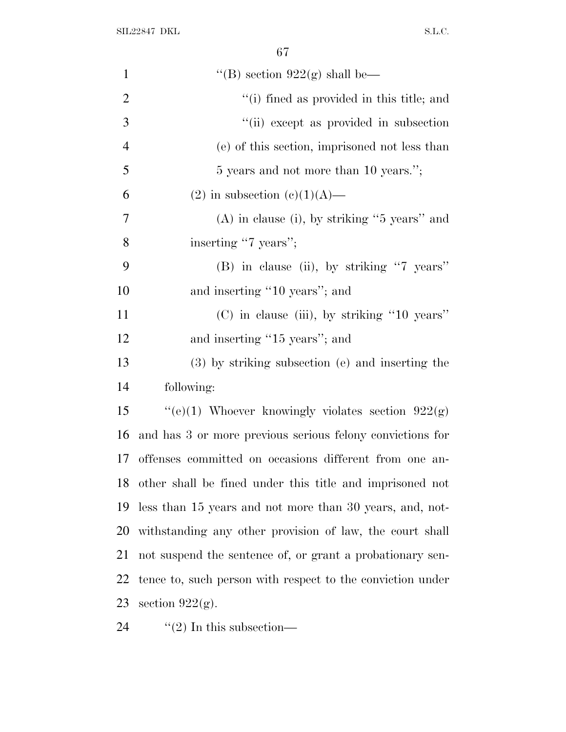| $\mathbf{1}$   | "(B) section $922(g)$ shall be—                            |
|----------------|------------------------------------------------------------|
| $\overline{2}$ | "(i) fined as provided in this title; and                  |
| 3              | "(ii) except as provided in subsection                     |
| 4              | (e) of this section, imprisoned not less than              |
| 5              | 5 years and not more than 10 years.";                      |
| 6              | $(2)$ in subsection $(e)(1)(A)$ —                          |
| 7              | $(A)$ in clause (i), by striking "5 years" and             |
| 8              | inserting "7 years";                                       |
| 9              | (B) in clause (ii), by striking "7 years"                  |
| 10             | and inserting "10 years"; and                              |
| 11             | $(C)$ in clause (iii), by striking "10 years"              |
| 12             | and inserting "15 years"; and                              |
| 13             | (3) by striking subsection (e) and inserting the           |
| 14             | following:                                                 |
| 15             | "(e)(1) Whoever knowingly violates section $922(g)$        |
| 16             | and has 3 or more previous serious felony convictions for  |
| 17             | offenses committed on occasions different from one an-     |
| 18             | other shall be fined under this title and imprisoned not   |
| 19             | less than 15 years and not more than 30 years, and, not-   |
| 20             | withstanding any other provision of law, the court shall   |
| 21             | not suspend the sentence of, or grant a probationary sen-  |
| 22             | tence to, such person with respect to the conviction under |
| 23             | section $922(g)$ .                                         |
|                |                                                            |

24  $"$ (2) In this subsection—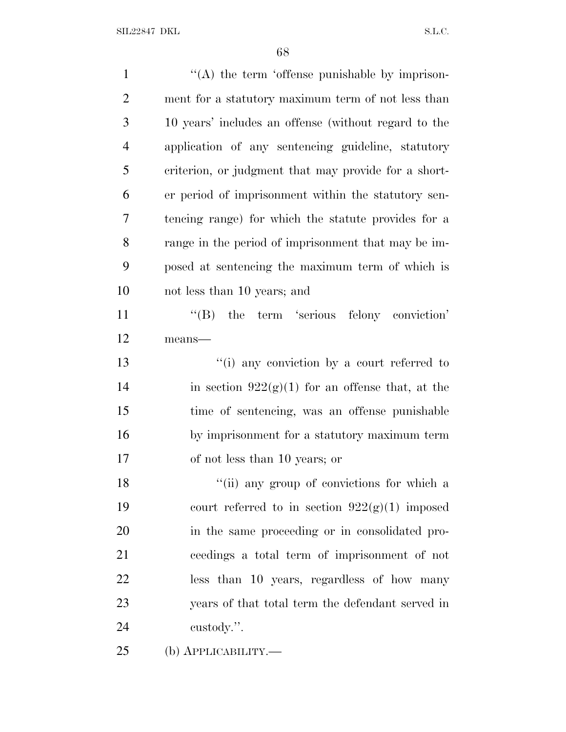| $\mathbf{1}$   | "(A) the term 'offense punishable by imprison-       |
|----------------|------------------------------------------------------|
| $\overline{2}$ | ment for a statutory maximum term of not less than   |
| 3              | 10 years' includes an offense (without regard to the |
| $\overline{4}$ | application of any sentencing guideline, statutory   |
| 5              | criterion, or judgment that may provide for a short- |
| 6              | er period of imprisonment within the statutory sen-  |
| 7              | tencing range) for which the statute provides for a  |
| 8              | range in the period of imprisonment that may be im-  |
| 9              | posed at sentencing the maximum term of which is     |
| 10             | not less than 10 years; and                          |
| 11             | "(B) the term 'serious felony conviction'            |
| 12             | means-                                               |
| 13             | "(i) any conviction by a court referred to           |
| 14             | in section $922(g)(1)$ for an offense that, at the   |
| 15             | time of sentencing, was an offense punishable        |
| 16             | by imprisonment for a statutory maximum term         |
| 17             | of not less than 10 years; or                        |
| 18             | "(ii) any group of convictions for which a           |
| 19             | court referred to in section $922(g)(1)$ imposed     |
| 20             | in the same proceeding or in consolidated pro-       |
| 21             | ceedings a total term of imprisonment of not         |
| 22             | less than 10 years, regardless of how many           |
| 23             | years of that total term the defendant served in     |
| 24             | custody.".                                           |
| 25             | (b) <b>АРР</b> ЫСАВШІТҮ.—                            |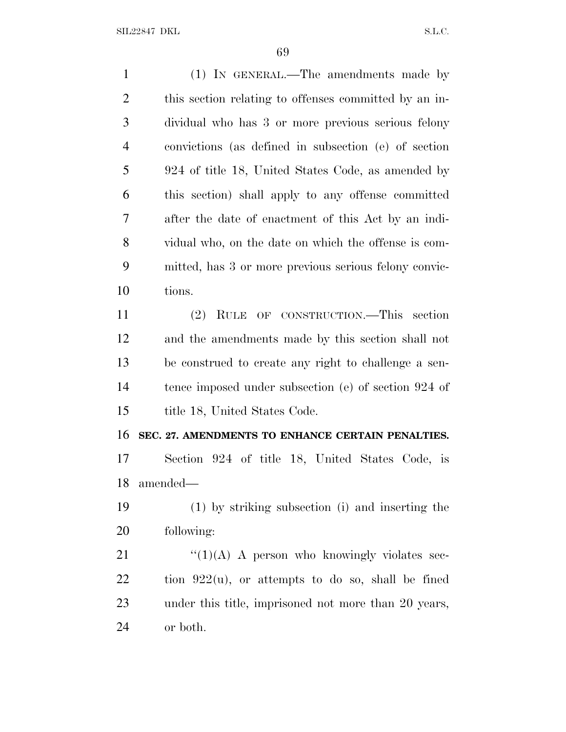SIL22847 DKL S.L.C.

 (1) IN GENERAL.—The amendments made by this section relating to offenses committed by an in- dividual who has 3 or more previous serious felony convictions (as defined in subsection (e) of section 924 of title 18, United States Code, as amended by this section) shall apply to any offense committed after the date of enactment of this Act by an indi- vidual who, on the date on which the offense is com- mitted, has 3 or more previous serious felony convic- tions. (2) RULE OF CONSTRUCTION.—This section and the amendments made by this section shall not be construed to create any right to challenge a sen- tence imposed under subsection (e) of section 924 of title 18, United States Code. **SEC. 27. AMENDMENTS TO ENHANCE CERTAIN PENALTIES.** Section 924 of title 18, United States Code, is amended— (1) by striking subsection (i) and inserting the following:

 $\frac{((1)(A) \cdot A \cdot \text{person who knowingly violates see-}}{A}$  tion  $922(u)$ , or attempts to do so, shall be fined under this title, imprisoned not more than 20 years, or both.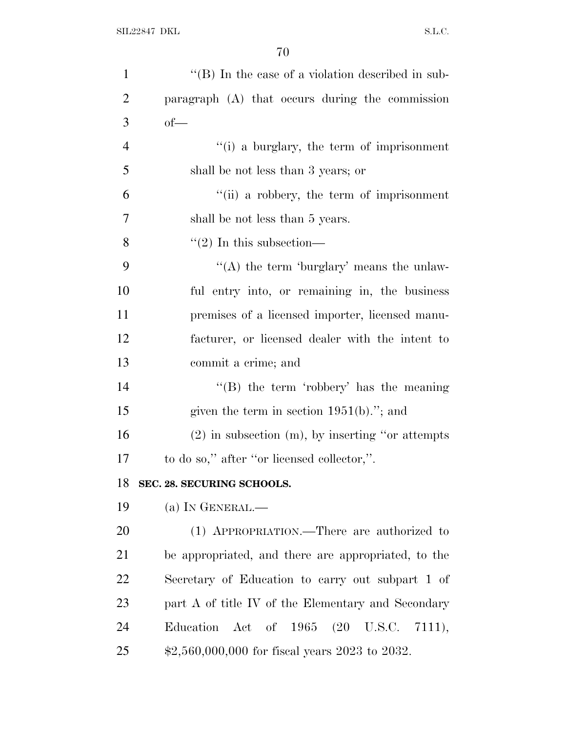| $\mathbf{1}$   | $\lq\lq$ (B) In the case of a violation described in sub- |
|----------------|-----------------------------------------------------------|
| $\overline{2}$ | paragraph (A) that occurs during the commission           |
| 3              | $of$ —                                                    |
| $\overline{4}$ | "(i) a burglary, the term of imprisonment                 |
| 5              | shall be not less than 3 years; or                        |
| 6              | "(ii) a robbery, the term of imprisonment                 |
| 7              | shall be not less than 5 years.                           |
| 8              | $\cdot\cdot(2)$ In this subsection—                       |
| 9              | "(A) the term 'burglary' means the unlaw-                 |
| 10             | ful entry into, or remaining in, the business             |
| 11             | premises of a licensed importer, licensed manu-           |
| 12             | facturer, or licensed dealer with the intent to           |
| 13             | commit a crime; and                                       |
| 14             | "(B) the term 'robbery' has the meaning                   |
| 15             | given the term in section $1951(b)$ ."; and               |
| 16             | $(2)$ in subsection $(m)$ , by inserting "or attempts"    |
| 17             | to do so," after "or licensed collector,".                |
| 18             | SEC. 28. SECURING SCHOOLS.                                |
| 19             | (a) IN GENERAL.—                                          |
| 20             | (1) APPROPRIATION.—There are authorized to                |
| 21             | be appropriated, and there are appropriated, to the       |
| 22             | Secretary of Education to carry out subpart 1 of          |
| 23             | part A of title IV of the Elementary and Secondary        |
| 24             | Education Act of $1965$ $(20 \text{ U.S.C. } 7111),$      |
| 25             | $$2,560,000,000$ for fiscal years 2023 to 2032.           |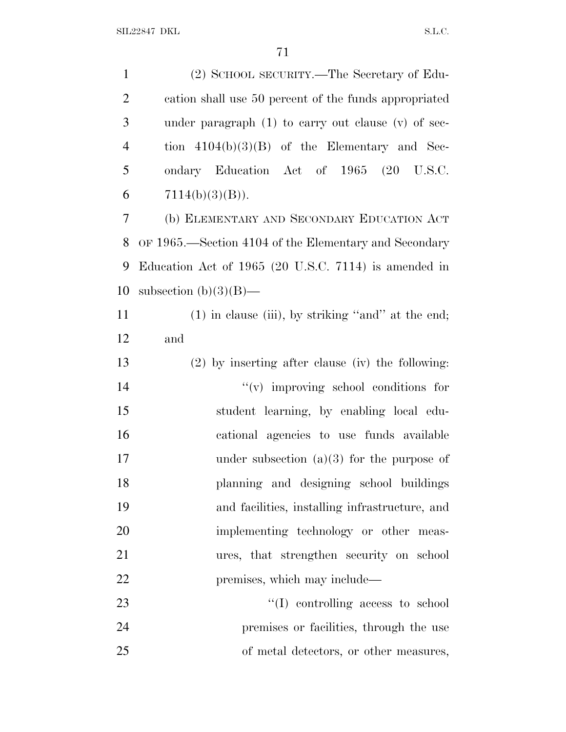| $\mathbf{1}$   | (2) SCHOOL SECURITY.—The Secretary of Edu-              |
|----------------|---------------------------------------------------------|
| $\overline{2}$ | cation shall use 50 percent of the funds appropriated   |
| 3              | under paragraph $(1)$ to carry out clause $(v)$ of sec- |
| $\overline{4}$ | tion $4104(b)(3)(B)$ of the Elementary and Sec-         |
| 5              | ondary Education Act of 1965                            |
| 6              | $7114(b)(3)(B)$ .                                       |
| 7              | (b) ELEMENTARY AND SECONDARY EDUCATION ACT              |
| 8              | OF 1965.—Section 4104 of the Elementary and Secondary   |
| 9              | Education Act of 1965 (20 U.S.C. 7114) is amended in    |
| 10             | subsection $(b)(3)(B)$ —                                |
| 11             | $(1)$ in clause (iii), by striking "and" at the end;    |
| 12             | and                                                     |
| 13             | $(2)$ by inserting after clause (iv) the following:     |
| 14             | $f'(v)$ improving school conditions for                 |
| 15             | student learning, by enabling local edu-                |
| 16             | cational agencies to use funds available                |
| 17             | under subsection $(a)(3)$ for the purpose of            |
| 18             | planning and designing school buildings                 |
| 19             | and facilities, installing infrastructure, and          |
| 20             | implementing technology or other meas-                  |
| 21             | ures, that strengthen security on school                |
| 22             | premises, which may include—                            |
| 23             | $\lq\lq$ controlling access to school                   |
| 24             | premises or facilities, through the use                 |
| 25             | of metal detectors, or other measures,                  |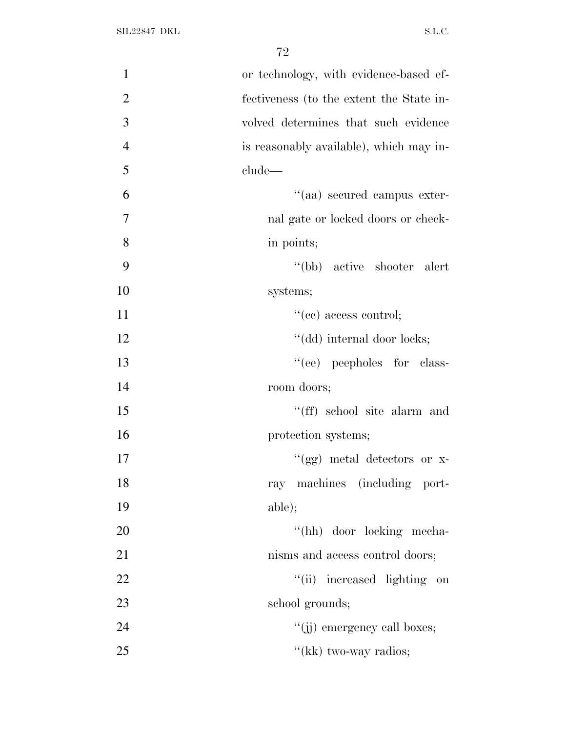| $\mathbf{1}$   | or technology, with evidence-based ef-   |
|----------------|------------------------------------------|
| $\overline{2}$ | fectiveness (to the extent the State in- |
| 3              | volved determines that such evidence     |
| $\overline{4}$ | is reasonably available), which may in-  |
| 5              | clude—                                   |
| 6              | "(aa) secured campus exter-              |
| 7              | nal gate or locked doors or check-       |
| 8              | in points;                               |
| 9              | "(bb) active shooter alert               |
| 10             | systems;                                 |
| 11             | $``(ee)$ access control;                 |
| 12             | "(dd) internal door locks;               |
| 13             | "(ee) peepholes for class-               |
| 14             | room doors;                              |
| 15             | "(ff) school site alarm and              |
| 16             | protection systems;                      |
| 17             | "(gg) metal detectors or x-              |
| 18             | ray machines (including port-            |
| 19             | able);                                   |
| 20             | "(hh) door locking mecha-                |
| 21             | nisms and access control doors;          |
| 22             | "(ii) increased lighting on              |
| 23             | school grounds;                          |
| 24             | "(ii) emergency call boxes;              |
| 25             | "(kk) two-way radios;                    |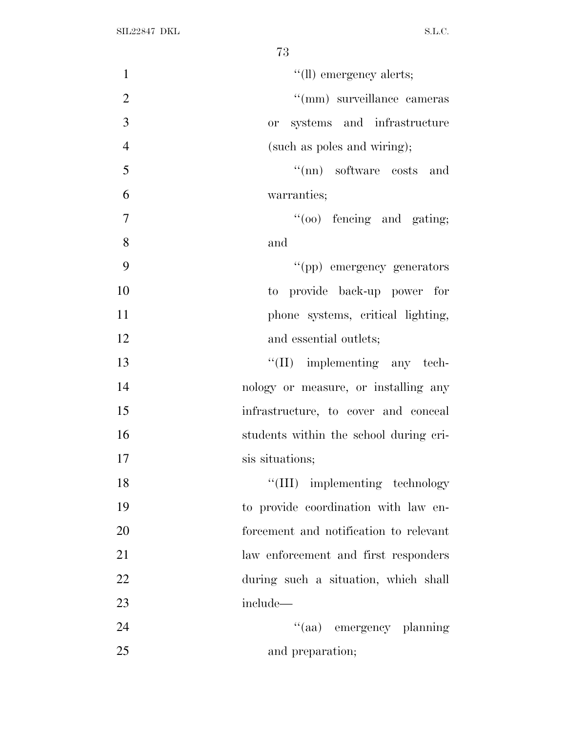| $\mathbf{1}$   | "(ll) emergency alerts;                |
|----------------|----------------------------------------|
| $\overline{2}$ | "(mm) surveillance cameras             |
| 3              | or systems and infrastructure          |
| $\overline{4}$ | (such as poles and wiring);            |
| 5              | "(nn) software costs and               |
| 6              | warranties;                            |
| $\overline{7}$ | $\lq(oo)$ fencing and gating;          |
| 8              | and                                    |
| 9              | "(pp) emergency generators             |
| 10             | to provide back-up power for           |
| 11             | phone systems, critical lighting,      |
| 12             | and essential outlets;                 |
| 13             | $\lq\lq$ (II) implementing any tech-   |
| 14             | nology or measure, or installing any   |
| 15             | infrastructure, to cover and conceal   |
| 16             | students within the school during cri- |
| 17             | sis situations;                        |
| 18             | "(III) implementing technology         |
| 19             | to provide coordination with law en-   |
| 20             | forcement and notification to relevant |
| 21             | law enforcement and first responders   |
| 22             | during such a situation, which shall   |
| 23             | include—                               |
| 24             | "(aa) emergency planning               |
| 25             | and preparation;                       |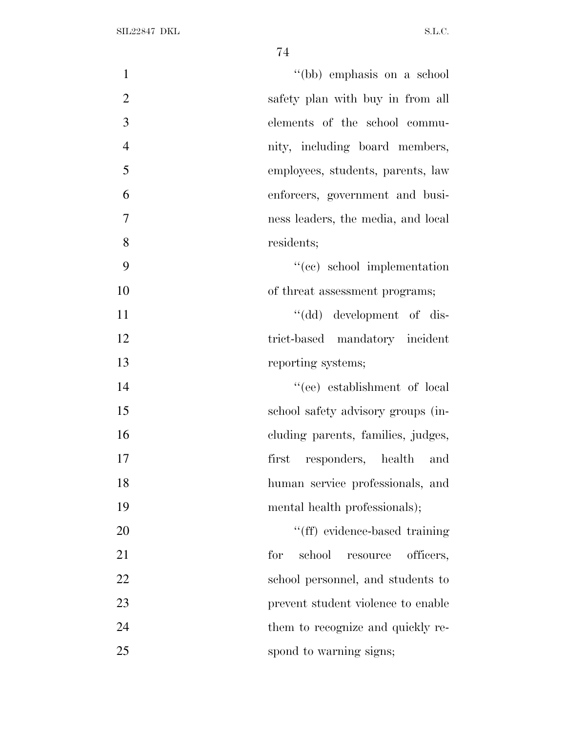| $\mathbf{1}$   | "(bb) emphasis on a school             |
|----------------|----------------------------------------|
| $\mathfrak{2}$ | safety plan with buy in from all       |
| 3              | elements of the school commu-          |
| $\overline{4}$ | nity, including board members,         |
| 5              | employees, students, parents, law      |
| 6              | enforcers, government and busi-        |
| $\tau$         | ness leaders, the media, and local     |
| 8              | residents;                             |
| 9              | "(cc) school implementation            |
| 10             | of threat assessment programs;         |
| 11             | "(dd) development of dis-              |
| 12             | trict-based mandatory incident         |
| 13             | reporting systems;                     |
| 14             | "(ee) establishment of local           |
| 15             | school safety advisory groups (in-     |
| 16             | cluding parents, families, judges,     |
| 17             | first responders, health and           |
| 18             | human service professionals, and       |
| 19             | mental health professionals);          |
| 20             | "(ff) evidence-based training          |
| 21             | for<br>school<br>officers,<br>resource |
| 22             | school personnel, and students to      |
| 23             | prevent student violence to enable     |
| 24             | them to recognize and quickly re-      |
| 25             | spond to warning signs;                |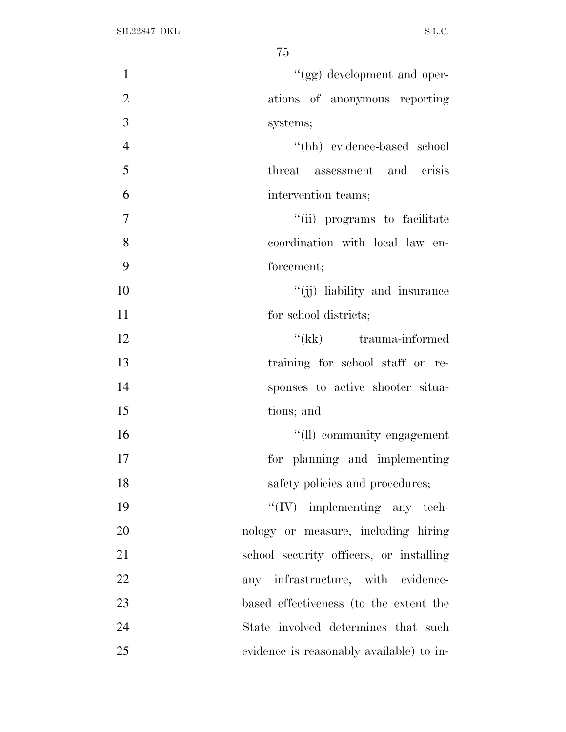| $\mathbf{1}$   | "(gg) development and oper-              |
|----------------|------------------------------------------|
| $\overline{2}$ | ations of anonymous reporting            |
| 3              | systems;                                 |
| $\overline{4}$ | "(hh) evidence-based school              |
| 5              | threat<br>assessment and crisis          |
| 6              | intervention teams;                      |
| $\overline{7}$ | "(ii) programs to facilitate             |
| 8              | coordination with local law en-          |
| 9              | forcement;                               |
| 10             | "(ii) liability and insurance            |
| 11             | for school districts;                    |
| 12             | "(kk) trauma-informed                    |
| 13             | training for school staff on re-         |
| 14             | sponses to active shooter situa-         |
| 15             | tions; and                               |
| 16             | "(ll) community engagement               |
| 17             | for planning and implementing            |
| 18             | safety policies and procedures;          |
| 19             | $\lq\lq (IV)$ implementing any tech-     |
| 20             | nology or measure, including hiring      |
| 21             | school security officers, or installing  |
| 22             | any infrastructure, with evidence-       |
| 23             | based effectiveness (to the extent the   |
| 24             | State involved determines that such      |
| 25             | evidence is reasonably available) to in- |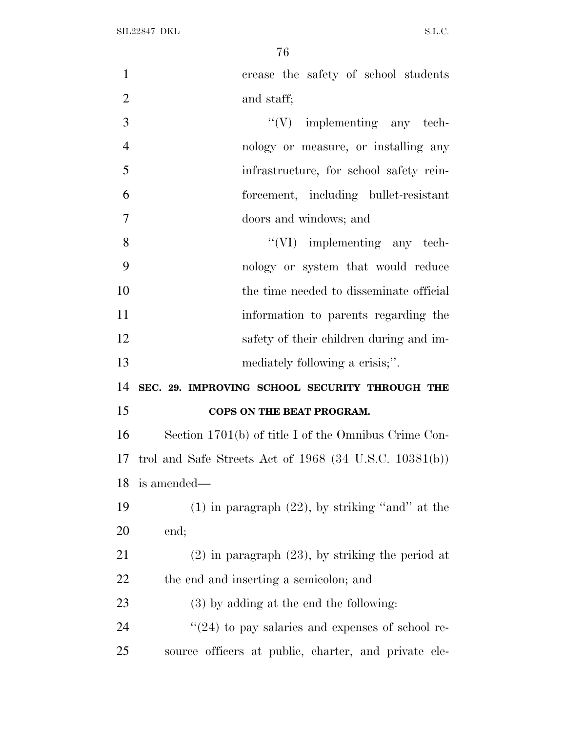| $\mathbf{1}$   | crease the safety of school students                        |
|----------------|-------------------------------------------------------------|
| $\overline{2}$ | and staff;                                                  |
| 3              | $\lq\lq (V)$ implementing any tech-                         |
| $\overline{4}$ | nology or measure, or installing any                        |
| 5              | infrastructure, for school safety rein-                     |
| 6              | forcement, including bullet-resistant                       |
| $\overline{7}$ | doors and windows; and                                      |
| 8              | $\lq\lq$ (VI) implementing any tech-                        |
| 9              | nology or system that would reduce                          |
| 10             | the time needed to disseminate official                     |
| 11             | information to parents regarding the                        |
| 12             | safety of their children during and im-                     |
| 13             | mediately following a crisis;".                             |
|                |                                                             |
| 14             | SEC. 29. IMPROVING SCHOOL SECURITY THROUGH THE              |
|                | COPS ON THE BEAT PROGRAM.                                   |
| 15<br>16       | Section 1701(b) of title I of the Omnibus Crime Con-        |
| 17             | trol and Safe Streets Act of $1968$ (34 U.S.C. $10381(b)$ ) |
| 18             | is amended—                                                 |
| 19             | $(1)$ in paragraph $(22)$ , by striking "and" at the        |
| 20             | end;                                                        |
| 21             | $(2)$ in paragraph $(23)$ , by striking the period at       |
| 22             | the end and inserting a semicolon; and                      |
| 23             | $(3)$ by adding at the end the following:                   |
| 24             | $\cdot\cdot(24)$ to pay salaries and expenses of school re- |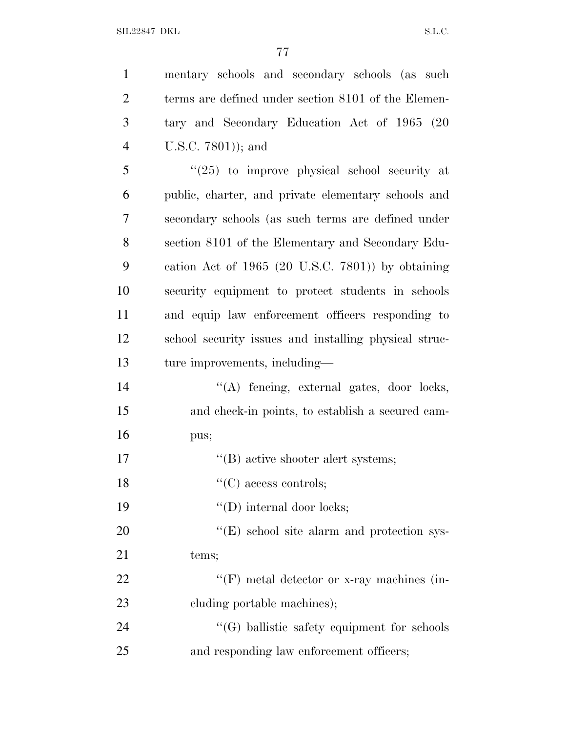SIL22847 DKL  $SL.C.$ 

| $\mathbf{1}$   | mentary schools and secondary schools (as such        |
|----------------|-------------------------------------------------------|
| $\overline{2}$ | terms are defined under section 8101 of the Elemen-   |
| 3              | tary and Secondary Education Act of 1965 (20          |
| $\overline{4}$ | U.S.C. 7801)); and                                    |
| 5              | $(25)$ to improve physical school security at         |
| 6              | public, charter, and private elementary schools and   |
| 7              | secondary schools (as such terms are defined under    |
| 8              | section 8101 of the Elementary and Secondary Edu-     |
| 9              | cation Act of $1965$ (20 U.S.C. 7801)) by obtaining   |
| 10             | security equipment to protect students in schools     |
| 11             | and equip law enforcement officers responding to      |
| 12             | school security issues and installing physical struc- |
| 13             | ture improvements, including—                         |
| 14             | "(A) fencing, external gates, door locks,             |
| 15             | and check-in points, to establish a secured cam-      |
| 16             | pus;                                                  |
| 17             | "(B) active shooter alert systems;                    |
| 18             | $\lq\lq$ (C) access controls;                         |
| 19             | $\lq\lq$ (D) internal door locks;                     |
| 20             | "(E) school site alarm and protection sys-            |
| 21             | tems;                                                 |
| 22             | "(F) metal detector or x-ray machines (in-            |
| 23             | cluding portable machines);                           |
| 24             | $\lq\lq(G)$ ballistic safety equipment for schools    |
| 25             | and responding law enforcement officers;              |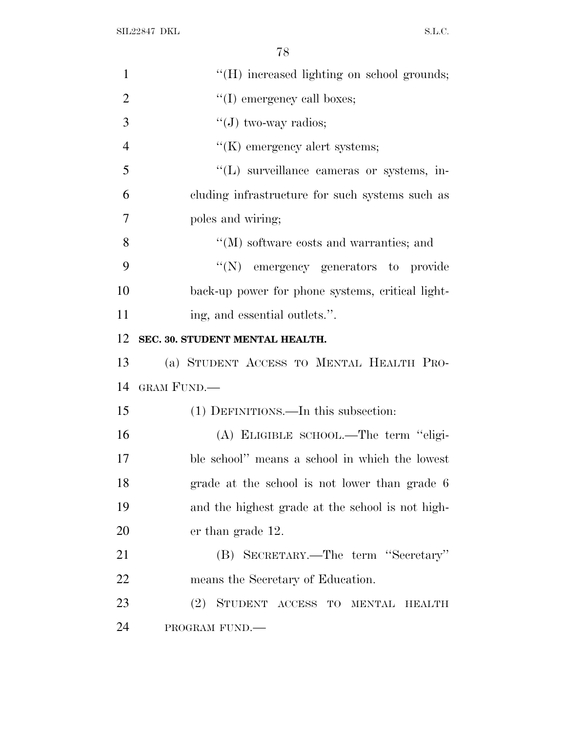SIL22847 DKL  $S.L.C.$ 

| $\mathbf{1}$   | "(H) increased lighting on school grounds;                 |
|----------------|------------------------------------------------------------|
| $\overline{2}$ | "(I) emergency call boxes;                                 |
| 3              | "(J) two-way radios;                                       |
| $\overline{4}$ | $\lq\lq(K)$ emergency alert systems;                       |
| 5              | "(L) surveillance cameras or systems, in-                  |
| 6              | cluding infrastructure for such systems such as            |
| 7              | poles and wiring;                                          |
| 8              | $\lq\lq (M)$ software costs and warranties; and            |
| 9              | "(N) emergency generators to provide                       |
| 10             | back-up power for phone systems, critical light-           |
| 11             | ing, and essential outlets.".                              |
| 12             | SEC. 30. STUDENT MENTAL HEALTH.                            |
| 13             | (a) STUDENT ACCESS TO MENTAL HEALTH PRO-                   |
| 14             | GRAM FUND.                                                 |
|                |                                                            |
| 15             | (1) DEFINITIONS.—In this subsection:                       |
| 16             | (A) ELIGIBLE SCHOOL.—The term "eligi-                      |
|                | ble school" means a school in which the lowest             |
| 17<br>18       | grade at the school is not lower than grade 6              |
| 19             | and the highest grade at the school is not high-           |
| 20             | er than grade 12.                                          |
| 21             | (B) SECRETARY.—The term "Secretary"                        |
| 22             | means the Secretary of Education.                          |
| 23             | STUDENT ACCESS TO<br>(2)<br><b>MENTAL</b><br><b>HEALTH</b> |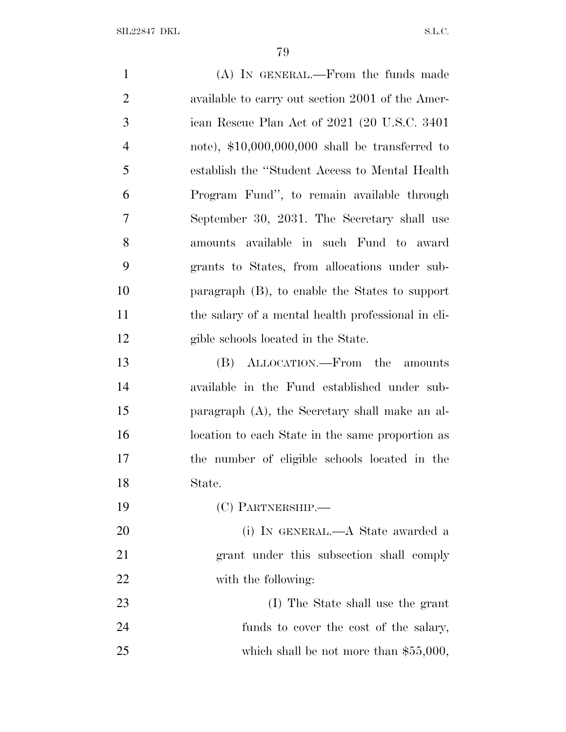| $\mathbf{1}$   | (A) IN GENERAL.—From the funds made                |
|----------------|----------------------------------------------------|
| $\overline{2}$ | available to carry out section 2001 of the Amer-   |
| 3              | ican Rescue Plan Act of 2021 (20 U.S.C. 3401)      |
| $\overline{4}$ | note), $$10,000,000,000$ shall be transferred to   |
| 5              | establish the "Student Access to Mental Health     |
| 6              | Program Fund", to remain available through         |
| 7              | September 30, 2031. The Secretary shall use        |
| 8              | amounts available in such Fund to award            |
| 9              | grants to States, from allocations under sub-      |
| 10             | paragraph $(B)$ , to enable the States to support  |
| 11             | the salary of a mental health professional in eli- |
| 12             | gible schools located in the State.                |
| 13             | (B) ALLOCATION.—From the amounts                   |
| 14             | available in the Fund established under sub-       |
| 15             | paragraph $(A)$ , the Secretary shall make an al-  |
| 16             | location to each State in the same proportion as   |
| 17             | the number of eligible schools located in the      |
| 18             | State.                                             |
| 19             | (C) PARTNERSHIP.-                                  |
| 20             | (i) IN GENERAL.—A State awarded a                  |
| 21             | grant under this subsection shall comply           |
| 22             | with the following:                                |
| 23             | (I) The State shall use the grant                  |
| 24             | funds to cover the cost of the salary,             |
| 25             | which shall be not more than $$55,000$ ,           |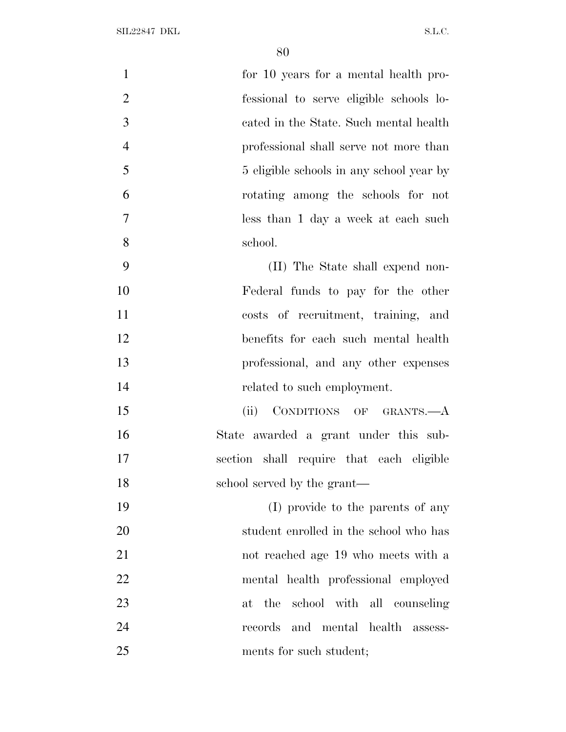| $\mathbf{1}$   | for 10 years for a mental health pro-    |
|----------------|------------------------------------------|
| $\overline{2}$ | fessional to serve eligible schools lo-  |
| 3              | cated in the State. Such mental health   |
| $\overline{4}$ | professional shall serve not more than   |
| 5              | 5 eligible schools in any school year by |
| 6              | rotating among the schools for not       |
| $\overline{7}$ | less than 1 day a week at each such      |
| 8              | school.                                  |
| 9              | (II) The State shall expend non-         |
| 10             | Federal funds to pay for the other       |
| 11             | costs of recruitment, training, and      |
| 12             | benefits for each such mental health     |
| 13             | professional, and any other expenses     |
| 14             | related to such employment.              |
| 15             | (ii) CONDITIONS OF GRANTS.-A             |
| 16             | State awarded a grant under this sub-    |
| 17             | section shall require that each eligible |
| 18             | school served by the grant—              |
| 19             | (I) provide to the parents of any        |
| 20             | student enrolled in the school who has   |
| 21             | not reached age 19 who meets with a      |
| 22             | mental health professional employed      |
| 23             | the school with all counseling<br>at     |
| 24             | records and mental health assess-        |
| 25             | ments for such student;                  |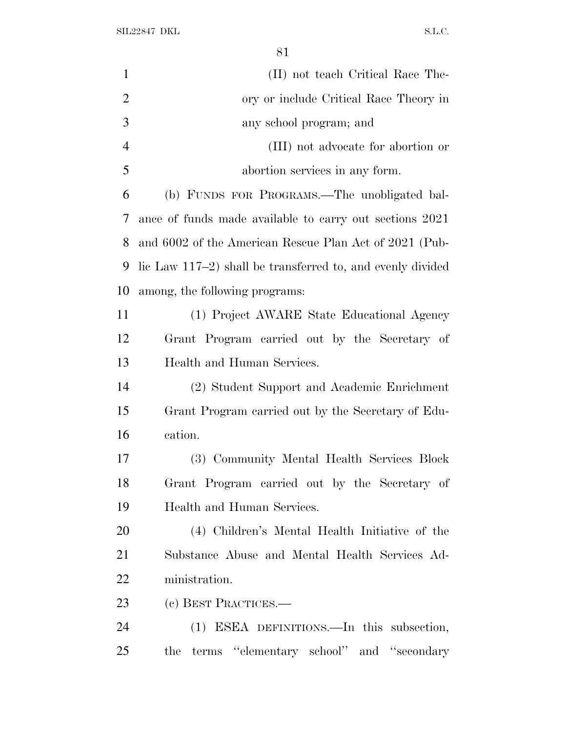SIL22847 DKL  $S.L.C.$ 

| $\mathbf{1}$   | (II) not teach Critical Race The-                             |
|----------------|---------------------------------------------------------------|
| $\overline{2}$ | ory or include Critical Race Theory in                        |
| 3              | any school program; and                                       |
| $\overline{4}$ | (III) not advocate for abortion or                            |
| 5              | abortion services in any form.                                |
| 6              | (b) FUNDS FOR PROGRAMS.—The unobligated bal-                  |
| 7              | ance of funds made available to carry out sections 2021       |
| 8              | and 6002 of the American Rescue Plan Act of 2021 (Pub-        |
| 9              | lic Law $117-2$ ) shall be transferred to, and evenly divided |
| 10             | among, the following programs:                                |
| 11             | (1) Project AWARE State Educational Agency                    |
| 12             | Grant Program carried out by the Secretary of                 |
| 13             | Health and Human Services.                                    |
| 14             | (2) Student Support and Academic Enrichment                   |
| 15             | Grant Program carried out by the Secretary of Edu-            |
| 16             | cation.                                                       |
| 17             | (3) Community Mental Health Services Block                    |
| 18             | Grant Program carried out by the Secretary of                 |
| 19             | Health and Human Services.                                    |
| 20             | (4) Children's Mental Health Initiative of the                |
| 21             | Substance Abuse and Mental Health Services Ad-                |
| 22             | ministration.                                                 |
| 23             | (c) BEST PRACTICES.—                                          |
| 24             | (1) ESEA DEFINITIONS.—In this subsection,                     |
| 25             | terms "elementary school" and "secondary<br>the               |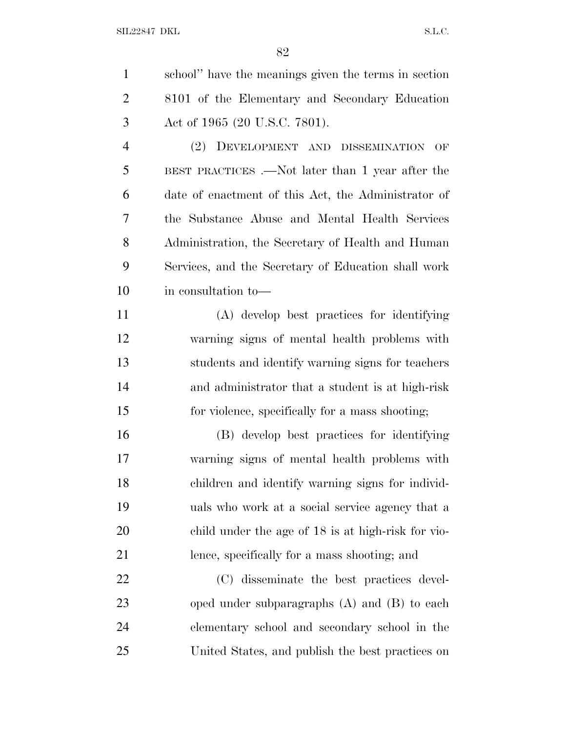| $\mathbf{1}$   | school" have the meanings given the terms in section |
|----------------|------------------------------------------------------|
| $\overline{2}$ | 8101 of the Elementary and Secondary Education       |
| 3              | Act of 1965 (20 U.S.C. 7801).                        |
| $\overline{4}$ | DEVELOPMENT AND DISSEMINATION<br>(2)<br>OF           |
| 5              | BEST PRACTICES .—Not later than 1 year after the     |
| 6              | date of enactment of this Act, the Administrator of  |
| 7              | the Substance Abuse and Mental Health Services       |
| 8              | Administration, the Secretary of Health and Human    |
| 9              | Services, and the Secretary of Education shall work  |
| 10             | in consultation to-                                  |
| 11             | (A) develop best practices for identifying           |
| 12             | warning signs of mental health problems with         |
| 13             | students and identify warning signs for teachers     |
| 14             | and administrator that a student is at high-risk     |
| 15             | for violence, specifically for a mass shooting;      |
| 16             | (B) develop best practices for identifying           |
| 17             | warning signs of mental health problems with         |
| 18             | children and identify warning signs for individ-     |
| 19             | uals who work at a social service agency that a      |
| 20             | child under the age of 18 is at high-risk for vio-   |
| 21             | lence, specifically for a mass shooting; and         |
| 22             | (C) disseminate the best practices devel-            |
| 23             | oped under subparagraphs $(A)$ and $(B)$ to each     |
| 24             | elementary school and secondary school in the        |
| 25             | United States, and publish the best practices on     |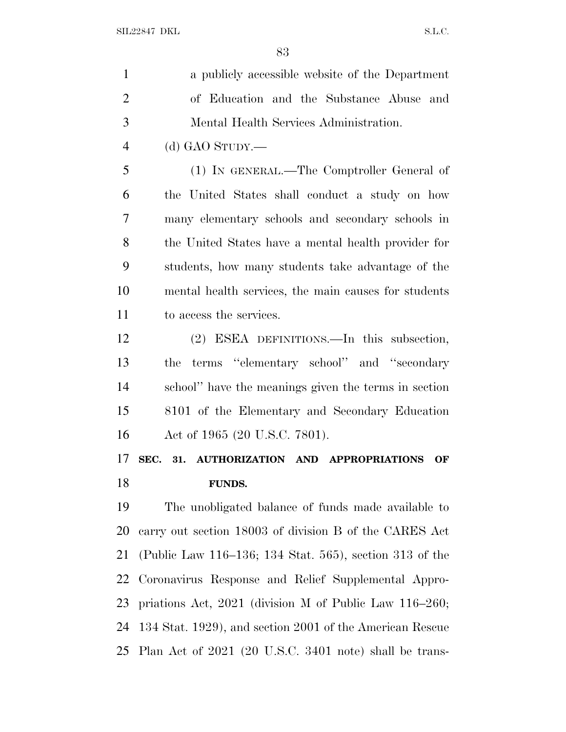| $\mathbf{1}$   | a publicly accessible website of the Department             |
|----------------|-------------------------------------------------------------|
| $\overline{2}$ | of Education and the Substance Abuse and                    |
| 3              | Mental Health Services Administration.                      |
| $\overline{4}$ | (d) GAO STUDY.—                                             |
| 5              | (1) IN GENERAL.—The Comptroller General of                  |
| 6              | the United States shall conduct a study on how              |
| 7              | many elementary schools and secondary schools in            |
| 8              | the United States have a mental health provider for         |
| 9              | students, how many students take advantage of the           |
| 10             | mental health services, the main causes for students        |
| 11             | to access the services.                                     |
| 12             | (2) ESEA DEFINITIONS.—In this subsection,                   |
| 13             | terms "elementary school" and "secondary<br>the             |
| 14             | school" have the meanings given the terms in section        |
| 15             | 8101 of the Elementary and Secondary Education              |
| 16             | Act of 1965 (20 U.S.C. 7801).                               |
| 17             | AUTHORIZATION AND APPROPRIATIONS<br>SEC.<br>31.<br>OF       |
| 18             | <b>FUNDS.</b>                                               |
| 19             | The unobligated balance of funds made available to          |
| 20             | carry out section 18003 of division B of the CARES Act      |
| 21             | (Public Law 116–136; 134 Stat. 565), section 313 of the     |
| 22             | Coronavirus Response and Relief Supplemental Appro-         |
| 23             | priations Act, $2021$ (division M of Public Law $116-260$ ; |
|                |                                                             |

 134 Stat. 1929), and section 2001 of the American Rescue Plan Act of 2021 (20 U.S.C. 3401 note) shall be trans-